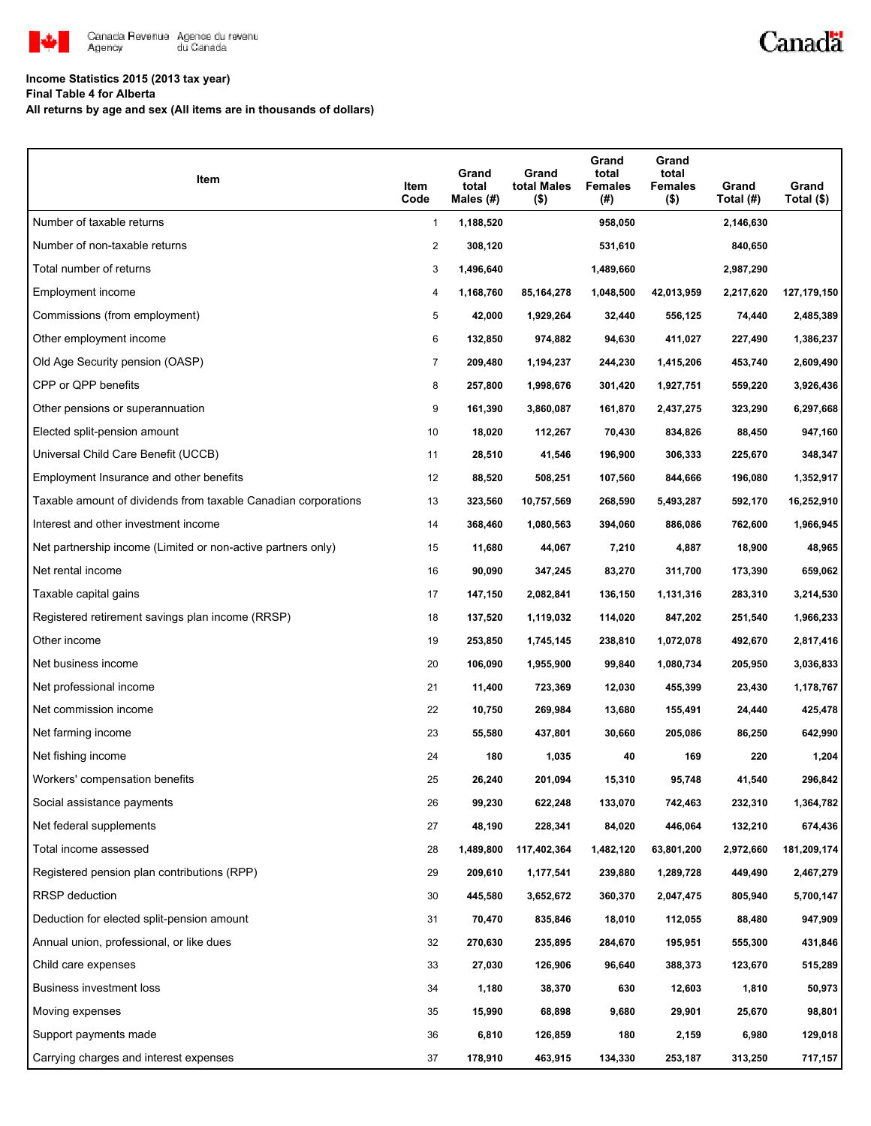

## Canadä

#### **Income Statistics 2015 (2013 tax year)**

**Final Table 4 for Alberta**

**All returns by age and sex (All items are in thousands of dollars)**

| Item                                                           | Item<br>Code   | Grand<br>total<br>Males $(\#)$ | Grand<br>total Males<br>$($ \$) | Grand<br>total<br><b>Females</b><br>(#) | Grand<br>total<br>Females<br>$($ \$) | Grand<br>Total (#) | Grand<br>Total (\$) |
|----------------------------------------------------------------|----------------|--------------------------------|---------------------------------|-----------------------------------------|--------------------------------------|--------------------|---------------------|
| Number of taxable returns                                      | $\mathbf{1}$   | 1,188,520                      |                                 | 958,050                                 |                                      | 2,146,630          |                     |
| Number of non-taxable returns                                  | $\overline{c}$ | 308,120                        |                                 | 531,610                                 |                                      | 840,650            |                     |
| Total number of returns                                        | 3              | 1,496,640                      |                                 | 1,489,660                               |                                      | 2,987,290          |                     |
| Employment income                                              | 4              | 1,168,760                      | 85,164,278                      | 1,048,500                               | 42,013,959                           | 2,217,620          | 127,179,150         |
| Commissions (from employment)                                  | 5              | 42,000                         | 1,929,264                       | 32,440                                  | 556,125                              | 74,440             | 2,485,389           |
| Other employment income                                        | 6              | 132,850                        | 974,882                         | 94,630                                  | 411,027                              | 227,490            | 1,386,237           |
| Old Age Security pension (OASP)                                | $\overline{7}$ | 209,480                        | 1,194,237                       | 244,230                                 | 1,415,206                            | 453,740            | 2,609,490           |
| CPP or QPP benefits                                            | 8              | 257,800                        | 1,998,676                       | 301,420                                 | 1,927,751                            | 559,220            | 3,926,436           |
| Other pensions or superannuation                               | 9              | 161,390                        | 3,860,087                       | 161,870                                 | 2,437,275                            | 323,290            | 6,297,668           |
| Elected split-pension amount                                   | 10             | 18,020                         | 112,267                         | 70,430                                  | 834,826                              | 88,450             | 947,160             |
| Universal Child Care Benefit (UCCB)                            | 11             | 28,510                         | 41,546                          | 196,900                                 | 306,333                              | 225,670            | 348,347             |
| Employment Insurance and other benefits                        | 12             | 88,520                         | 508,251                         | 107,560                                 | 844,666                              | 196,080            | 1,352,917           |
| Taxable amount of dividends from taxable Canadian corporations | 13             | 323,560                        | 10,757,569                      | 268,590                                 | 5,493,287                            | 592,170            | 16,252,910          |
| Interest and other investment income                           | 14             | 368,460                        | 1,080,563                       | 394,060                                 | 886,086                              | 762,600            | 1,966,945           |
| Net partnership income (Limited or non-active partners only)   | 15             | 11,680                         | 44,067                          | 7,210                                   | 4,887                                | 18,900             | 48,965              |
| Net rental income                                              | 16             | 90,090                         | 347,245                         | 83,270                                  | 311,700                              | 173,390            | 659,062             |
| Taxable capital gains                                          | 17             | 147,150                        | 2,082,841                       | 136,150                                 | 1,131,316                            | 283,310            | 3,214,530           |
| Registered retirement savings plan income (RRSP)               | 18             | 137,520                        | 1,119,032                       | 114,020                                 | 847,202                              | 251,540            | 1,966,233           |
| Other income                                                   | 19             | 253,850                        | 1,745,145                       | 238,810                                 | 1,072,078                            | 492,670            | 2,817,416           |
| Net business income                                            | 20             | 106,090                        | 1,955,900                       | 99,840                                  | 1,080,734                            | 205,950            | 3,036,833           |
| Net professional income                                        | 21             | 11,400                         | 723,369                         | 12,030                                  | 455,399                              | 23,430             | 1,178,767           |
| Net commission income                                          | 22             | 10,750                         | 269,984                         | 13,680                                  | 155,491                              | 24,440             | 425,478             |
| Net farming income                                             | 23             | 55,580                         | 437,801                         | 30,660                                  | 205,086                              | 86,250             | 642,990             |
| Net fishing income                                             | 24             | 180                            | 1,035                           | 40                                      | 169                                  | 220                | 1,204               |
| Workers' compensation benefits                                 | 25             | 26,240                         | 201,094                         | 15,310                                  | 95,748                               | 41,540             | 296,842             |
| Social assistance payments                                     | 26             | 99,230                         | 622,248                         | 133,070                                 | 742,463                              | 232,310            | 1,364,782           |
| Net federal supplements                                        | 27             | 48,190                         | 228,341                         | 84,020                                  | 446,064                              | 132,210            | 674,436             |
| Total income assessed                                          | 28             | 1,489,800                      | 117,402,364                     | 1,482,120                               | 63,801,200                           | 2,972,660          | 181,209,174         |
| Registered pension plan contributions (RPP)                    | 29             | 209,610                        | 1,177,541                       | 239,880                                 | 1,289,728                            | 449,490            | 2,467,279           |
| <b>RRSP</b> deduction                                          | 30             | 445,580                        | 3,652,672                       | 360,370                                 | 2,047,475                            | 805,940            | 5,700,147           |
| Deduction for elected split-pension amount                     | 31             | 70,470                         | 835,846                         | 18,010                                  | 112,055                              | 88,480             | 947,909             |
| Annual union, professional, or like dues                       | 32             | 270,630                        | 235,895                         | 284,670                                 | 195,951                              | 555,300            | 431,846             |
| Child care expenses                                            | 33             | 27,030                         | 126,906                         | 96,640                                  | 388,373                              | 123,670            | 515,289             |
| <b>Business investment loss</b>                                | 34             | 1,180                          | 38,370                          | 630                                     | 12,603                               | 1,810              | 50,973              |
| Moving expenses                                                | 35             | 15,990                         | 68,898                          | 9,680                                   | 29,901                               | 25,670             | 98,801              |
| Support payments made                                          | 36             | 6,810                          | 126,859                         | 180                                     | 2,159                                | 6,980              | 129,018             |
| Carrying charges and interest expenses                         | 37             | 178,910                        | 463,915                         | 134,330                                 | 253,187                              | 313,250            | 717,157             |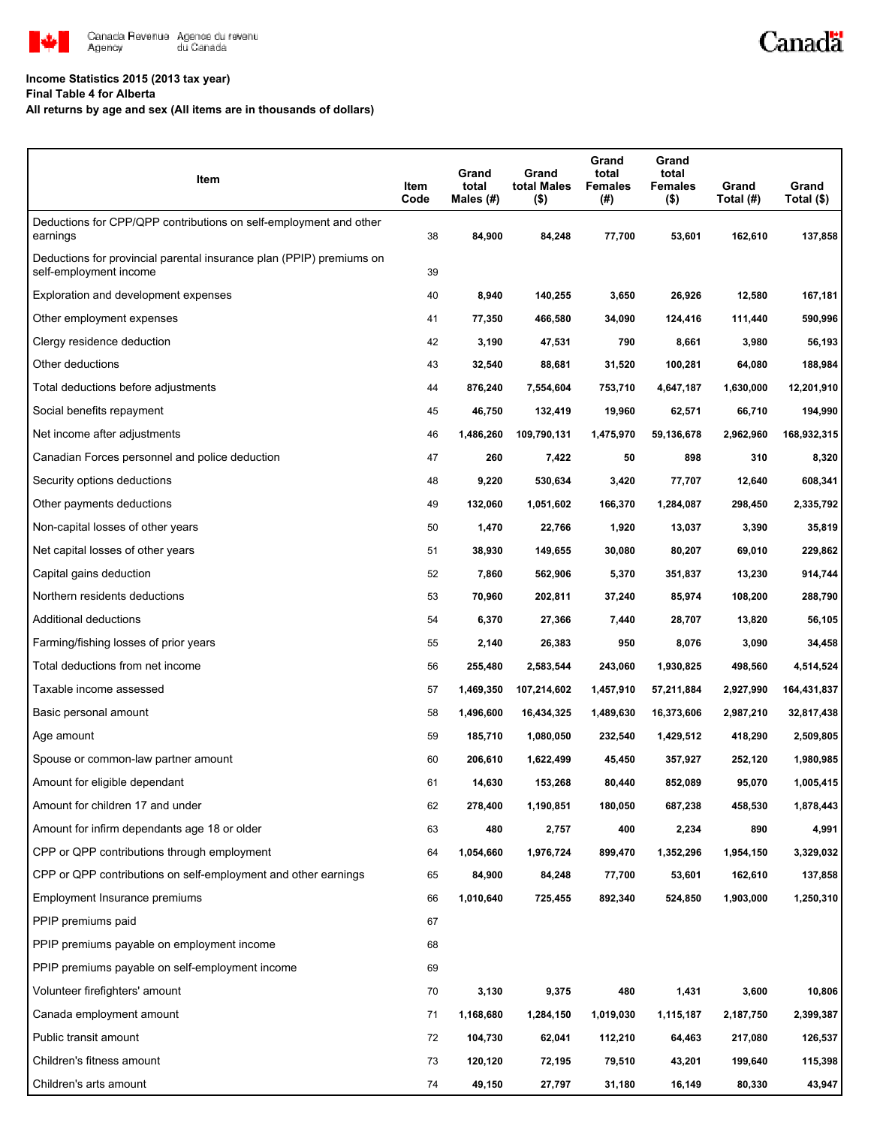

#### **Income Statistics 2015 (2013 tax year)**

**Final Table 4 for Alberta**

**All returns by age and sex (All items are in thousands of dollars)**

| Item                                                                                           | Item<br>Code | Grand<br>total<br>Males $(H)$ | Grand<br>total Males<br>$($ \$) | Grand<br>total<br><b>Females</b><br>$(\#)$ | Grand<br>total<br><b>Females</b><br>$($ \$) | Grand<br>Total (#) | Grand<br>Total (\$) |
|------------------------------------------------------------------------------------------------|--------------|-------------------------------|---------------------------------|--------------------------------------------|---------------------------------------------|--------------------|---------------------|
| Deductions for CPP/QPP contributions on self-employment and other<br>earnings                  | 38           | 84,900                        | 84,248                          | 77,700                                     | 53,601                                      | 162,610            | 137,858             |
| Deductions for provincial parental insurance plan (PPIP) premiums on<br>self-employment income | 39           |                               |                                 |                                            |                                             |                    |                     |
| Exploration and development expenses                                                           | 40           | 8,940                         | 140,255                         | 3,650                                      | 26,926                                      | 12,580             | 167,181             |
| Other employment expenses                                                                      | 41           | 77,350                        | 466,580                         | 34,090                                     | 124,416                                     | 111,440            | 590,996             |
| Clergy residence deduction                                                                     | 42           | 3,190                         | 47,531                          | 790                                        | 8,661                                       | 3,980              | 56,193              |
| Other deductions                                                                               | 43           | 32,540                        | 88,681                          | 31,520                                     | 100,281                                     | 64,080             | 188,984             |
| Total deductions before adjustments                                                            | 44           | 876,240                       | 7,554,604                       | 753,710                                    | 4,647,187                                   | 1,630,000          | 12,201,910          |
| Social benefits repayment                                                                      | 45           | 46,750                        | 132,419                         | 19,960                                     | 62,571                                      | 66,710             | 194,990             |
| Net income after adjustments                                                                   | 46           | 1,486,260                     | 109,790,131                     | 1,475,970                                  | 59,136,678                                  | 2,962,960          | 168,932,315         |
| Canadian Forces personnel and police deduction                                                 | 47           | 260                           | 7,422                           | 50                                         | 898                                         | 310                | 8,320               |
| Security options deductions                                                                    | 48           | 9,220                         | 530,634                         | 3,420                                      | 77,707                                      | 12,640             | 608,341             |
| Other payments deductions                                                                      | 49           | 132,060                       | 1,051,602                       | 166,370                                    | 1,284,087                                   | 298,450            | 2,335,792           |
| Non-capital losses of other years                                                              | 50           | 1,470                         | 22,766                          | 1,920                                      | 13,037                                      | 3,390              | 35,819              |
| Net capital losses of other years                                                              | 51           | 38,930                        | 149,655                         | 30,080                                     | 80,207                                      | 69,010             | 229,862             |
| Capital gains deduction                                                                        | 52           | 7,860                         | 562,906                         | 5,370                                      | 351,837                                     | 13,230             | 914,744             |
| Northern residents deductions                                                                  | 53           | 70,960                        | 202,811                         | 37,240                                     | 85,974                                      | 108,200            | 288,790             |
| Additional deductions                                                                          | 54           | 6,370                         | 27,366                          | 7,440                                      | 28,707                                      | 13,820             | 56,105              |
| Farming/fishing losses of prior years                                                          | 55           | 2,140                         | 26,383                          | 950                                        | 8,076                                       | 3,090              | 34,458              |
| Total deductions from net income                                                               | 56           | 255,480                       | 2,583,544                       | 243,060                                    | 1,930,825                                   | 498,560            | 4,514,524           |
| Taxable income assessed                                                                        | 57           | 1,469,350                     | 107,214,602                     | 1,457,910                                  | 57,211,884                                  | 2,927,990          | 164,431,837         |
| Basic personal amount                                                                          | 58           | 1,496,600                     | 16,434,325                      | 1,489,630                                  | 16,373,606                                  | 2,987,210          | 32,817,438          |
| Age amount                                                                                     | 59           | 185,710                       | 1,080,050                       | 232,540                                    | 1,429,512                                   | 418,290            | 2,509,805           |
| Spouse or common-law partner amount                                                            | 60           | 206,610                       | 1,622,499                       | 45,450                                     | 357,927                                     | 252,120            | 1,980,985           |
| Amount for eligible dependant                                                                  | 61           | 14,630                        | 153,268                         | 80,440                                     | 852,089                                     | 95,070             | 1,005,415           |
| Amount for children 17 and under                                                               | 62           | 278,400                       | 1,190,851                       | 180,050                                    | 687,238                                     | 458,530            | 1,878,443           |
| Amount for infirm dependants age 18 or older                                                   | 63           | 480                           | 2,757                           | 400                                        | 2,234                                       | 890                | 4,991               |
| CPP or QPP contributions through employment                                                    | 64           | 1,054,660                     | 1,976,724                       | 899,470                                    | 1,352,296                                   | 1,954,150          | 3,329,032           |
| CPP or QPP contributions on self-employment and other earnings                                 | 65           | 84,900                        | 84,248                          | 77,700                                     | 53,601                                      | 162,610            | 137,858             |
| Employment Insurance premiums                                                                  | 66           | 1,010,640                     | 725,455                         | 892,340                                    | 524,850                                     | 1,903,000          | 1,250,310           |
| PPIP premiums paid                                                                             | 67           |                               |                                 |                                            |                                             |                    |                     |
| PPIP premiums payable on employment income                                                     | 68           |                               |                                 |                                            |                                             |                    |                     |
| PPIP premiums payable on self-employment income                                                | 69           |                               |                                 |                                            |                                             |                    |                     |
| Volunteer firefighters' amount                                                                 | 70           | 3,130                         | 9,375                           | 480                                        | 1,431                                       | 3,600              | 10,806              |
| Canada employment amount                                                                       | 71           | 1,168,680                     | 1,284,150                       | 1,019,030                                  | 1,115,187                                   | 2,187,750          | 2,399,387           |
| Public transit amount                                                                          | 72           | 104,730                       | 62,041                          | 112,210                                    | 64,463                                      | 217,080            | 126,537             |
| Children's fitness amount                                                                      | 73           | 120,120                       | 72,195                          | 79,510                                     | 43,201                                      | 199,640            | 115,398             |
| Children's arts amount                                                                         | 74           | 49,150                        | 27,797                          | 31,180                                     | 16,149                                      | 80,330             | 43,947              |

Canadä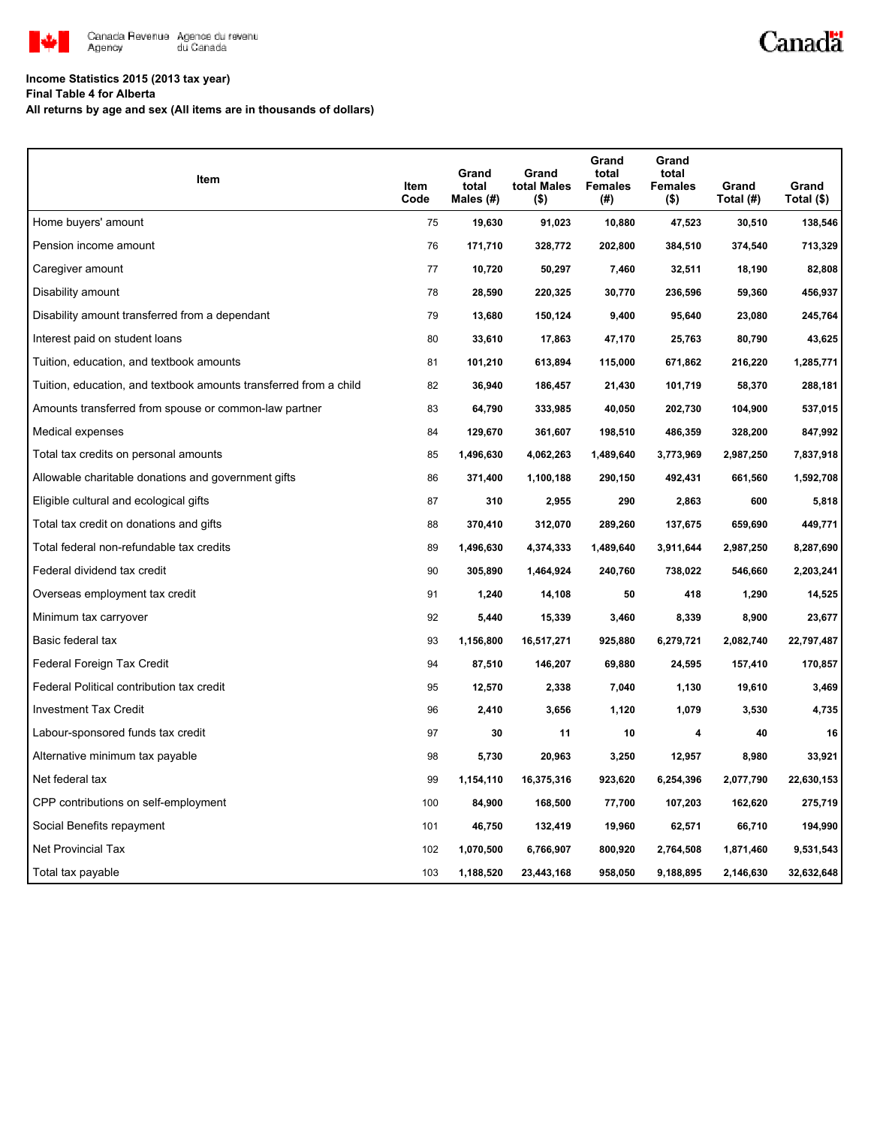

# Canadä

### **Income Statistics 2015 (2013 tax year)**

**Final Table 4 for Alberta**

**All returns by age and sex (All items are in thousands of dollars)**

| Item                                                              | Item<br>Code | Grand<br>total<br>Males (#) | Grand<br>total Males<br>(\$) | Grand<br>total<br><b>Females</b><br>(# ) | Grand<br>total<br><b>Females</b><br>(\$) | Grand<br>Total (#) | Grand<br>Total (\$) |
|-------------------------------------------------------------------|--------------|-----------------------------|------------------------------|------------------------------------------|------------------------------------------|--------------------|---------------------|
| Home buyers' amount                                               | 75           | 19,630                      | 91,023                       | 10,880                                   | 47,523                                   | 30,510             | 138,546             |
| Pension income amount                                             | 76           | 171,710                     | 328,772                      | 202,800                                  | 384,510                                  | 374,540            | 713,329             |
| Caregiver amount                                                  | 77           | 10,720                      | 50,297                       | 7,460                                    | 32,511                                   | 18,190             | 82,808              |
| Disability amount                                                 | 78           | 28,590                      | 220,325                      | 30,770                                   | 236,596                                  | 59,360             | 456,937             |
| Disability amount transferred from a dependant                    | 79           | 13,680                      | 150,124                      | 9,400                                    | 95,640                                   | 23,080             | 245,764             |
| Interest paid on student loans                                    | 80           | 33,610                      | 17,863                       | 47,170                                   | 25,763                                   | 80,790             | 43,625              |
| Tuition, education, and textbook amounts                          | 81           | 101,210                     | 613,894                      | 115,000                                  | 671,862                                  | 216,220            | 1,285,771           |
| Tuition, education, and textbook amounts transferred from a child | 82           | 36,940                      | 186,457                      | 21,430                                   | 101,719                                  | 58,370             | 288,181             |
| Amounts transferred from spouse or common-law partner             | 83           | 64,790                      | 333,985                      | 40,050                                   | 202,730                                  | 104,900            | 537,015             |
| Medical expenses                                                  | 84           | 129,670                     | 361,607                      | 198,510                                  | 486,359                                  | 328,200            | 847,992             |
| Total tax credits on personal amounts                             | 85           | 1,496,630                   | 4,062,263                    | 1,489,640                                | 3,773,969                                | 2,987,250          | 7,837,918           |
| Allowable charitable donations and government gifts               | 86           | 371,400                     | 1,100,188                    | 290,150                                  | 492,431                                  | 661,560            | 1,592,708           |
| Eligible cultural and ecological gifts                            | 87           | 310                         | 2,955                        | 290                                      | 2,863                                    | 600                | 5,818               |
| Total tax credit on donations and gifts                           | 88           | 370,410                     | 312,070                      | 289,260                                  | 137,675                                  | 659,690            | 449,771             |
| Total federal non-refundable tax credits                          | 89           | 1,496,630                   | 4,374,333                    | 1,489,640                                | 3,911,644                                | 2,987,250          | 8,287,690           |
| Federal dividend tax credit                                       | 90           | 305,890                     | 1,464,924                    | 240,760                                  | 738,022                                  | 546,660            | 2,203,241           |
| Overseas employment tax credit                                    | 91           | 1,240                       | 14,108                       | 50                                       | 418                                      | 1,290              | 14,525              |
| Minimum tax carryover                                             | 92           | 5,440                       | 15,339                       | 3,460                                    | 8,339                                    | 8,900              | 23,677              |
| Basic federal tax                                                 | 93           | 1,156,800                   | 16,517,271                   | 925,880                                  | 6,279,721                                | 2,082,740          | 22,797,487          |
| Federal Foreign Tax Credit                                        | 94           | 87,510                      | 146,207                      | 69,880                                   | 24,595                                   | 157,410            | 170,857             |
| Federal Political contribution tax credit                         | 95           | 12,570                      | 2,338                        | 7,040                                    | 1,130                                    | 19,610             | 3,469               |
| <b>Investment Tax Credit</b>                                      | 96           | 2,410                       | 3,656                        | 1,120                                    | 1,079                                    | 3,530              | 4,735               |
| Labour-sponsored funds tax credit                                 | 97           | 30                          | 11                           | 10                                       | 4                                        | 40                 | 16                  |
| Alternative minimum tax payable                                   | 98           | 5,730                       | 20,963                       | 3,250                                    | 12,957                                   | 8,980              | 33,921              |
| Net federal tax                                                   | 99           | 1,154,110                   | 16,375,316                   | 923,620                                  | 6,254,396                                | 2,077,790          | 22,630,153          |
| CPP contributions on self-employment                              | 100          | 84,900                      | 168,500                      | 77,700                                   | 107,203                                  | 162,620            | 275,719             |
| Social Benefits repayment                                         | 101          | 46,750                      | 132,419                      | 19,960                                   | 62,571                                   | 66,710             | 194,990             |
| Net Provincial Tax                                                | 102          | 1,070,500                   | 6,766,907                    | 800,920                                  | 2,764,508                                | 1,871,460          | 9,531,543           |
| Total tax payable                                                 | 103          | 1,188,520                   | 23,443,168                   | 958,050                                  | 9,188,895                                | 2,146,630          | 32,632,648          |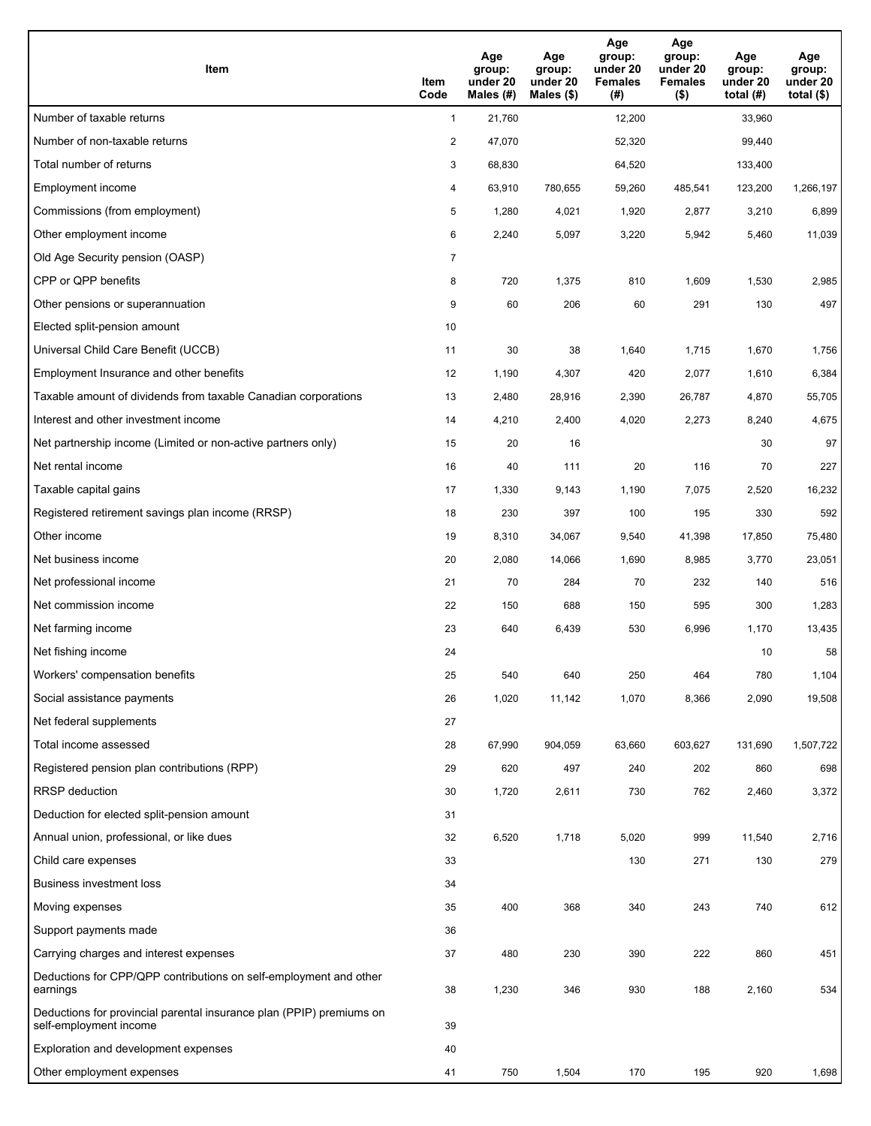| Item                                                                                           | Item<br>Code   | Age<br>group:<br>under 20<br>Males (#) | Age<br>group:<br>under 20<br>Males (\$) | Age<br>group:<br>under 20<br><b>Females</b><br>(#) | Age<br>group:<br>under 20<br><b>Females</b><br>$($ \$) | Age<br>group:<br>under 20<br>total $(#)$ | Age<br>group:<br>under 20<br>total $($)$ |
|------------------------------------------------------------------------------------------------|----------------|----------------------------------------|-----------------------------------------|----------------------------------------------------|--------------------------------------------------------|------------------------------------------|------------------------------------------|
| Number of taxable returns                                                                      | $\mathbf{1}$   | 21,760                                 |                                         | 12,200                                             |                                                        | 33,960                                   |                                          |
| Number of non-taxable returns                                                                  | $\overline{2}$ | 47,070                                 |                                         | 52,320                                             |                                                        | 99,440                                   |                                          |
| Total number of returns                                                                        | 3              | 68,830                                 |                                         | 64,520                                             |                                                        | 133,400                                  |                                          |
| <b>Employment income</b>                                                                       | 4              | 63,910                                 | 780,655                                 | 59,260                                             | 485,541                                                | 123,200                                  | 1,266,197                                |
| Commissions (from employment)                                                                  | 5              | 1,280                                  | 4,021                                   | 1,920                                              | 2,877                                                  | 3,210                                    | 6,899                                    |
| Other employment income                                                                        | 6              | 2,240                                  | 5,097                                   | 3,220                                              | 5,942                                                  | 5,460                                    | 11,039                                   |
| Old Age Security pension (OASP)                                                                | $\overline{7}$ |                                        |                                         |                                                    |                                                        |                                          |                                          |
| CPP or QPP benefits                                                                            | 8              | 720                                    | 1,375                                   | 810                                                | 1,609                                                  | 1,530                                    | 2,985                                    |
| Other pensions or superannuation                                                               | 9              | 60                                     | 206                                     | 60                                                 | 291                                                    | 130                                      | 497                                      |
| Elected split-pension amount                                                                   | 10             |                                        |                                         |                                                    |                                                        |                                          |                                          |
| Universal Child Care Benefit (UCCB)                                                            | 11             | 30                                     | 38                                      | 1,640                                              | 1,715                                                  | 1,670                                    | 1,756                                    |
| Employment Insurance and other benefits                                                        | 12             | 1,190                                  | 4,307                                   | 420                                                | 2,077                                                  | 1,610                                    | 6,384                                    |
| Taxable amount of dividends from taxable Canadian corporations                                 | 13             | 2,480                                  | 28,916                                  | 2,390                                              | 26,787                                                 | 4,870                                    | 55,705                                   |
| Interest and other investment income                                                           | 14             | 4,210                                  | 2,400                                   | 4,020                                              | 2,273                                                  | 8,240                                    | 4,675                                    |
| Net partnership income (Limited or non-active partners only)                                   | 15             | 20                                     | 16                                      |                                                    |                                                        | 30                                       | 97                                       |
| Net rental income                                                                              | 16             | 40                                     | 111                                     | 20                                                 | 116                                                    | 70                                       | 227                                      |
| Taxable capital gains                                                                          | 17             | 1,330                                  | 9,143                                   | 1,190                                              | 7,075                                                  | 2,520                                    | 16,232                                   |
| Registered retirement savings plan income (RRSP)                                               | 18             | 230                                    | 397                                     | 100                                                | 195                                                    | 330                                      | 592                                      |
| Other income                                                                                   | 19             | 8,310                                  | 34,067                                  | 9,540                                              | 41,398                                                 | 17,850                                   | 75,480                                   |
| Net business income                                                                            | 20             | 2,080                                  | 14,066                                  | 1,690                                              | 8,985                                                  | 3,770                                    | 23,051                                   |
| Net professional income                                                                        | 21             | 70                                     | 284                                     | 70                                                 | 232                                                    | 140                                      | 516                                      |
| Net commission income                                                                          | 22             | 150                                    | 688                                     | 150                                                | 595                                                    | 300                                      | 1,283                                    |
| Net farming income                                                                             | 23             | 640                                    | 6,439                                   | 530                                                | 6,996                                                  | 1,170                                    | 13,435                                   |
| Net fishing income                                                                             | 24             |                                        |                                         |                                                    |                                                        | 10                                       | 58                                       |
| Workers' compensation benefits                                                                 | 25             | 540                                    | 640                                     | 250                                                | 464                                                    | 780                                      | 1,104                                    |
| Social assistance payments                                                                     | 26             | 1,020                                  | 11,142                                  | 1,070                                              | 8,366                                                  | 2,090                                    | 19,508                                   |
| Net federal supplements                                                                        | 27             |                                        |                                         |                                                    |                                                        |                                          |                                          |
| Total income assessed                                                                          | 28             | 67,990                                 | 904,059                                 | 63,660                                             | 603,627                                                | 131,690                                  | 1,507,722                                |
| Registered pension plan contributions (RPP)                                                    | 29             | 620                                    | 497                                     | 240                                                | 202                                                    | 860                                      | 698                                      |
| RRSP deduction                                                                                 | 30             | 1,720                                  | 2,611                                   | 730                                                | 762                                                    | 2,460                                    | 3,372                                    |
| Deduction for elected split-pension amount                                                     | 31             |                                        |                                         |                                                    |                                                        |                                          |                                          |
| Annual union, professional, or like dues                                                       | 32             | 6,520                                  | 1,718                                   | 5,020                                              | 999                                                    | 11,540                                   | 2,716                                    |
| Child care expenses                                                                            | 33             |                                        |                                         | 130                                                | 271                                                    | 130                                      | 279                                      |
| Business investment loss                                                                       | 34             |                                        |                                         |                                                    |                                                        |                                          |                                          |
| Moving expenses                                                                                | 35             | 400                                    | 368                                     | 340                                                | 243                                                    | 740                                      | 612                                      |
| Support payments made                                                                          | 36             |                                        |                                         |                                                    |                                                        |                                          |                                          |
| Carrying charges and interest expenses                                                         | 37             | 480                                    | 230                                     | 390                                                | 222                                                    | 860                                      | 451                                      |
| Deductions for CPP/QPP contributions on self-employment and other<br>earnings                  | 38             | 1,230                                  | 346                                     | 930                                                | 188                                                    | 2,160                                    | 534                                      |
| Deductions for provincial parental insurance plan (PPIP) premiums on<br>self-employment income | 39             |                                        |                                         |                                                    |                                                        |                                          |                                          |
| Exploration and development expenses                                                           | 40             |                                        |                                         |                                                    |                                                        |                                          |                                          |
| Other employment expenses                                                                      | 41             | 750                                    | 1,504                                   | 170                                                | 195                                                    | 920                                      | 1,698                                    |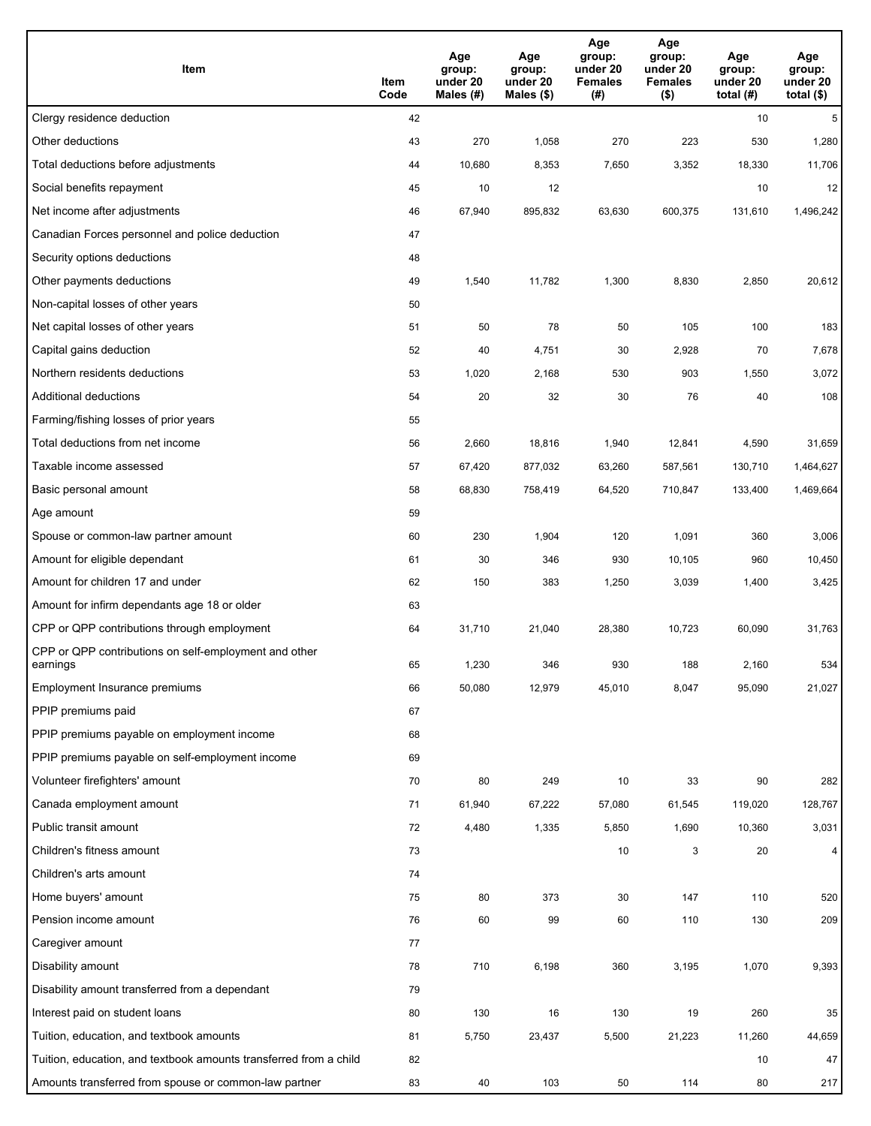| Item                                                              | Item<br>Code | Age<br>group:<br>under 20<br>Males (#) | Age<br>group:<br>under 20<br>Males (\$) | Age<br>group:<br>under 20<br><b>Females</b><br>(#) | Age<br>group:<br>under 20<br><b>Females</b><br>$($ \$) | Age<br>group:<br>under 20<br>total $(H)$ | Age<br>group:<br>under 20<br>total $($)$ |
|-------------------------------------------------------------------|--------------|----------------------------------------|-----------------------------------------|----------------------------------------------------|--------------------------------------------------------|------------------------------------------|------------------------------------------|
| Clergy residence deduction                                        | 42           |                                        |                                         |                                                    |                                                        | 10                                       | 5                                        |
| Other deductions                                                  | 43           | 270                                    | 1,058                                   | 270                                                | 223                                                    | 530                                      | 1,280                                    |
| Total deductions before adjustments                               | 44           | 10,680                                 | 8,353                                   | 7,650                                              | 3,352                                                  | 18,330                                   | 11,706                                   |
| Social benefits repayment                                         | 45           | 10                                     | 12                                      |                                                    |                                                        | 10                                       | 12                                       |
| Net income after adjustments                                      | 46           | 67,940                                 | 895,832                                 | 63,630                                             | 600,375                                                | 131,610                                  | 1,496,242                                |
| Canadian Forces personnel and police deduction                    | 47           |                                        |                                         |                                                    |                                                        |                                          |                                          |
| Security options deductions                                       | 48           |                                        |                                         |                                                    |                                                        |                                          |                                          |
| Other payments deductions                                         | 49           | 1,540                                  | 11,782                                  | 1,300                                              | 8,830                                                  | 2,850                                    | 20,612                                   |
| Non-capital losses of other years                                 | 50           |                                        |                                         |                                                    |                                                        |                                          |                                          |
| Net capital losses of other years                                 | 51           | 50                                     | 78                                      | 50                                                 | 105                                                    | 100                                      | 183                                      |
| Capital gains deduction                                           | 52           | 40                                     | 4,751                                   | 30                                                 | 2,928                                                  | 70                                       | 7,678                                    |
| Northern residents deductions                                     | 53           | 1,020                                  | 2,168                                   | 530                                                | 903                                                    | 1,550                                    | 3,072                                    |
| Additional deductions                                             | 54           | 20                                     | 32                                      | 30                                                 | 76                                                     | 40                                       | 108                                      |
| Farming/fishing losses of prior years                             | 55           |                                        |                                         |                                                    |                                                        |                                          |                                          |
| Total deductions from net income                                  | 56           | 2,660                                  | 18,816                                  | 1,940                                              | 12,841                                                 | 4,590                                    | 31,659                                   |
| Taxable income assessed                                           | 57           | 67,420                                 | 877,032                                 | 63,260                                             | 587,561                                                | 130,710                                  | 1,464,627                                |
| Basic personal amount                                             | 58           | 68,830                                 | 758,419                                 | 64,520                                             | 710,847                                                | 133,400                                  | 1,469,664                                |
| Age amount                                                        | 59           |                                        |                                         |                                                    |                                                        |                                          |                                          |
| Spouse or common-law partner amount                               | 60           | 230                                    | 1,904                                   | 120                                                | 1,091                                                  | 360                                      | 3,006                                    |
| Amount for eligible dependant                                     | 61           | 30                                     | 346                                     | 930                                                | 10,105                                                 | 960                                      | 10,450                                   |
| Amount for children 17 and under                                  | 62           | 150                                    | 383                                     | 1,250                                              | 3,039                                                  | 1,400                                    | 3,425                                    |
| Amount for infirm dependants age 18 or older                      | 63           |                                        |                                         |                                                    |                                                        |                                          |                                          |
| CPP or QPP contributions through employment                       | 64           | 31,710                                 | 21,040                                  | 28,380                                             | 10,723                                                 | 60,090                                   | 31,763                                   |
| CPP or QPP contributions on self-employment and other<br>earnings | 65           | 1,230                                  | 346                                     | 930                                                | 188                                                    | 2,160                                    | 534                                      |
| Employment Insurance premiums                                     | 66           | 50,080                                 | 12,979                                  | 45,010                                             | 8,047                                                  | 95,090                                   | 21,027                                   |
| PPIP premiums paid                                                | 67           |                                        |                                         |                                                    |                                                        |                                          |                                          |
| PPIP premiums payable on employment income                        | 68           |                                        |                                         |                                                    |                                                        |                                          |                                          |
| PPIP premiums payable on self-employment income                   | 69           |                                        |                                         |                                                    |                                                        |                                          |                                          |
| Volunteer firefighters' amount                                    | 70           | 80                                     | 249                                     | 10                                                 | 33                                                     | 90                                       | 282                                      |
| Canada employment amount                                          | 71           | 61,940                                 | 67,222                                  | 57,080                                             | 61,545                                                 | 119,020                                  | 128,767                                  |
| Public transit amount                                             | 72           | 4,480                                  | 1,335                                   | 5,850                                              | 1,690                                                  | 10,360                                   | 3,031                                    |
| Children's fitness amount                                         | 73           |                                        |                                         | 10                                                 | 3                                                      | 20                                       | $\overline{4}$                           |
| Children's arts amount                                            | 74           |                                        |                                         |                                                    |                                                        |                                          |                                          |
| Home buyers' amount                                               | 75           | 80                                     | 373                                     | 30                                                 | 147                                                    | 110                                      | 520                                      |
| Pension income amount                                             | 76           | 60                                     | 99                                      | 60                                                 | 110                                                    | 130                                      | 209                                      |
| Caregiver amount                                                  | 77           |                                        |                                         |                                                    |                                                        |                                          |                                          |
| Disability amount                                                 | 78           | 710                                    | 6,198                                   | 360                                                | 3,195                                                  | 1,070                                    | 9,393                                    |
| Disability amount transferred from a dependant                    | 79           |                                        |                                         |                                                    |                                                        |                                          |                                          |
| Interest paid on student loans                                    | 80           | 130                                    | 16                                      | 130                                                | 19                                                     | 260                                      | 35                                       |
| Tuition, education, and textbook amounts                          | 81           | 5,750                                  | 23,437                                  | 5,500                                              | 21,223                                                 | 11,260                                   | 44,659                                   |
| Tuition, education, and textbook amounts transferred from a child | 82           |                                        |                                         |                                                    |                                                        | 10                                       | 47                                       |
| Amounts transferred from spouse or common-law partner             | 83           | 40                                     | 103                                     | 50                                                 | 114                                                    | 80                                       | 217                                      |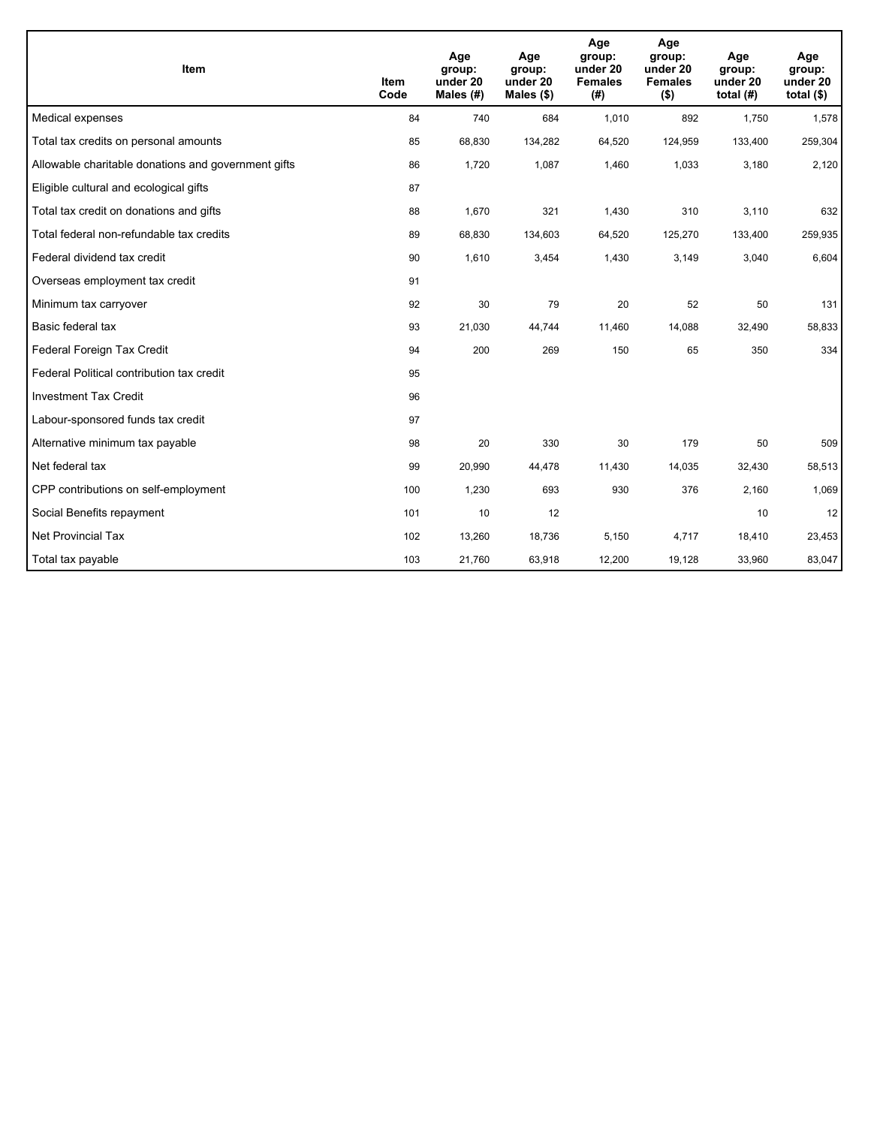| Item                                                | <b>Item</b><br>Code | Age<br>group:<br>under 20<br>Males $(H)$ | Age<br>group:<br>under 20<br>Males $(\$)$ | Age<br>group:<br>under 20<br><b>Females</b><br>(# ) | Age<br>group:<br>under 20<br><b>Females</b><br>$($ \$) | Age<br>group:<br>under 20<br>total $(H)$ | Age<br>group:<br>under 20<br>total $($)$ |
|-----------------------------------------------------|---------------------|------------------------------------------|-------------------------------------------|-----------------------------------------------------|--------------------------------------------------------|------------------------------------------|------------------------------------------|
| Medical expenses                                    | 84                  | 740                                      | 684                                       | 1,010                                               | 892                                                    | 1,750                                    | 1,578                                    |
| Total tax credits on personal amounts               | 85                  | 68,830                                   | 134,282                                   | 64,520                                              | 124,959                                                | 133,400                                  | 259,304                                  |
| Allowable charitable donations and government gifts | 86                  | 1,720                                    | 1,087                                     | 1,460                                               | 1,033                                                  | 3,180                                    | 2,120                                    |
| Eligible cultural and ecological gifts              | 87                  |                                          |                                           |                                                     |                                                        |                                          |                                          |
| Total tax credit on donations and gifts             | 88                  | 1,670                                    | 321                                       | 1,430                                               | 310                                                    | 3,110                                    | 632                                      |
| Total federal non-refundable tax credits            | 89                  | 68,830                                   | 134,603                                   | 64,520                                              | 125,270                                                | 133,400                                  | 259,935                                  |
| Federal dividend tax credit                         | 90                  | 1,610                                    | 3,454                                     | 1,430                                               | 3,149                                                  | 3,040                                    | 6,604                                    |
| Overseas employment tax credit                      | 91                  |                                          |                                           |                                                     |                                                        |                                          |                                          |
| Minimum tax carryover                               | 92                  | 30                                       | 79                                        | 20                                                  | 52                                                     | 50                                       | 131                                      |
| Basic federal tax                                   | 93                  | 21,030                                   | 44,744                                    | 11,460                                              | 14,088                                                 | 32,490                                   | 58,833                                   |
| Federal Foreign Tax Credit                          | 94                  | 200                                      | 269                                       | 150                                                 | 65                                                     | 350                                      | 334                                      |
| Federal Political contribution tax credit           | 95                  |                                          |                                           |                                                     |                                                        |                                          |                                          |
| <b>Investment Tax Credit</b>                        | 96                  |                                          |                                           |                                                     |                                                        |                                          |                                          |
| Labour-sponsored funds tax credit                   | 97                  |                                          |                                           |                                                     |                                                        |                                          |                                          |
| Alternative minimum tax payable                     | 98                  | 20                                       | 330                                       | 30                                                  | 179                                                    | 50                                       | 509                                      |
| Net federal tax                                     | 99                  | 20,990                                   | 44,478                                    | 11,430                                              | 14,035                                                 | 32,430                                   | 58,513                                   |
| CPP contributions on self-employment                | 100                 | 1,230                                    | 693                                       | 930                                                 | 376                                                    | 2,160                                    | 1,069                                    |
| Social Benefits repayment                           | 101                 | 10                                       | 12                                        |                                                     |                                                        | 10                                       | 12                                       |
| <b>Net Provincial Tax</b>                           | 102                 | 13,260                                   | 18,736                                    | 5,150                                               | 4,717                                                  | 18,410                                   | 23,453                                   |
| Total tax payable                                   | 103                 | 21,760                                   | 63,918                                    | 12,200                                              | 19,128                                                 | 33,960                                   | 83,047                                   |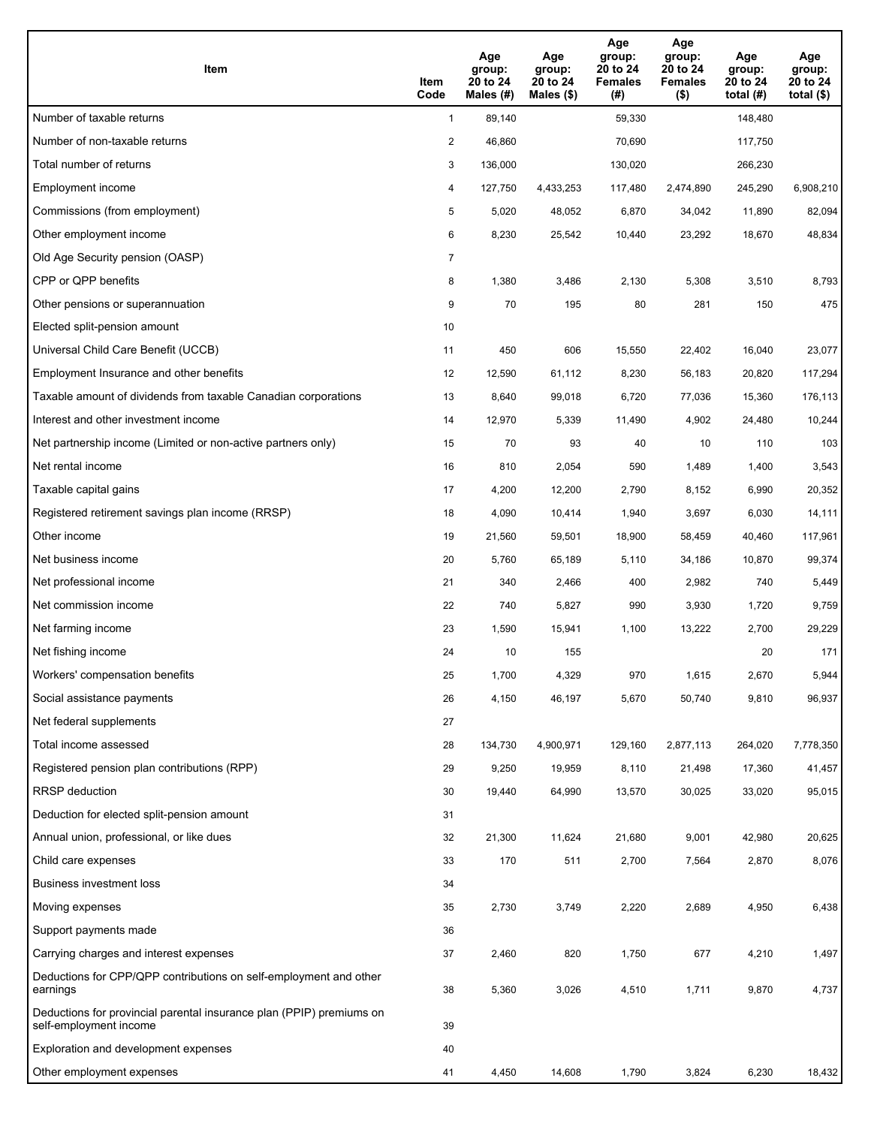| Item                                                                                           | Item<br>Code | Age<br>group:<br>20 to 24<br>Males (#) | Age<br>group:<br>20 to 24<br>Males $(\$)$ | Age<br>group:<br>20 to 24<br><b>Females</b><br>(#) | Age<br>group:<br>20 to 24<br><b>Females</b><br>$($ \$) | Age<br>group:<br>20 to 24<br>total $(H)$ | Age<br>group:<br>20 to 24<br>total $($ |
|------------------------------------------------------------------------------------------------|--------------|----------------------------------------|-------------------------------------------|----------------------------------------------------|--------------------------------------------------------|------------------------------------------|----------------------------------------|
| Number of taxable returns                                                                      | $\mathbf{1}$ | 89,140                                 |                                           | 59,330                                             |                                                        | 148,480                                  |                                        |
| Number of non-taxable returns                                                                  | 2            | 46,860                                 |                                           | 70,690                                             |                                                        | 117,750                                  |                                        |
| Total number of returns                                                                        | 3            | 136,000                                |                                           | 130,020                                            |                                                        | 266,230                                  |                                        |
| Employment income                                                                              | 4            | 127,750                                | 4,433,253                                 | 117,480                                            | 2,474,890                                              | 245,290                                  | 6,908,210                              |
| Commissions (from employment)                                                                  | 5            | 5,020                                  | 48,052                                    | 6,870                                              | 34,042                                                 | 11,890                                   | 82,094                                 |
| Other employment income                                                                        | 6            | 8,230                                  | 25,542                                    | 10,440                                             | 23,292                                                 | 18,670                                   | 48,834                                 |
| Old Age Security pension (OASP)                                                                | 7            |                                        |                                           |                                                    |                                                        |                                          |                                        |
| CPP or QPP benefits                                                                            | 8            | 1,380                                  | 3,486                                     | 2,130                                              | 5,308                                                  | 3,510                                    | 8,793                                  |
| Other pensions or superannuation                                                               | 9            | 70                                     | 195                                       | 80                                                 | 281                                                    | 150                                      | 475                                    |
| Elected split-pension amount                                                                   | 10           |                                        |                                           |                                                    |                                                        |                                          |                                        |
| Universal Child Care Benefit (UCCB)                                                            | 11           | 450                                    | 606                                       | 15,550                                             | 22,402                                                 | 16,040                                   | 23,077                                 |
| Employment Insurance and other benefits                                                        | 12           | 12,590                                 | 61,112                                    | 8,230                                              | 56,183                                                 | 20,820                                   | 117,294                                |
| Taxable amount of dividends from taxable Canadian corporations                                 | 13           | 8,640                                  | 99,018                                    | 6,720                                              | 77,036                                                 | 15,360                                   | 176,113                                |
| Interest and other investment income                                                           | 14           | 12,970                                 | 5,339                                     | 11,490                                             | 4,902                                                  | 24,480                                   | 10,244                                 |
| Net partnership income (Limited or non-active partners only)                                   | 15           | 70                                     | 93                                        | 40                                                 | 10                                                     | 110                                      | 103                                    |
| Net rental income                                                                              | 16           | 810                                    | 2,054                                     | 590                                                | 1,489                                                  | 1,400                                    | 3,543                                  |
| Taxable capital gains                                                                          | 17           | 4,200                                  | 12,200                                    | 2,790                                              | 8,152                                                  | 6,990                                    | 20,352                                 |
| Registered retirement savings plan income (RRSP)                                               | 18           | 4,090                                  | 10,414                                    | 1,940                                              | 3,697                                                  | 6,030                                    | 14,111                                 |
| Other income                                                                                   | 19           | 21,560                                 | 59,501                                    | 18,900                                             | 58,459                                                 | 40,460                                   | 117,961                                |
| Net business income                                                                            | 20           | 5,760                                  | 65,189                                    | 5,110                                              | 34,186                                                 | 10,870                                   | 99,374                                 |
| Net professional income                                                                        | 21           | 340                                    | 2,466                                     | 400                                                | 2,982                                                  | 740                                      | 5,449                                  |
| Net commission income                                                                          | 22           | 740                                    | 5,827                                     | 990                                                | 3,930                                                  | 1,720                                    | 9,759                                  |
| Net farming income                                                                             | 23           | 1,590                                  | 15,941                                    | 1,100                                              | 13,222                                                 | 2,700                                    | 29,229                                 |
| Net fishing income                                                                             | 24           | 10                                     | 155                                       |                                                    |                                                        | 20                                       | 171                                    |
| Workers' compensation benefits                                                                 | 25           | 1,700                                  | 4,329                                     | 970                                                | 1,615                                                  | 2,670                                    | 5,944                                  |
| Social assistance payments                                                                     | 26           | 4,150                                  | 46,197                                    | 5,670                                              | 50,740                                                 | 9,810                                    | 96,937                                 |
| Net federal supplements                                                                        | 27           |                                        |                                           |                                                    |                                                        |                                          |                                        |
| Total income assessed                                                                          | 28           | 134,730                                | 4,900,971                                 | 129,160                                            | 2,877,113                                              | 264,020                                  | 7,778,350                              |
| Registered pension plan contributions (RPP)                                                    | 29           | 9,250                                  | 19,959                                    | 8,110                                              | 21,498                                                 | 17,360                                   | 41,457                                 |
| RRSP deduction                                                                                 | 30           | 19,440                                 | 64,990                                    | 13,570                                             | 30,025                                                 | 33,020                                   | 95,015                                 |
| Deduction for elected split-pension amount                                                     | 31           |                                        |                                           |                                                    |                                                        |                                          |                                        |
| Annual union, professional, or like dues                                                       | 32           | 21,300                                 | 11,624                                    | 21,680                                             | 9,001                                                  | 42,980                                   | 20,625                                 |
| Child care expenses                                                                            | 33           | 170                                    | 511                                       | 2,700                                              | 7,564                                                  | 2,870                                    | 8,076                                  |
| Business investment loss                                                                       | 34           |                                        |                                           |                                                    |                                                        |                                          |                                        |
| Moving expenses                                                                                | 35           | 2,730                                  | 3,749                                     | 2,220                                              | 2,689                                                  | 4,950                                    | 6,438                                  |
| Support payments made                                                                          | 36           |                                        |                                           |                                                    |                                                        |                                          |                                        |
| Carrying charges and interest expenses                                                         | 37           | 2,460                                  | 820                                       | 1,750                                              | 677                                                    | 4,210                                    | 1,497                                  |
| Deductions for CPP/QPP contributions on self-employment and other<br>earnings                  | 38           | 5,360                                  | 3,026                                     | 4,510                                              | 1,711                                                  | 9,870                                    | 4,737                                  |
| Deductions for provincial parental insurance plan (PPIP) premiums on<br>self-employment income | 39           |                                        |                                           |                                                    |                                                        |                                          |                                        |
| Exploration and development expenses                                                           | 40           |                                        |                                           |                                                    |                                                        |                                          |                                        |
| Other employment expenses                                                                      | 41           | 4,450                                  | 14,608                                    | 1,790                                              | 3,824                                                  | 6,230                                    | 18,432                                 |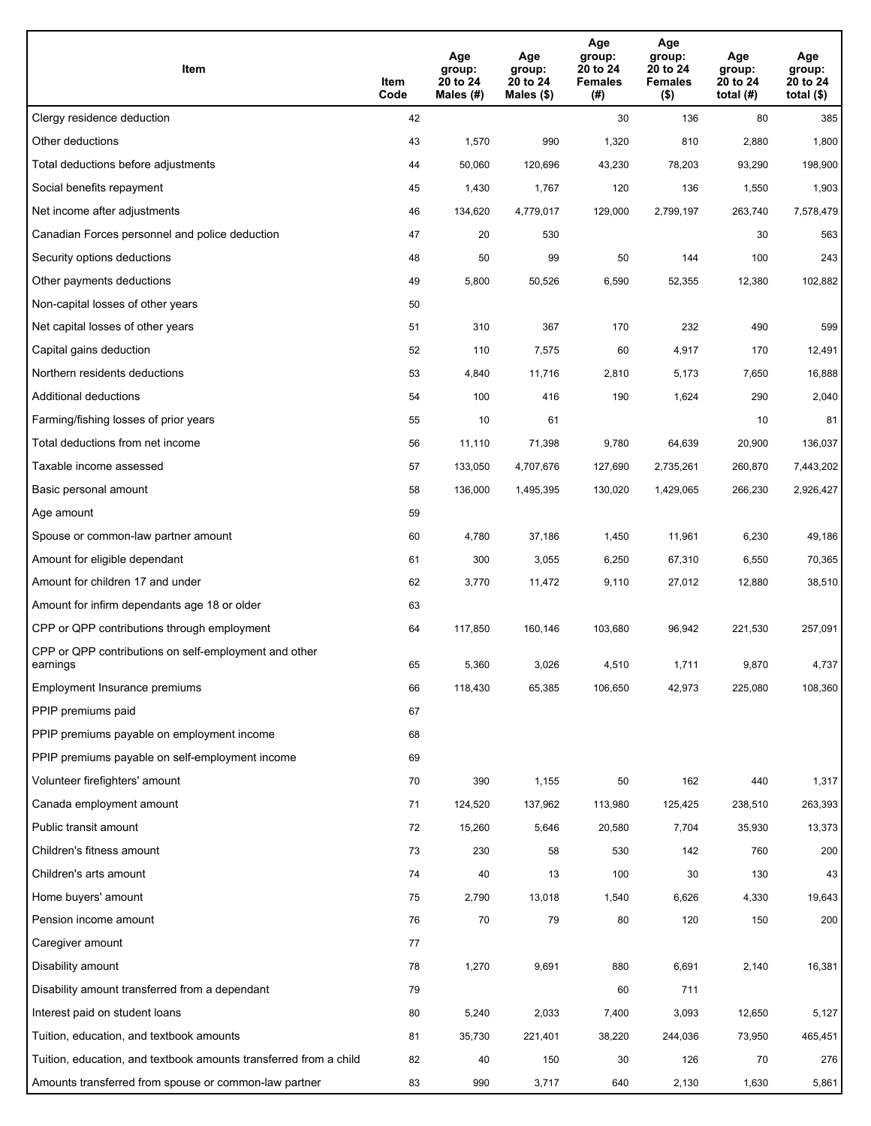| Item                                                              | Item<br>Code | Age<br>group:<br>20 to 24<br>Males (#) | Age<br>group:<br>20 to 24<br>Males (\$) | Age<br>group:<br>20 to 24<br><b>Females</b><br>(#) | Age<br>group:<br>20 to 24<br><b>Females</b><br>$($ \$) | Age<br>group:<br>20 to 24<br>total $(H)$ | Age<br>group:<br>20 to 24<br>total $($)$ |
|-------------------------------------------------------------------|--------------|----------------------------------------|-----------------------------------------|----------------------------------------------------|--------------------------------------------------------|------------------------------------------|------------------------------------------|
| Clergy residence deduction                                        | 42           |                                        |                                         | 30                                                 | 136                                                    | 80                                       | 385                                      |
| Other deductions                                                  | 43           | 1,570                                  | 990                                     | 1,320                                              | 810                                                    | 2,880                                    | 1,800                                    |
| Total deductions before adjustments                               | 44           | 50,060                                 | 120,696                                 | 43,230                                             | 78,203                                                 | 93,290                                   | 198,900                                  |
| Social benefits repayment                                         | 45           | 1,430                                  | 1,767                                   | 120                                                | 136                                                    | 1,550                                    | 1,903                                    |
| Net income after adjustments                                      | 46           | 134,620                                | 4,779,017                               | 129,000                                            | 2,799,197                                              | 263,740                                  | 7,578,479                                |
| Canadian Forces personnel and police deduction                    | 47           | 20                                     | 530                                     |                                                    |                                                        | 30                                       | 563                                      |
| Security options deductions                                       | 48           | 50                                     | 99                                      | 50                                                 | 144                                                    | 100                                      | 243                                      |
| Other payments deductions                                         | 49           | 5,800                                  | 50,526                                  | 6,590                                              | 52,355                                                 | 12,380                                   | 102,882                                  |
| Non-capital losses of other years                                 | 50           |                                        |                                         |                                                    |                                                        |                                          |                                          |
| Net capital losses of other years                                 | 51           | 310                                    | 367                                     | 170                                                | 232                                                    | 490                                      | 599                                      |
| Capital gains deduction                                           | 52           | 110                                    | 7,575                                   | 60                                                 | 4,917                                                  | 170                                      | 12,491                                   |
| Northern residents deductions                                     | 53           | 4,840                                  | 11,716                                  | 2,810                                              | 5,173                                                  | 7,650                                    | 16,888                                   |
| Additional deductions                                             | 54           | 100                                    | 416                                     | 190                                                | 1,624                                                  | 290                                      | 2,040                                    |
| Farming/fishing losses of prior years                             | 55           | 10                                     | 61                                      |                                                    |                                                        | 10                                       | 81                                       |
| Total deductions from net income                                  | 56           | 11,110                                 | 71,398                                  | 9,780                                              | 64,639                                                 | 20,900                                   | 136,037                                  |
| Taxable income assessed                                           | 57           | 133,050                                | 4,707,676                               | 127,690                                            | 2,735,261                                              | 260,870                                  | 7,443,202                                |
| Basic personal amount                                             | 58           | 136,000                                | 1,495,395                               | 130,020                                            | 1,429,065                                              | 266,230                                  | 2,926,427                                |
| Age amount                                                        | 59           |                                        |                                         |                                                    |                                                        |                                          |                                          |
| Spouse or common-law partner amount                               | 60           | 4,780                                  | 37,186                                  | 1,450                                              | 11,961                                                 | 6,230                                    | 49,186                                   |
| Amount for eligible dependant                                     | 61           | 300                                    | 3,055                                   | 6,250                                              | 67,310                                                 | 6,550                                    | 70,365                                   |
| Amount for children 17 and under                                  | 62           | 3,770                                  | 11,472                                  | 9,110                                              | 27,012                                                 | 12,880                                   | 38,510                                   |
| Amount for infirm dependants age 18 or older                      | 63           |                                        |                                         |                                                    |                                                        |                                          |                                          |
| CPP or QPP contributions through employment                       | 64           | 117,850                                | 160,146                                 | 103,680                                            | 96,942                                                 | 221,530                                  | 257,091                                  |
| CPP or QPP contributions on self-employment and other<br>earnings | 65           | 5,360                                  | 3,026                                   | 4,510                                              | 1,711                                                  | 9,870                                    | 4,737                                    |
| Employment Insurance premiums                                     | 66           | 118,430                                | 65,385                                  | 106,650                                            | 42,973                                                 | 225,080                                  | 108,360                                  |
| PPIP premiums paid                                                | 67           |                                        |                                         |                                                    |                                                        |                                          |                                          |
| PPIP premiums payable on employment income                        | 68           |                                        |                                         |                                                    |                                                        |                                          |                                          |
| PPIP premiums payable on self-employment income                   | 69           |                                        |                                         |                                                    |                                                        |                                          |                                          |
| Volunteer firefighters' amount                                    | 70           | 390                                    | 1,155                                   | 50                                                 | 162                                                    | 440                                      | 1,317                                    |
| Canada employment amount                                          | 71           | 124,520                                | 137,962                                 | 113,980                                            | 125,425                                                | 238,510                                  | 263,393                                  |
| Public transit amount                                             | 72           | 15,260                                 | 5,646                                   | 20,580                                             | 7,704                                                  | 35,930                                   | 13,373                                   |
| Children's fitness amount                                         | 73           | 230                                    | 58                                      | 530                                                | 142                                                    | 760                                      | 200                                      |
| Children's arts amount                                            | 74           | 40                                     | 13                                      | 100                                                | 30                                                     | 130                                      | 43                                       |
| Home buyers' amount                                               | 75           | 2,790                                  | 13,018                                  | 1,540                                              | 6,626                                                  | 4,330                                    | 19,643                                   |
| Pension income amount                                             | 76           | 70                                     | 79                                      | 80                                                 | 120                                                    | 150                                      | 200                                      |
| Caregiver amount                                                  | 77           |                                        |                                         |                                                    |                                                        |                                          |                                          |
| Disability amount                                                 | 78           | 1,270                                  | 9,691                                   | 880                                                | 6,691                                                  | 2,140                                    | 16,381                                   |
| Disability amount transferred from a dependant                    | 79           |                                        |                                         | 60                                                 | 711                                                    |                                          |                                          |
| Interest paid on student loans                                    | 80           | 5,240                                  | 2,033                                   | 7,400                                              | 3,093                                                  | 12,650                                   | 5,127                                    |
| Tuition, education, and textbook amounts                          | 81           | 35,730                                 | 221,401                                 | 38,220                                             | 244,036                                                | 73,950                                   | 465,451                                  |
| Tuition, education, and textbook amounts transferred from a child | 82           | 40                                     | 150                                     | 30                                                 | 126                                                    | 70                                       | 276                                      |
| Amounts transferred from spouse or common-law partner             | 83           | 990                                    | 3,717                                   | 640                                                | 2,130                                                  | 1,630                                    | 5,861                                    |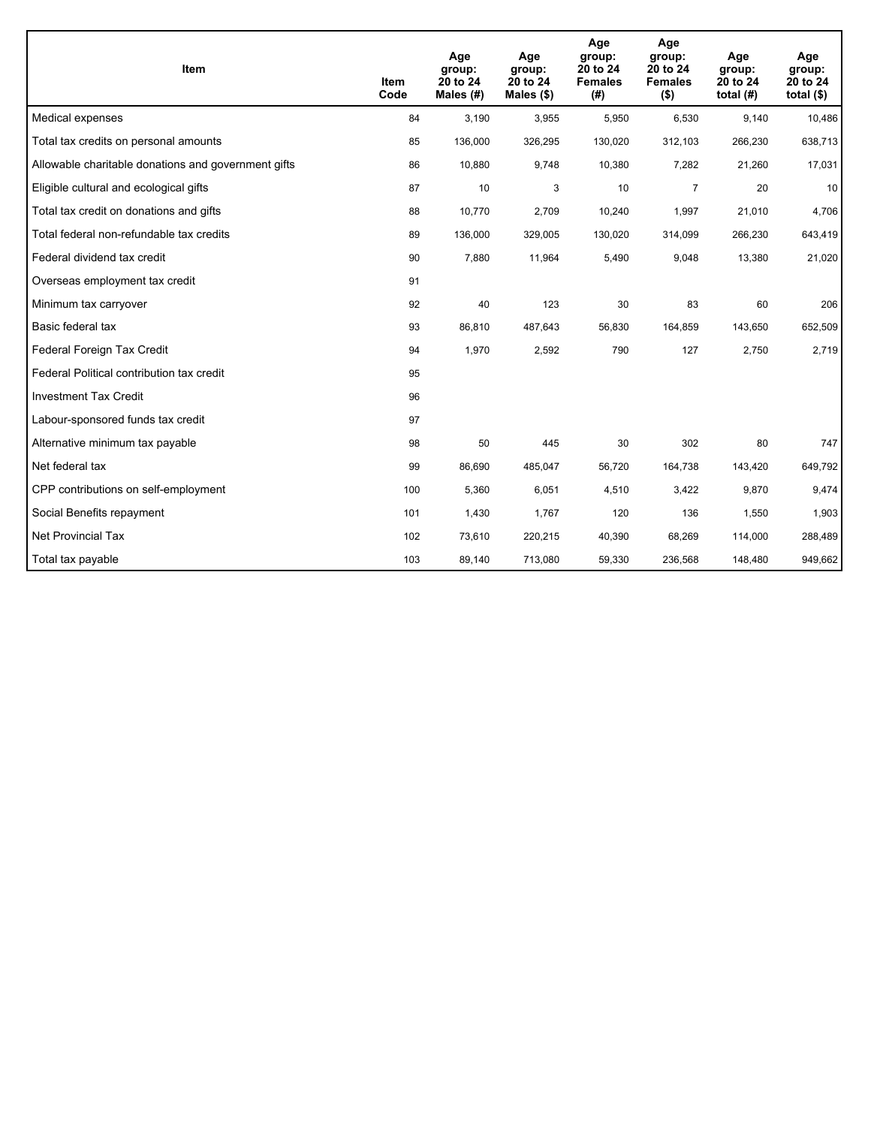| Item                                                | <b>Item</b><br>Code | Age<br>group:<br>20 to 24<br>Males (#) | Age<br>group:<br>20 to 24<br>Males $(\$)$ | Age<br>group:<br>20 to 24<br><b>Females</b><br>(#) | Age<br>group:<br>20 to 24<br><b>Females</b><br>$($ \$) | Age<br>group:<br>20 to 24<br>total $(H)$ | Age<br>group:<br>20 to 24<br>total $($)$ |
|-----------------------------------------------------|---------------------|----------------------------------------|-------------------------------------------|----------------------------------------------------|--------------------------------------------------------|------------------------------------------|------------------------------------------|
| Medical expenses                                    | 84                  | 3,190                                  | 3,955                                     | 5,950                                              | 6,530                                                  | 9,140                                    | 10,486                                   |
| Total tax credits on personal amounts               | 85                  | 136,000                                | 326,295                                   | 130,020                                            | 312,103                                                | 266,230                                  | 638,713                                  |
| Allowable charitable donations and government gifts | 86                  | 10,880                                 | 9,748                                     | 10,380                                             | 7,282                                                  | 21,260                                   | 17,031                                   |
| Eligible cultural and ecological gifts              | 87                  | 10                                     | 3                                         | 10                                                 | $\overline{7}$                                         | 20                                       | 10                                       |
| Total tax credit on donations and gifts             | 88                  | 10,770                                 | 2,709                                     | 10,240                                             | 1,997                                                  | 21,010                                   | 4,706                                    |
| Total federal non-refundable tax credits            | 89                  | 136,000                                | 329,005                                   | 130,020                                            | 314,099                                                | 266,230                                  | 643,419                                  |
| Federal dividend tax credit                         | 90                  | 7,880                                  | 11,964                                    | 5,490                                              | 9,048                                                  | 13,380                                   | 21,020                                   |
| Overseas employment tax credit                      | 91                  |                                        |                                           |                                                    |                                                        |                                          |                                          |
| Minimum tax carryover                               | 92                  | 40                                     | 123                                       | 30                                                 | 83                                                     | 60                                       | 206                                      |
| Basic federal tax                                   | 93                  | 86,810                                 | 487,643                                   | 56,830                                             | 164,859                                                | 143,650                                  | 652,509                                  |
| Federal Foreign Tax Credit                          | 94                  | 1,970                                  | 2,592                                     | 790                                                | 127                                                    | 2,750                                    | 2,719                                    |
| Federal Political contribution tax credit           | 95                  |                                        |                                           |                                                    |                                                        |                                          |                                          |
| <b>Investment Tax Credit</b>                        | 96                  |                                        |                                           |                                                    |                                                        |                                          |                                          |
| Labour-sponsored funds tax credit                   | 97                  |                                        |                                           |                                                    |                                                        |                                          |                                          |
| Alternative minimum tax payable                     | 98                  | 50                                     | 445                                       | 30                                                 | 302                                                    | 80                                       | 747                                      |
| Net federal tax                                     | 99                  | 86,690                                 | 485,047                                   | 56,720                                             | 164,738                                                | 143,420                                  | 649,792                                  |
| CPP contributions on self-employment                | 100                 | 5,360                                  | 6,051                                     | 4,510                                              | 3,422                                                  | 9,870                                    | 9,474                                    |
| Social Benefits repayment                           | 101                 | 1,430                                  | 1,767                                     | 120                                                | 136                                                    | 1,550                                    | 1,903                                    |
| <b>Net Provincial Tax</b>                           | 102                 | 73,610                                 | 220,215                                   | 40,390                                             | 68,269                                                 | 114,000                                  | 288,489                                  |
| Total tax payable                                   | 103                 | 89,140                                 | 713,080                                   | 59,330                                             | 236,568                                                | 148,480                                  | 949,662                                  |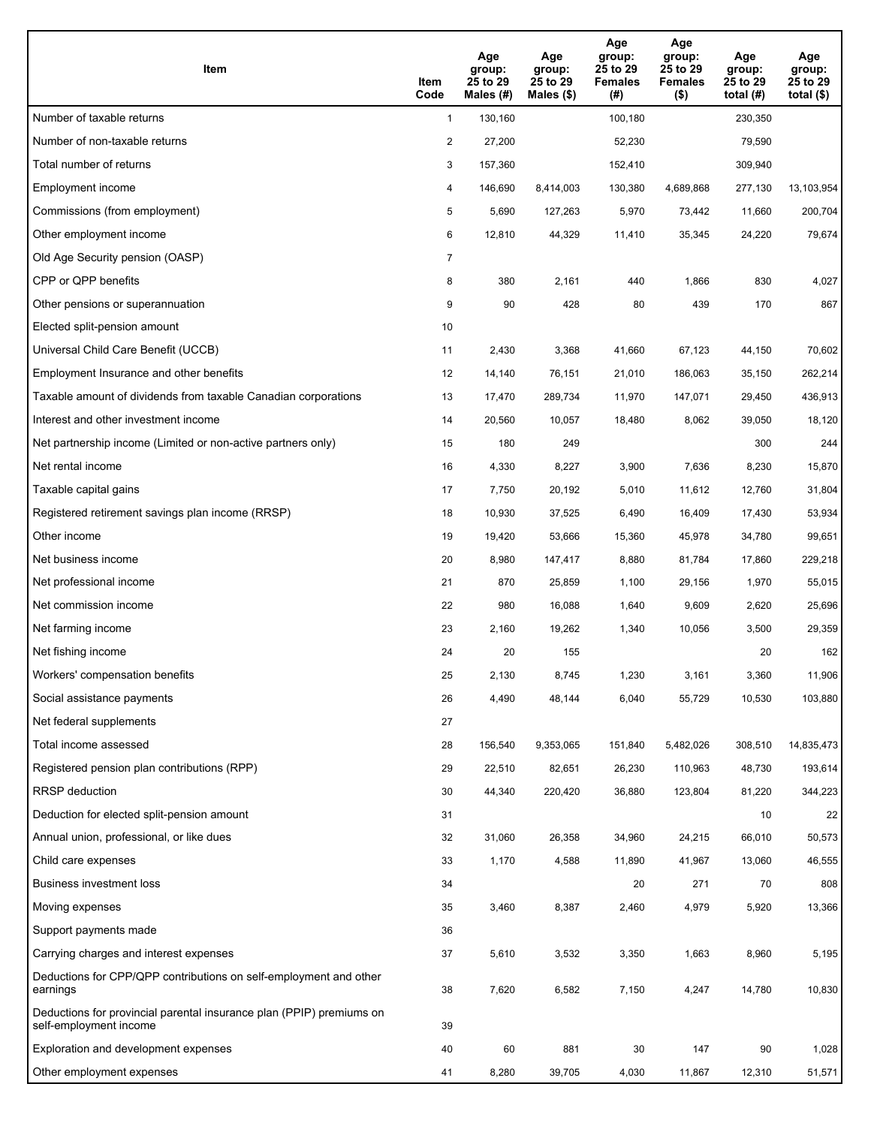| <b>Item</b>                                                                                    | Item<br>Code   | Age<br>group:<br>25 to 29<br>Males (#) | Age<br>group:<br>25 to 29<br>Males (\$) | Age<br>group:<br>25 to 29<br><b>Females</b><br>(#) | Age<br>group:<br>25 to 29<br><b>Females</b><br>$($ \$) | Age<br>group:<br>25 to 29<br>total $(H)$ | Age<br>group:<br>25 to 29<br>total $($ |
|------------------------------------------------------------------------------------------------|----------------|----------------------------------------|-----------------------------------------|----------------------------------------------------|--------------------------------------------------------|------------------------------------------|----------------------------------------|
| Number of taxable returns                                                                      | $\mathbf{1}$   | 130,160                                |                                         | 100,180                                            |                                                        | 230,350                                  |                                        |
| Number of non-taxable returns                                                                  | $\overline{2}$ | 27,200                                 |                                         | 52,230                                             |                                                        | 79,590                                   |                                        |
| Total number of returns                                                                        | 3              | 157,360                                |                                         | 152,410                                            |                                                        | 309,940                                  |                                        |
| Employment income                                                                              | 4              | 146,690                                | 8,414,003                               | 130,380                                            | 4.689.868                                              | 277,130                                  | 13,103,954                             |
| Commissions (from employment)                                                                  | 5              | 5,690                                  | 127,263                                 | 5,970                                              | 73,442                                                 | 11,660                                   | 200,704                                |
| Other employment income                                                                        | 6              | 12,810                                 | 44,329                                  | 11,410                                             | 35,345                                                 | 24,220                                   | 79,674                                 |
| Old Age Security pension (OASP)                                                                | $\overline{7}$ |                                        |                                         |                                                    |                                                        |                                          |                                        |
| CPP or QPP benefits                                                                            | 8              | 380                                    | 2,161                                   | 440                                                | 1,866                                                  | 830                                      | 4,027                                  |
| Other pensions or superannuation                                                               | 9              | 90                                     | 428                                     | 80                                                 | 439                                                    | 170                                      | 867                                    |
| Elected split-pension amount                                                                   | 10             |                                        |                                         |                                                    |                                                        |                                          |                                        |
| Universal Child Care Benefit (UCCB)                                                            | 11             | 2,430                                  | 3,368                                   | 41.660                                             | 67,123                                                 | 44,150                                   | 70,602                                 |
| Employment Insurance and other benefits                                                        | 12             | 14,140                                 | 76,151                                  | 21,010                                             | 186,063                                                | 35,150                                   | 262,214                                |
| Taxable amount of dividends from taxable Canadian corporations                                 | 13             | 17,470                                 | 289,734                                 | 11,970                                             | 147,071                                                | 29,450                                   | 436,913                                |
| Interest and other investment income                                                           | 14             | 20,560                                 | 10,057                                  | 18,480                                             | 8,062                                                  | 39,050                                   | 18,120                                 |
| Net partnership income (Limited or non-active partners only)                                   | 15             | 180                                    | 249                                     |                                                    |                                                        | 300                                      | 244                                    |
| Net rental income                                                                              | 16             | 4,330                                  | 8,227                                   | 3,900                                              | 7,636                                                  | 8,230                                    | 15,870                                 |
| Taxable capital gains                                                                          | 17             | 7,750                                  | 20,192                                  | 5,010                                              | 11,612                                                 | 12,760                                   | 31,804                                 |
| Registered retirement savings plan income (RRSP)                                               | 18             | 10,930                                 | 37,525                                  | 6,490                                              | 16,409                                                 | 17,430                                   | 53,934                                 |
| Other income                                                                                   | 19             | 19,420                                 | 53,666                                  | 15,360                                             | 45,978                                                 | 34,780                                   | 99,651                                 |
| Net business income                                                                            | 20             | 8,980                                  | 147,417                                 | 8,880                                              | 81,784                                                 | 17,860                                   | 229,218                                |
| Net professional income                                                                        | 21             | 870                                    | 25,859                                  | 1,100                                              | 29,156                                                 | 1,970                                    | 55,015                                 |
| Net commission income                                                                          | 22             | 980                                    | 16,088                                  | 1,640                                              | 9,609                                                  | 2,620                                    | 25,696                                 |
| Net farming income                                                                             | 23             | 2,160                                  | 19,262                                  | 1,340                                              | 10,056                                                 | 3,500                                    | 29,359                                 |
| Net fishing income                                                                             | 24             | 20                                     | 155                                     |                                                    |                                                        | 20                                       | 162                                    |
| Workers' compensation benefits                                                                 | 25             | 2,130                                  | 8,745                                   | 1,230                                              | 3,161                                                  | 3,360                                    | 11,906                                 |
| Social assistance payments                                                                     | 26             | 4,490                                  | 48,144                                  | 6,040                                              | 55,729                                                 | 10,530                                   | 103,880                                |
| Net federal supplements                                                                        | 27             |                                        |                                         |                                                    |                                                        |                                          |                                        |
| Total income assessed                                                                          | 28             | 156,540                                | 9,353,065                               | 151,840                                            | 5,482,026                                              | 308,510                                  | 14,835,473                             |
| Registered pension plan contributions (RPP)                                                    | 29             | 22,510                                 | 82,651                                  | 26,230                                             | 110,963                                                | 48,730                                   | 193,614                                |
| RRSP deduction                                                                                 | 30             | 44,340                                 | 220,420                                 | 36,880                                             | 123,804                                                | 81,220                                   | 344,223                                |
| Deduction for elected split-pension amount                                                     | 31             |                                        |                                         |                                                    |                                                        | 10                                       | 22                                     |
| Annual union, professional, or like dues                                                       | 32             | 31,060                                 | 26,358                                  | 34,960                                             | 24,215                                                 | 66,010                                   | 50,573                                 |
| Child care expenses                                                                            | 33             | 1,170                                  | 4,588                                   | 11,890                                             | 41,967                                                 | 13,060                                   | 46,555                                 |
| Business investment loss                                                                       | 34             |                                        |                                         | 20                                                 | 271                                                    | 70                                       | 808                                    |
| Moving expenses                                                                                | 35             | 3,460                                  | 8,387                                   | 2,460                                              | 4,979                                                  | 5,920                                    | 13,366                                 |
| Support payments made                                                                          | 36             |                                        |                                         |                                                    |                                                        |                                          |                                        |
| Carrying charges and interest expenses                                                         | 37             | 5,610                                  | 3,532                                   | 3,350                                              | 1,663                                                  | 8,960                                    | 5,195                                  |
| Deductions for CPP/QPP contributions on self-employment and other<br>earnings                  | 38             | 7,620                                  | 6,582                                   | 7,150                                              | 4,247                                                  | 14,780                                   | 10,830                                 |
| Deductions for provincial parental insurance plan (PPIP) premiums on<br>self-employment income | 39             |                                        |                                         |                                                    |                                                        |                                          |                                        |
| Exploration and development expenses                                                           | 40             | 60                                     | 881                                     | 30                                                 | 147                                                    | 90                                       | 1,028                                  |
| Other employment expenses                                                                      | 41             | 8,280                                  | 39,705                                  | 4,030                                              | 11,867                                                 | 12,310                                   | 51,571                                 |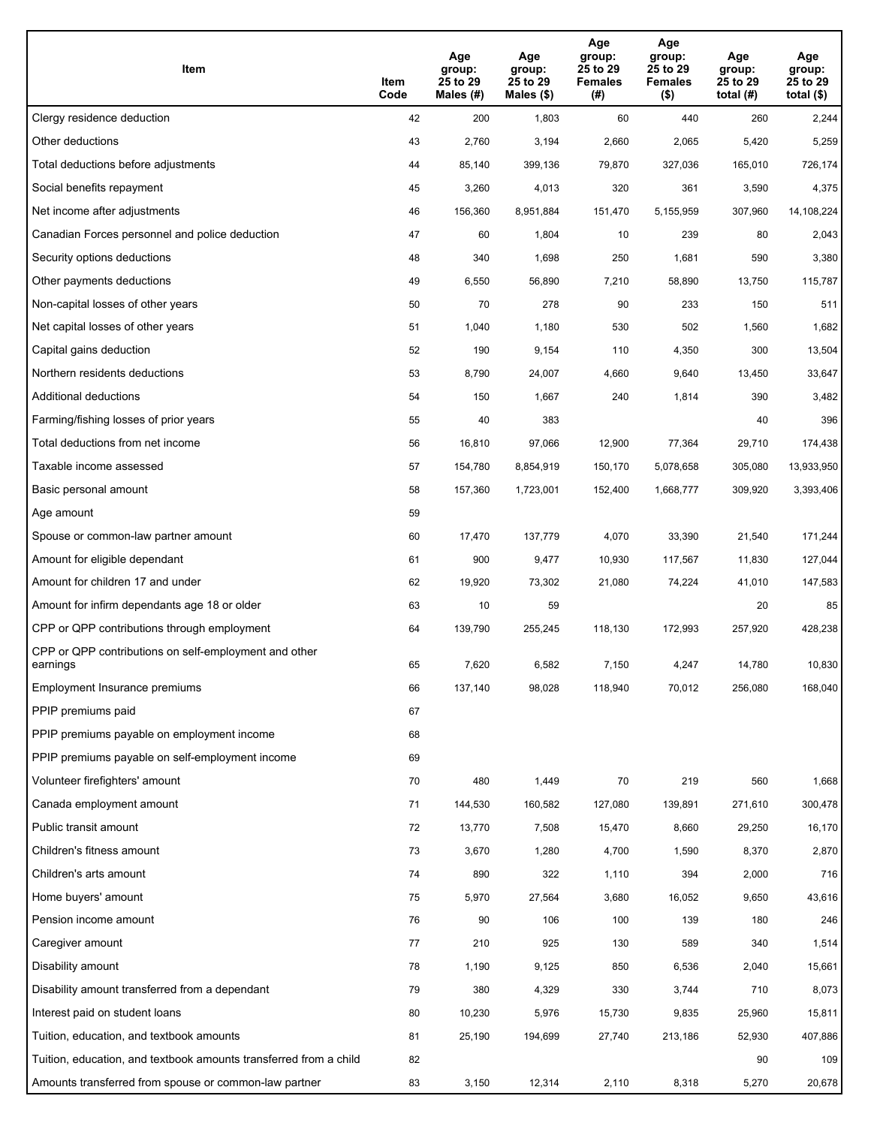| Item                                                              | Item<br>Code | Age<br>group:<br>25 to 29<br>Males (#) | Age<br>group:<br>25 to 29<br>Males (\$) | Age<br>group:<br>25 to 29<br><b>Females</b><br>(#) | Age<br>group:<br>25 to 29<br><b>Females</b><br>$($ \$) | Age<br>group:<br>25 to 29<br>total $(H)$ | Age<br>group:<br>25 to 29<br>total $($)$ |
|-------------------------------------------------------------------|--------------|----------------------------------------|-----------------------------------------|----------------------------------------------------|--------------------------------------------------------|------------------------------------------|------------------------------------------|
| Clergy residence deduction                                        | 42           | 200                                    | 1,803                                   | 60                                                 | 440                                                    | 260                                      | 2,244                                    |
| Other deductions                                                  | 43           | 2,760                                  | 3,194                                   | 2,660                                              | 2,065                                                  | 5,420                                    | 5,259                                    |
| Total deductions before adjustments                               | 44           | 85,140                                 | 399,136                                 | 79,870                                             | 327,036                                                | 165,010                                  | 726,174                                  |
| Social benefits repayment                                         | 45           | 3,260                                  | 4,013                                   | 320                                                | 361                                                    | 3,590                                    | 4,375                                    |
| Net income after adjustments                                      | 46           | 156,360                                | 8,951,884                               | 151,470                                            | 5,155,959                                              | 307,960                                  | 14,108,224                               |
| Canadian Forces personnel and police deduction                    | 47           | 60                                     | 1,804                                   | 10                                                 | 239                                                    | 80                                       | 2,043                                    |
| Security options deductions                                       | 48           | 340                                    | 1,698                                   | 250                                                | 1,681                                                  | 590                                      | 3,380                                    |
| Other payments deductions                                         | 49           | 6,550                                  | 56,890                                  | 7,210                                              | 58,890                                                 | 13,750                                   | 115,787                                  |
| Non-capital losses of other years                                 | 50           | 70                                     | 278                                     | 90                                                 | 233                                                    | 150                                      | 511                                      |
| Net capital losses of other years                                 | 51           | 1,040                                  | 1,180                                   | 530                                                | 502                                                    | 1,560                                    | 1,682                                    |
| Capital gains deduction                                           | 52           | 190                                    | 9,154                                   | 110                                                | 4,350                                                  | 300                                      | 13,504                                   |
| Northern residents deductions                                     | 53           | 8,790                                  | 24,007                                  | 4,660                                              | 9,640                                                  | 13,450                                   | 33,647                                   |
| Additional deductions                                             | 54           | 150                                    | 1,667                                   | 240                                                | 1,814                                                  | 390                                      | 3,482                                    |
| Farming/fishing losses of prior years                             | 55           | 40                                     | 383                                     |                                                    |                                                        | 40                                       | 396                                      |
| Total deductions from net income                                  | 56           | 16,810                                 | 97,066                                  | 12,900                                             | 77,364                                                 | 29,710                                   | 174,438                                  |
| Taxable income assessed                                           | 57           | 154,780                                | 8,854,919                               | 150,170                                            | 5,078,658                                              | 305,080                                  | 13,933,950                               |
| Basic personal amount                                             | 58           | 157,360                                | 1,723,001                               | 152,400                                            | 1,668,777                                              | 309,920                                  | 3,393,406                                |
| Age amount                                                        | 59           |                                        |                                         |                                                    |                                                        |                                          |                                          |
| Spouse or common-law partner amount                               | 60           | 17,470                                 | 137,779                                 | 4,070                                              | 33,390                                                 | 21,540                                   | 171,244                                  |
| Amount for eligible dependant                                     | 61           | 900                                    | 9,477                                   | 10,930                                             | 117,567                                                | 11,830                                   | 127,044                                  |
| Amount for children 17 and under                                  | 62           | 19,920                                 | 73,302                                  | 21,080                                             | 74,224                                                 | 41,010                                   | 147,583                                  |
| Amount for infirm dependants age 18 or older                      | 63           | 10                                     | 59                                      |                                                    |                                                        | 20                                       | 85                                       |
| CPP or QPP contributions through employment                       | 64           | 139,790                                | 255,245                                 | 118,130                                            | 172,993                                                | 257,920                                  | 428,238                                  |
| CPP or QPP contributions on self-employment and other<br>earnings | 65           | 7,620                                  | 6,582                                   | 7,150                                              | 4,247                                                  | 14,780                                   | 10,830                                   |
| Employment Insurance premiums                                     | 66           | 137,140                                | 98,028                                  | 118,940                                            | 70,012                                                 | 256,080                                  | 168,040                                  |
| PPIP premiums paid                                                | 67           |                                        |                                         |                                                    |                                                        |                                          |                                          |
| PPIP premiums payable on employment income                        | 68           |                                        |                                         |                                                    |                                                        |                                          |                                          |
| PPIP premiums payable on self-employment income                   | 69           |                                        |                                         |                                                    |                                                        |                                          |                                          |
| Volunteer firefighters' amount                                    | 70           | 480                                    | 1,449                                   | 70                                                 | 219                                                    | 560                                      | 1,668                                    |
| Canada employment amount                                          | 71           | 144,530                                | 160,582                                 | 127,080                                            | 139,891                                                | 271,610                                  | 300,478                                  |
| Public transit amount                                             | 72           | 13,770                                 | 7,508                                   | 15,470                                             | 8,660                                                  | 29,250                                   | 16,170                                   |
| Children's fitness amount                                         | 73           | 3,670                                  | 1,280                                   | 4,700                                              | 1,590                                                  | 8,370                                    | 2,870                                    |
| Children's arts amount                                            | 74           | 890                                    | 322                                     | 1,110                                              | 394                                                    | 2,000                                    | 716                                      |
| Home buyers' amount                                               | 75           | 5,970                                  | 27,564                                  | 3,680                                              | 16,052                                                 | 9,650                                    | 43,616                                   |
| Pension income amount                                             | 76           | 90                                     | 106                                     | 100                                                | 139                                                    | 180                                      | 246                                      |
| Caregiver amount                                                  | 77           | 210                                    | 925                                     | 130                                                | 589                                                    | 340                                      | 1,514                                    |
| Disability amount                                                 | 78           | 1,190                                  | 9,125                                   | 850                                                | 6,536                                                  | 2,040                                    | 15,661                                   |
| Disability amount transferred from a dependant                    | 79           | 380                                    | 4,329                                   | 330                                                | 3,744                                                  | 710                                      | 8,073                                    |
| Interest paid on student loans                                    | 80           | 10,230                                 | 5,976                                   | 15,730                                             | 9,835                                                  | 25,960                                   | 15,811                                   |
| Tuition, education, and textbook amounts                          | 81           | 25,190                                 | 194,699                                 | 27,740                                             | 213,186                                                | 52,930                                   | 407,886                                  |
| Tuition, education, and textbook amounts transferred from a child | 82           |                                        |                                         |                                                    |                                                        | 90                                       | 109                                      |
| Amounts transferred from spouse or common-law partner             | 83           | 3,150                                  | 12,314                                  | 2,110                                              | 8,318                                                  | 5,270                                    | 20,678                                   |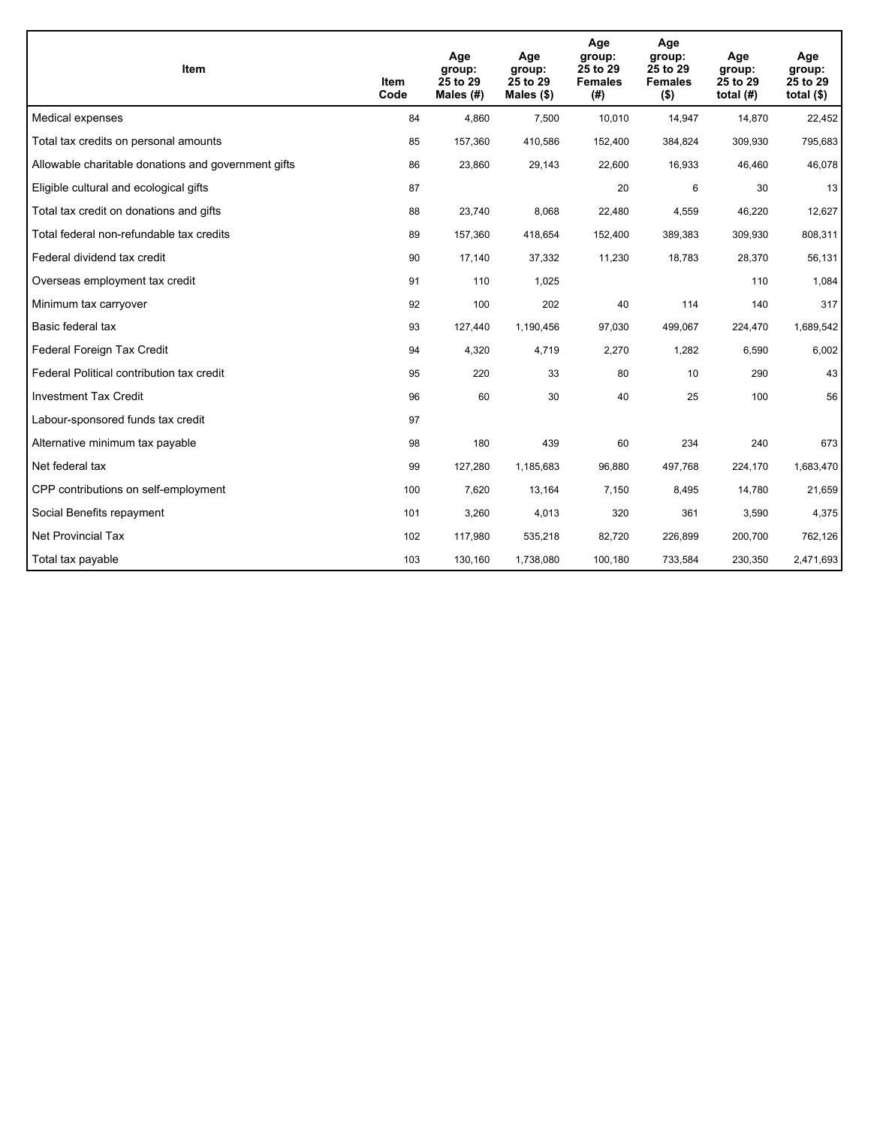| <b>Item</b>                                         | Item<br>Code | Age<br>group:<br>25 to 29<br>Males (#) | Age<br>group:<br>25 to 29<br>Males $(\$)$ | Age<br>group:<br>25 to 29<br><b>Females</b><br>(#) | Age<br>group:<br>25 to 29<br><b>Females</b><br>$($ \$) | Age<br>group:<br>25 to 29<br>total $(H)$ | Age<br>group:<br>25 to 29<br>total $($)$ |
|-----------------------------------------------------|--------------|----------------------------------------|-------------------------------------------|----------------------------------------------------|--------------------------------------------------------|------------------------------------------|------------------------------------------|
| Medical expenses                                    | 84           | 4,860                                  | 7,500                                     | 10,010                                             | 14,947                                                 | 14,870                                   | 22,452                                   |
| Total tax credits on personal amounts               | 85           | 157,360                                | 410,586                                   | 152,400                                            | 384,824                                                | 309,930                                  | 795,683                                  |
| Allowable charitable donations and government gifts | 86           | 23,860                                 | 29,143                                    | 22,600                                             | 16,933                                                 | 46,460                                   | 46,078                                   |
| Eligible cultural and ecological gifts              | 87           |                                        |                                           | 20                                                 | 6                                                      | 30                                       | 13                                       |
| Total tax credit on donations and gifts             | 88           | 23,740                                 | 8,068                                     | 22,480                                             | 4,559                                                  | 46,220                                   | 12,627                                   |
| Total federal non-refundable tax credits            | 89           | 157,360                                | 418,654                                   | 152,400                                            | 389,383                                                | 309,930                                  | 808,311                                  |
| Federal dividend tax credit                         | 90           | 17,140                                 | 37,332                                    | 11,230                                             | 18,783                                                 | 28,370                                   | 56,131                                   |
| Overseas employment tax credit                      | 91           | 110                                    | 1,025                                     |                                                    |                                                        | 110                                      | 1,084                                    |
| Minimum tax carryover                               | 92           | 100                                    | 202                                       | 40                                                 | 114                                                    | 140                                      | 317                                      |
| Basic federal tax                                   | 93           | 127,440                                | 1,190,456                                 | 97,030                                             | 499.067                                                | 224,470                                  | 1,689,542                                |
| Federal Foreign Tax Credit                          | 94           | 4,320                                  | 4,719                                     | 2,270                                              | 1,282                                                  | 6,590                                    | 6,002                                    |
| Federal Political contribution tax credit           | 95           | 220                                    | 33                                        | 80                                                 | 10                                                     | 290                                      | 43                                       |
| <b>Investment Tax Credit</b>                        | 96           | 60                                     | 30                                        | 40                                                 | 25                                                     | 100                                      | 56                                       |
| Labour-sponsored funds tax credit                   | 97           |                                        |                                           |                                                    |                                                        |                                          |                                          |
| Alternative minimum tax payable                     | 98           | 180                                    | 439                                       | 60                                                 | 234                                                    | 240                                      | 673                                      |
| Net federal tax                                     | 99           | 127,280                                | 1,185,683                                 | 96,880                                             | 497,768                                                | 224,170                                  | 1,683,470                                |
| CPP contributions on self-employment                | 100          | 7,620                                  | 13,164                                    | 7,150                                              | 8,495                                                  | 14,780                                   | 21,659                                   |
| Social Benefits repayment                           | 101          | 3,260                                  | 4,013                                     | 320                                                | 361                                                    | 3,590                                    | 4,375                                    |
| Net Provincial Tax                                  | 102          | 117,980                                | 535,218                                   | 82,720                                             | 226.899                                                | 200,700                                  | 762,126                                  |
| Total tax payable                                   | 103          | 130,160                                | 1,738,080                                 | 100,180                                            | 733,584                                                | 230,350                                  | 2,471,693                                |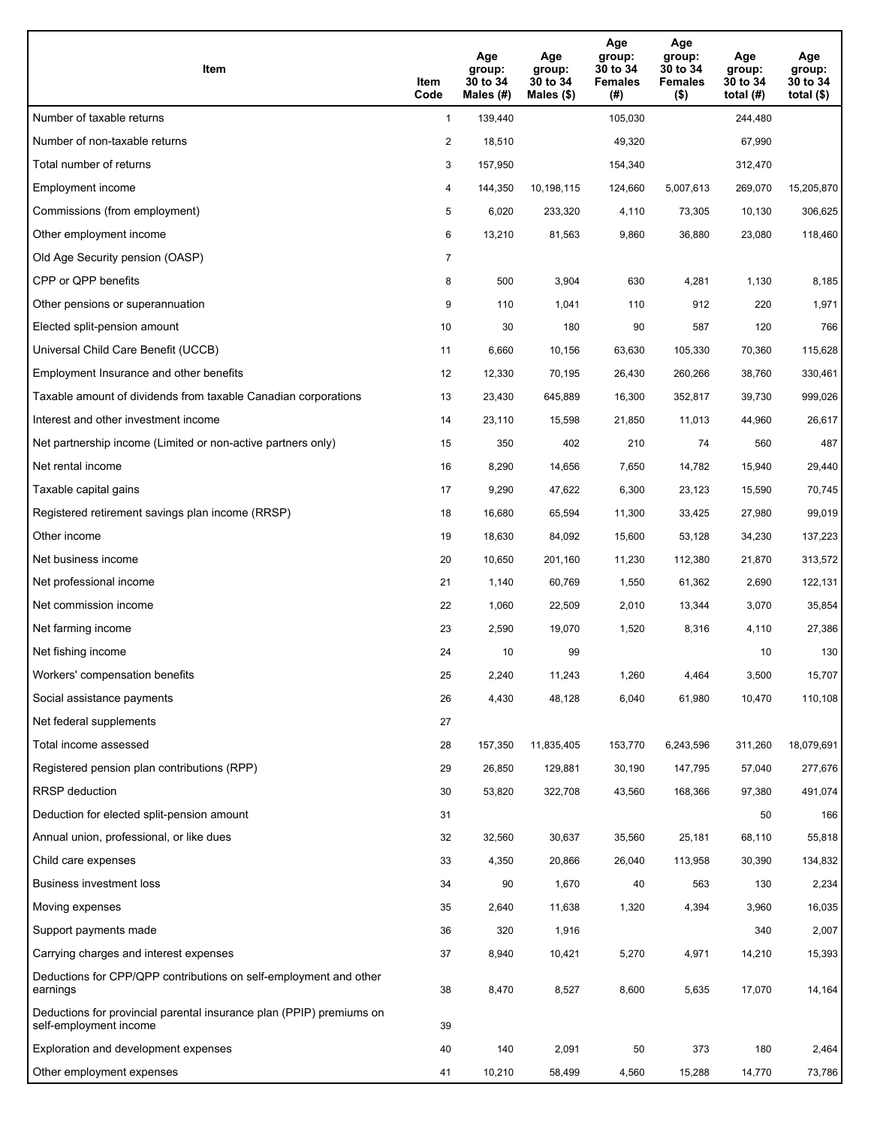| Item                                                                                           | Item<br>Code   | Age<br>group:<br>30 to 34<br>Males (#) | Age<br>group:<br>30 to 34<br>Males $(\$)$ | Age<br>group:<br>30 to 34<br><b>Females</b><br>(#) | Age<br>group:<br>30 to 34<br><b>Females</b><br>$($ \$) | Age<br>group:<br>30 to 34<br>total $(H)$ | Age<br>group:<br>30 to 34<br>total $(\$)$ |
|------------------------------------------------------------------------------------------------|----------------|----------------------------------------|-------------------------------------------|----------------------------------------------------|--------------------------------------------------------|------------------------------------------|-------------------------------------------|
| Number of taxable returns                                                                      | $\mathbf{1}$   | 139,440                                |                                           | 105,030                                            |                                                        | 244,480                                  |                                           |
| Number of non-taxable returns                                                                  | $\overline{2}$ | 18,510                                 |                                           | 49,320                                             |                                                        | 67,990                                   |                                           |
| Total number of returns                                                                        | 3              | 157,950                                |                                           | 154,340                                            |                                                        | 312,470                                  |                                           |
| Employment income                                                                              | 4              | 144,350                                | 10,198,115                                | 124,660                                            | 5,007,613                                              | 269,070                                  | 15,205,870                                |
| Commissions (from employment)                                                                  | 5              | 6,020                                  | 233,320                                   | 4,110                                              | 73,305                                                 | 10,130                                   | 306,625                                   |
| Other employment income                                                                        | 6              | 13,210                                 | 81,563                                    | 9,860                                              | 36,880                                                 | 23,080                                   | 118,460                                   |
| Old Age Security pension (OASP)                                                                | $\overline{7}$ |                                        |                                           |                                                    |                                                        |                                          |                                           |
| CPP or QPP benefits                                                                            | 8              | 500                                    | 3,904                                     | 630                                                | 4,281                                                  | 1,130                                    | 8,185                                     |
| Other pensions or superannuation                                                               | 9              | 110                                    | 1,041                                     | 110                                                | 912                                                    | 220                                      | 1,971                                     |
| Elected split-pension amount                                                                   | 10             | 30                                     | 180                                       | 90                                                 | 587                                                    | 120                                      | 766                                       |
| Universal Child Care Benefit (UCCB)                                                            | 11             | 6,660                                  | 10,156                                    | 63,630                                             | 105,330                                                | 70,360                                   | 115,628                                   |
| Employment Insurance and other benefits                                                        | 12             | 12,330                                 | 70,195                                    | 26,430                                             | 260,266                                                | 38,760                                   | 330,461                                   |
| Taxable amount of dividends from taxable Canadian corporations                                 | 13             | 23,430                                 | 645,889                                   | 16,300                                             | 352,817                                                | 39,730                                   | 999,026                                   |
| Interest and other investment income                                                           | 14             | 23,110                                 | 15,598                                    | 21,850                                             | 11,013                                                 | 44,960                                   | 26,617                                    |
| Net partnership income (Limited or non-active partners only)                                   | 15             | 350                                    | 402                                       | 210                                                | 74                                                     | 560                                      | 487                                       |
| Net rental income                                                                              | 16             | 8,290                                  | 14,656                                    | 7,650                                              | 14,782                                                 | 15,940                                   | 29,440                                    |
| Taxable capital gains                                                                          | 17             | 9,290                                  | 47,622                                    | 6,300                                              | 23,123                                                 | 15,590                                   | 70,745                                    |
| Registered retirement savings plan income (RRSP)                                               | 18             | 16,680                                 | 65,594                                    | 11,300                                             | 33,425                                                 | 27,980                                   | 99,019                                    |
| Other income                                                                                   | 19             | 18,630                                 | 84,092                                    | 15,600                                             | 53,128                                                 | 34,230                                   | 137,223                                   |
| Net business income                                                                            | 20             | 10,650                                 | 201,160                                   | 11,230                                             | 112,380                                                | 21,870                                   | 313,572                                   |
| Net professional income                                                                        | 21             | 1,140                                  | 60,769                                    | 1,550                                              | 61,362                                                 | 2,690                                    | 122,131                                   |
| Net commission income                                                                          | 22             | 1,060                                  | 22,509                                    | 2,010                                              | 13,344                                                 | 3,070                                    | 35,854                                    |
| Net farming income                                                                             | 23             | 2,590                                  | 19,070                                    | 1,520                                              | 8,316                                                  | 4,110                                    | 27,386                                    |
| Net fishing income                                                                             | 24             | 10                                     | 99                                        |                                                    |                                                        | 10                                       | 130                                       |
| Workers' compensation benefits                                                                 | 25             | 2,240                                  | 11,243                                    | 1,260                                              | 4,464                                                  | 3,500                                    | 15,707                                    |
| Social assistance payments                                                                     | 26             | 4,430                                  | 48,128                                    | 6,040                                              | 61,980                                                 | 10,470                                   | 110,108                                   |
| Net federal supplements                                                                        | 27             |                                        |                                           |                                                    |                                                        |                                          |                                           |
| Total income assessed                                                                          | 28             | 157,350                                | 11,835,405                                | 153,770                                            | 6,243,596                                              | 311,260                                  | 18,079,691                                |
| Registered pension plan contributions (RPP)                                                    | 29             | 26,850                                 | 129,881                                   | 30,190                                             | 147,795                                                | 57,040                                   | 277,676                                   |
| RRSP deduction                                                                                 | 30             | 53,820                                 | 322,708                                   | 43,560                                             | 168,366                                                | 97,380                                   | 491,074                                   |
| Deduction for elected split-pension amount                                                     | 31             |                                        |                                           |                                                    |                                                        | 50                                       | 166                                       |
| Annual union, professional, or like dues                                                       | 32             | 32,560                                 | 30,637                                    | 35,560                                             | 25,181                                                 | 68,110                                   | 55,818                                    |
| Child care expenses                                                                            | 33             | 4,350                                  | 20,866                                    | 26,040                                             | 113,958                                                | 30,390                                   | 134,832                                   |
| Business investment loss                                                                       | 34             | 90                                     | 1,670                                     | 40                                                 | 563                                                    | 130                                      | 2,234                                     |
| Moving expenses                                                                                | 35             | 2,640                                  | 11,638                                    | 1,320                                              | 4,394                                                  | 3,960                                    | 16,035                                    |
| Support payments made                                                                          | 36             | 320                                    | 1,916                                     |                                                    |                                                        | 340                                      | 2,007                                     |
| Carrying charges and interest expenses                                                         | 37             | 8,940                                  | 10,421                                    | 5,270                                              | 4,971                                                  | 14,210                                   | 15,393                                    |
| Deductions for CPP/QPP contributions on self-employment and other<br>earnings                  | 38             | 8,470                                  | 8,527                                     | 8,600                                              | 5,635                                                  | 17,070                                   | 14,164                                    |
| Deductions for provincial parental insurance plan (PPIP) premiums on<br>self-employment income | 39             |                                        |                                           |                                                    |                                                        |                                          |                                           |
| Exploration and development expenses                                                           | 40             | 140                                    | 2,091                                     | 50                                                 | 373                                                    | 180                                      | 2,464                                     |
| Other employment expenses                                                                      | 41             | 10,210                                 | 58,499                                    | 4,560                                              | 15,288                                                 | 14,770                                   | 73,786                                    |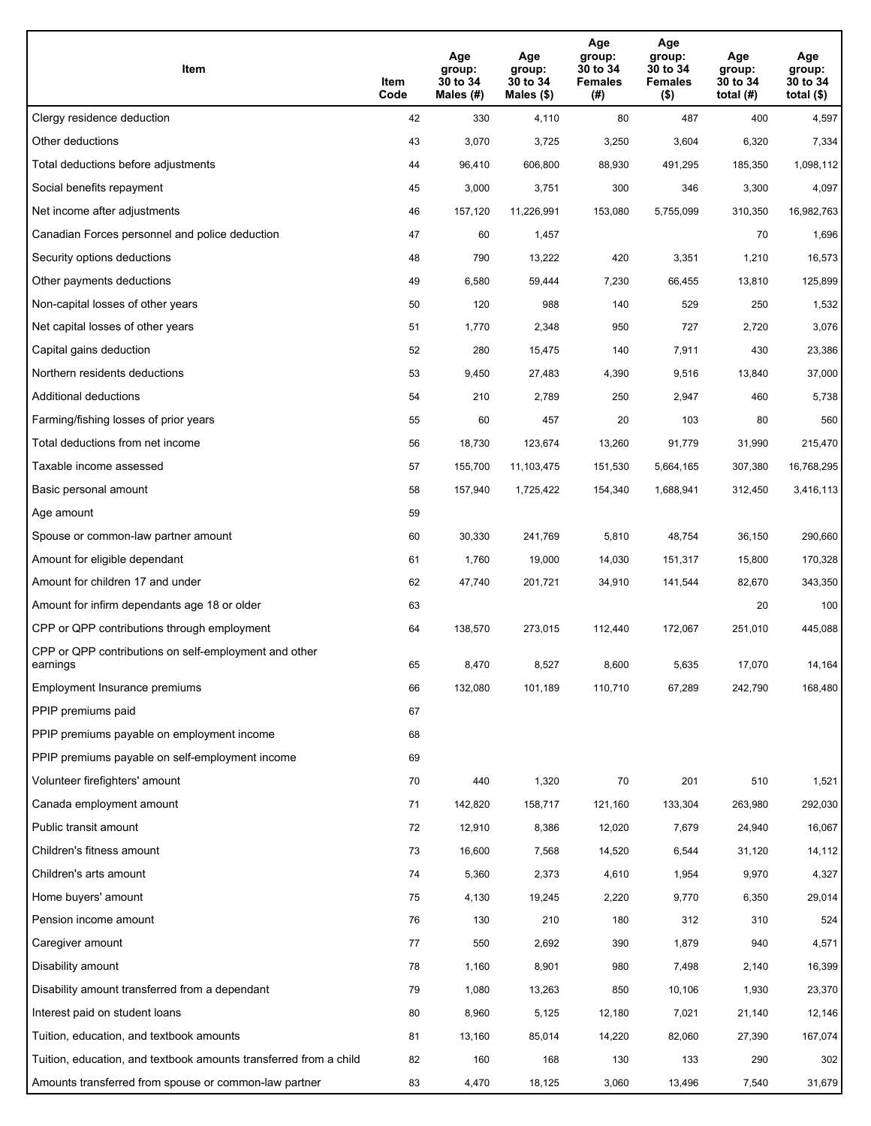| Item                                                              | Item<br>Code | Age<br>group:<br>30 to 34<br>Males (#) | Age<br>group:<br>30 to 34<br>Males (\$) | Age<br>group:<br>30 to 34<br><b>Females</b><br>(# ) | Age<br>group:<br>30 to 34<br><b>Females</b><br>$($ \$) | Age<br>group:<br>30 to 34<br>total $(H)$ | Age<br>group:<br>30 to 34<br>total $($)$ |
|-------------------------------------------------------------------|--------------|----------------------------------------|-----------------------------------------|-----------------------------------------------------|--------------------------------------------------------|------------------------------------------|------------------------------------------|
| Clergy residence deduction                                        | 42           | 330                                    | 4,110                                   | 80                                                  | 487                                                    | 400                                      | 4,597                                    |
| Other deductions                                                  | 43           | 3,070                                  | 3,725                                   | 3,250                                               | 3,604                                                  | 6,320                                    | 7,334                                    |
| Total deductions before adjustments                               | 44           | 96,410                                 | 606,800                                 | 88,930                                              | 491,295                                                | 185,350                                  | 1,098,112                                |
| Social benefits repayment                                         | 45           | 3,000                                  | 3,751                                   | 300                                                 | 346                                                    | 3,300                                    | 4,097                                    |
| Net income after adjustments                                      | 46           | 157,120                                | 11,226,991                              | 153,080                                             | 5,755,099                                              | 310,350                                  | 16,982,763                               |
| Canadian Forces personnel and police deduction                    | 47           | 60                                     | 1,457                                   |                                                     |                                                        | 70                                       | 1,696                                    |
| Security options deductions                                       | 48           | 790                                    | 13,222                                  | 420                                                 | 3,351                                                  | 1,210                                    | 16,573                                   |
| Other payments deductions                                         | 49           | 6,580                                  | 59,444                                  | 7,230                                               | 66,455                                                 | 13,810                                   | 125,899                                  |
| Non-capital losses of other years                                 | 50           | 120                                    | 988                                     | 140                                                 | 529                                                    | 250                                      | 1,532                                    |
| Net capital losses of other years                                 | 51           | 1,770                                  | 2,348                                   | 950                                                 | 727                                                    | 2,720                                    | 3,076                                    |
| Capital gains deduction                                           | 52           | 280                                    | 15,475                                  | 140                                                 | 7,911                                                  | 430                                      | 23,386                                   |
| Northern residents deductions                                     | 53           | 9,450                                  | 27,483                                  | 4,390                                               | 9,516                                                  | 13,840                                   | 37,000                                   |
| Additional deductions                                             | 54           | 210                                    | 2,789                                   | 250                                                 | 2,947                                                  | 460                                      | 5,738                                    |
| Farming/fishing losses of prior years                             | 55           | 60                                     | 457                                     | 20                                                  | 103                                                    | 80                                       | 560                                      |
| Total deductions from net income                                  | 56           | 18,730                                 | 123,674                                 | 13,260                                              | 91,779                                                 | 31,990                                   | 215,470                                  |
| Taxable income assessed                                           | 57           | 155,700                                | 11,103,475                              | 151,530                                             | 5,664,165                                              | 307,380                                  | 16,768,295                               |
| Basic personal amount                                             | 58           | 157,940                                | 1,725,422                               | 154,340                                             | 1,688,941                                              | 312,450                                  | 3,416,113                                |
| Age amount                                                        | 59           |                                        |                                         |                                                     |                                                        |                                          |                                          |
| Spouse or common-law partner amount                               | 60           | 30,330                                 | 241,769                                 | 5,810                                               | 48,754                                                 | 36,150                                   | 290,660                                  |
| Amount for eligible dependant                                     | 61           | 1,760                                  | 19,000                                  | 14,030                                              | 151,317                                                | 15,800                                   | 170,328                                  |
| Amount for children 17 and under                                  | 62           | 47,740                                 | 201,721                                 | 34,910                                              | 141,544                                                | 82,670                                   | 343,350                                  |
| Amount for infirm dependants age 18 or older                      | 63           |                                        |                                         |                                                     |                                                        | 20                                       | 100                                      |
| CPP or QPP contributions through employment                       | 64           | 138,570                                | 273,015                                 | 112,440                                             | 172,067                                                | 251,010                                  | 445,088                                  |
| CPP or QPP contributions on self-employment and other<br>earnings | 65           | 8,470                                  | 8,527                                   | 8,600                                               | 5,635                                                  | 17.070                                   | 14,164                                   |
| Employment Insurance premiums                                     | 66           | 132,080                                | 101,189                                 | 110,710                                             | 67,289                                                 | 242,790                                  | 168,480                                  |
| PPIP premiums paid                                                | 67           |                                        |                                         |                                                     |                                                        |                                          |                                          |
| PPIP premiums payable on employment income                        | 68           |                                        |                                         |                                                     |                                                        |                                          |                                          |
| PPIP premiums payable on self-employment income                   | 69           |                                        |                                         |                                                     |                                                        |                                          |                                          |
| Volunteer firefighters' amount                                    | 70           | 440                                    | 1,320                                   | 70                                                  | 201                                                    | 510                                      | 1,521                                    |
| Canada employment amount                                          | 71           | 142,820                                | 158,717                                 | 121,160                                             | 133,304                                                | 263,980                                  | 292,030                                  |
| Public transit amount                                             | 72           | 12,910                                 | 8,386                                   | 12,020                                              | 7,679                                                  | 24,940                                   | 16,067                                   |
| Children's fitness amount                                         | 73           | 16,600                                 | 7,568                                   | 14,520                                              | 6,544                                                  | 31,120                                   | 14,112                                   |
| Children's arts amount                                            | 74           | 5,360                                  | 2,373                                   | 4,610                                               | 1,954                                                  | 9,970                                    | 4,327                                    |
| Home buyers' amount                                               | 75           | 4,130                                  | 19,245                                  | 2,220                                               | 9,770                                                  | 6,350                                    | 29,014                                   |
| Pension income amount                                             | 76           | 130                                    | 210                                     | 180                                                 | 312                                                    | 310                                      | 524                                      |
| Caregiver amount                                                  | 77           | 550                                    | 2,692                                   | 390                                                 | 1,879                                                  | 940                                      | 4,571                                    |
| Disability amount                                                 | 78           | 1,160                                  | 8,901                                   | 980                                                 | 7,498                                                  | 2,140                                    | 16,399                                   |
| Disability amount transferred from a dependant                    | 79           | 1,080                                  | 13,263                                  | 850                                                 | 10,106                                                 | 1,930                                    | 23,370                                   |
| Interest paid on student loans                                    | 80           | 8,960                                  | 5,125                                   | 12,180                                              | 7,021                                                  | 21,140                                   | 12,146                                   |
| Tuition, education, and textbook amounts                          | 81           | 13,160                                 | 85,014                                  | 14,220                                              | 82,060                                                 | 27,390                                   | 167,074                                  |
| Tuition, education, and textbook amounts transferred from a child | 82           | 160                                    | 168                                     | 130                                                 | 133                                                    | 290                                      | 302                                      |
| Amounts transferred from spouse or common-law partner             | 83           | 4,470                                  | 18,125                                  | 3,060                                               | 13,496                                                 | 7,540                                    | 31,679                                   |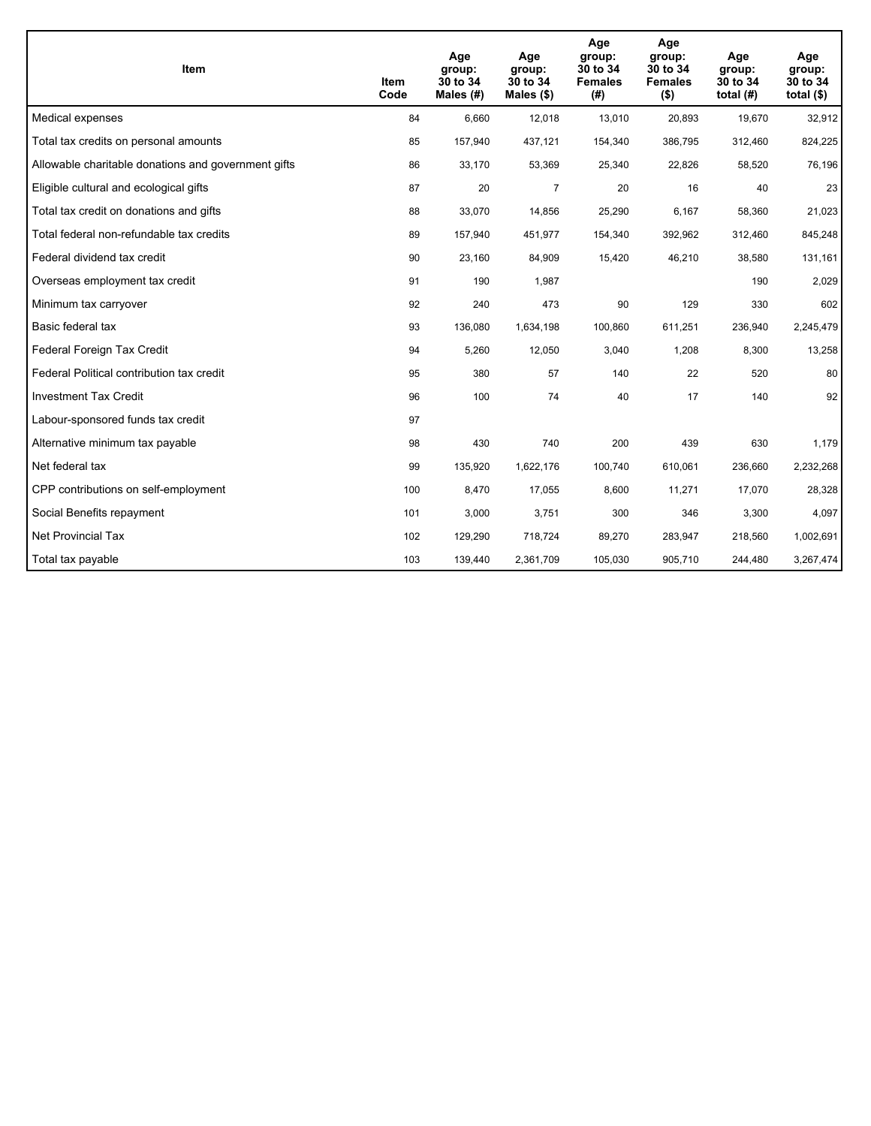| <b>Item</b>                                         | Item<br>Code | Age<br>group:<br>30 to 34<br>Males (#) | Age<br>group:<br>30 to 34<br>Males $(\$)$ | Age<br>group:<br>30 to 34<br><b>Females</b><br>(#) | Age<br>group:<br>30 to 34<br><b>Females</b><br>$($ \$) | Age<br>group:<br>30 to 34<br>total $(H)$ | Age<br>group:<br>30 to 34<br>total $($)$ |
|-----------------------------------------------------|--------------|----------------------------------------|-------------------------------------------|----------------------------------------------------|--------------------------------------------------------|------------------------------------------|------------------------------------------|
| Medical expenses                                    | 84           | 6,660                                  | 12,018                                    | 13,010                                             | 20,893                                                 | 19,670                                   | 32,912                                   |
| Total tax credits on personal amounts               | 85           | 157,940                                | 437,121                                   | 154,340                                            | 386,795                                                | 312,460                                  | 824,225                                  |
| Allowable charitable donations and government gifts | 86           | 33,170                                 | 53,369                                    | 25,340                                             | 22,826                                                 | 58,520                                   | 76,196                                   |
| Eligible cultural and ecological gifts              | 87           | 20                                     | $\overline{7}$                            | 20                                                 | 16                                                     | 40                                       | 23                                       |
| Total tax credit on donations and gifts             | 88           | 33,070                                 | 14,856                                    | 25,290                                             | 6,167                                                  | 58,360                                   | 21,023                                   |
| Total federal non-refundable tax credits            | 89           | 157,940                                | 451,977                                   | 154,340                                            | 392,962                                                | 312,460                                  | 845,248                                  |
| Federal dividend tax credit                         | 90           | 23,160                                 | 84,909                                    | 15,420                                             | 46,210                                                 | 38,580                                   | 131,161                                  |
| Overseas employment tax credit                      | 91           | 190                                    | 1,987                                     |                                                    |                                                        | 190                                      | 2,029                                    |
| Minimum tax carryover                               | 92           | 240                                    | 473                                       | 90                                                 | 129                                                    | 330                                      | 602                                      |
| Basic federal tax                                   | 93           | 136,080                                | 1,634,198                                 | 100,860                                            | 611,251                                                | 236,940                                  | 2,245,479                                |
| Federal Foreign Tax Credit                          | 94           | 5,260                                  | 12,050                                    | 3,040                                              | 1,208                                                  | 8,300                                    | 13,258                                   |
| Federal Political contribution tax credit           | 95           | 380                                    | 57                                        | 140                                                | 22                                                     | 520                                      | 80                                       |
| <b>Investment Tax Credit</b>                        | 96           | 100                                    | 74                                        | 40                                                 | 17                                                     | 140                                      | 92                                       |
| Labour-sponsored funds tax credit                   | 97           |                                        |                                           |                                                    |                                                        |                                          |                                          |
| Alternative minimum tax payable                     | 98           | 430                                    | 740                                       | 200                                                | 439                                                    | 630                                      | 1,179                                    |
| Net federal tax                                     | 99           | 135,920                                | 1,622,176                                 | 100,740                                            | 610,061                                                | 236,660                                  | 2,232,268                                |
| CPP contributions on self-employment                | 100          | 8,470                                  | 17,055                                    | 8,600                                              | 11,271                                                 | 17,070                                   | 28,328                                   |
| Social Benefits repayment                           | 101          | 3,000                                  | 3,751                                     | 300                                                | 346                                                    | 3,300                                    | 4,097                                    |
| Net Provincial Tax                                  | 102          | 129,290                                | 718,724                                   | 89,270                                             | 283,947                                                | 218,560                                  | 1,002,691                                |
| Total tax payable                                   | 103          | 139,440                                | 2,361,709                                 | 105,030                                            | 905,710                                                | 244,480                                  | 3,267,474                                |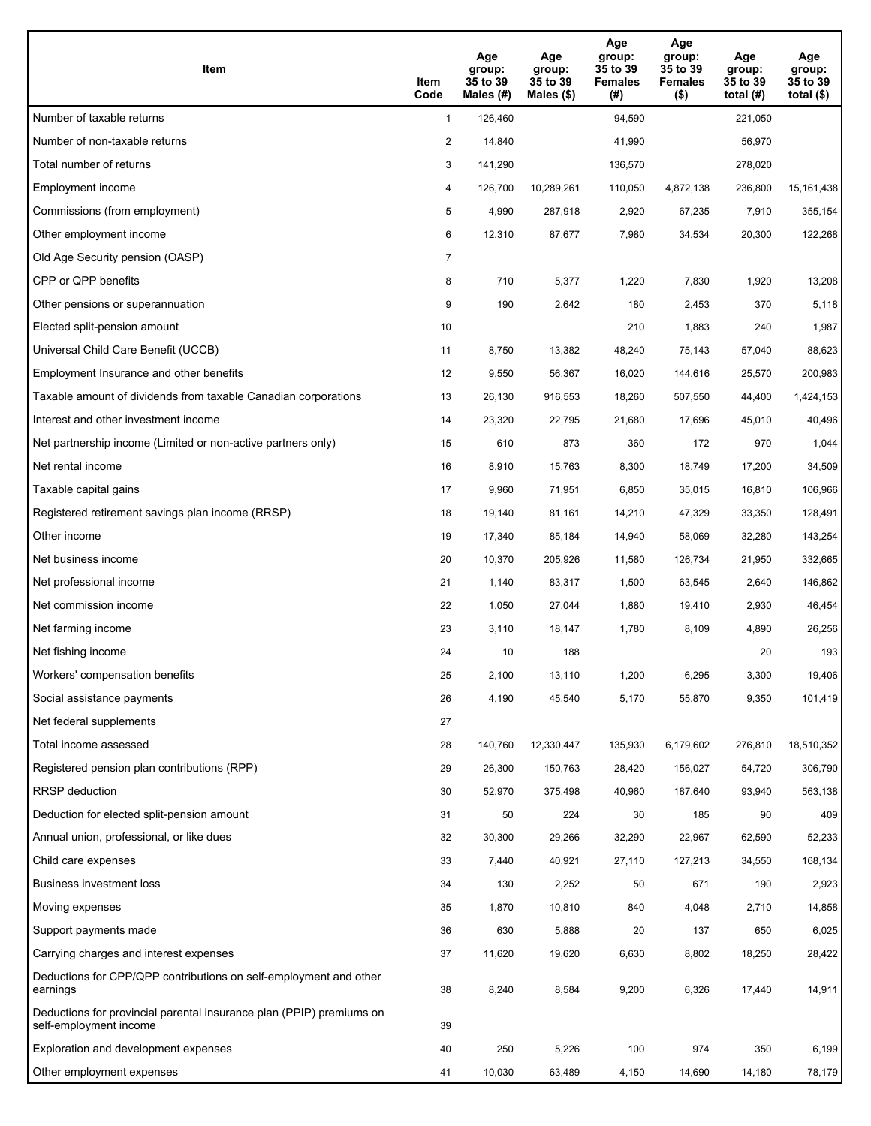| Item                                                                                           | Item<br>Code   | Age<br>group:<br>35 to 39<br>Males (#) | Age<br>group:<br>35 to 39<br>Males (\$) | Age<br>group:<br>35 to 39<br><b>Females</b><br>(#) | Age<br>group:<br>35 to 39<br><b>Females</b><br>$($ \$) | Age<br>group:<br>35 to 39<br>total $(H)$ | Age<br>group:<br>35 to 39<br>total $(\$)$ |
|------------------------------------------------------------------------------------------------|----------------|----------------------------------------|-----------------------------------------|----------------------------------------------------|--------------------------------------------------------|------------------------------------------|-------------------------------------------|
| Number of taxable returns                                                                      | $\mathbf{1}$   | 126,460                                |                                         | 94,590                                             |                                                        | 221,050                                  |                                           |
| Number of non-taxable returns                                                                  | 2              | 14,840                                 |                                         | 41,990                                             |                                                        | 56,970                                   |                                           |
| Total number of returns                                                                        | 3              | 141,290                                |                                         | 136,570                                            |                                                        | 278,020                                  |                                           |
| Employment income                                                                              | 4              | 126,700                                | 10,289,261                              | 110,050                                            | 4,872,138                                              | 236,800                                  | 15, 161, 438                              |
| Commissions (from employment)                                                                  | 5              | 4,990                                  | 287,918                                 | 2,920                                              | 67,235                                                 | 7,910                                    | 355,154                                   |
| Other employment income                                                                        | 6              | 12,310                                 | 87,677                                  | 7,980                                              | 34,534                                                 | 20,300                                   | 122,268                                   |
| Old Age Security pension (OASP)                                                                | $\overline{7}$ |                                        |                                         |                                                    |                                                        |                                          |                                           |
| CPP or QPP benefits                                                                            | 8              | 710                                    | 5,377                                   | 1,220                                              | 7,830                                                  | 1,920                                    | 13,208                                    |
| Other pensions or superannuation                                                               | 9              | 190                                    | 2,642                                   | 180                                                | 2,453                                                  | 370                                      | 5,118                                     |
| Elected split-pension amount                                                                   | 10             |                                        |                                         | 210                                                | 1,883                                                  | 240                                      | 1,987                                     |
| Universal Child Care Benefit (UCCB)                                                            | 11             | 8,750                                  | 13,382                                  | 48,240                                             | 75,143                                                 | 57,040                                   | 88,623                                    |
| Employment Insurance and other benefits                                                        | 12             | 9,550                                  | 56,367                                  | 16,020                                             | 144,616                                                | 25,570                                   | 200,983                                   |
| Taxable amount of dividends from taxable Canadian corporations                                 | 13             | 26,130                                 | 916,553                                 | 18,260                                             | 507,550                                                | 44,400                                   | 1,424,153                                 |
| Interest and other investment income                                                           | 14             | 23,320                                 | 22,795                                  | 21,680                                             | 17,696                                                 | 45,010                                   | 40,496                                    |
| Net partnership income (Limited or non-active partners only)                                   | 15             | 610                                    | 873                                     | 360                                                | 172                                                    | 970                                      | 1,044                                     |
| Net rental income                                                                              | 16             | 8,910                                  | 15,763                                  | 8,300                                              | 18,749                                                 | 17,200                                   | 34,509                                    |
| Taxable capital gains                                                                          | 17             | 9,960                                  | 71,951                                  | 6,850                                              | 35,015                                                 | 16,810                                   | 106,966                                   |
| Registered retirement savings plan income (RRSP)                                               | 18             | 19,140                                 | 81,161                                  | 14,210                                             | 47,329                                                 | 33,350                                   | 128,491                                   |
| Other income                                                                                   | 19             | 17,340                                 | 85,184                                  | 14,940                                             | 58,069                                                 | 32,280                                   | 143,254                                   |
| Net business income                                                                            | 20             | 10,370                                 | 205,926                                 | 11,580                                             | 126,734                                                | 21,950                                   | 332,665                                   |
| Net professional income                                                                        | 21             | 1,140                                  | 83,317                                  | 1,500                                              | 63,545                                                 | 2,640                                    | 146,862                                   |
| Net commission income                                                                          | 22             | 1,050                                  | 27,044                                  | 1,880                                              | 19,410                                                 | 2,930                                    | 46,454                                    |
| Net farming income                                                                             | 23             | 3,110                                  | 18,147                                  | 1,780                                              | 8,109                                                  | 4,890                                    | 26,256                                    |
| Net fishing income                                                                             | 24             | 10                                     | 188                                     |                                                    |                                                        | 20                                       | 193                                       |
| Workers' compensation benefits                                                                 | 25             | 2,100                                  | 13,110                                  | 1,200                                              | 6,295                                                  | 3,300                                    | 19,406                                    |
| Social assistance payments                                                                     | 26             | 4,190                                  | 45,540                                  | 5,170                                              | 55,870                                                 | 9,350                                    | 101,419                                   |
| Net federal supplements                                                                        | 27             |                                        |                                         |                                                    |                                                        |                                          |                                           |
| Total income assessed                                                                          | 28             | 140,760                                | 12,330,447                              | 135,930                                            | 6,179,602                                              | 276,810                                  | 18,510,352                                |
| Registered pension plan contributions (RPP)                                                    | 29             | 26,300                                 | 150,763                                 | 28,420                                             | 156,027                                                | 54,720                                   | 306,790                                   |
| RRSP deduction                                                                                 | 30             | 52,970                                 | 375,498                                 | 40,960                                             | 187,640                                                | 93,940                                   | 563,138                                   |
| Deduction for elected split-pension amount                                                     | 31             | 50                                     | 224                                     | 30                                                 | 185                                                    | 90                                       | 409                                       |
| Annual union, professional, or like dues                                                       | 32             | 30,300                                 | 29,266                                  | 32,290                                             | 22,967                                                 | 62,590                                   | 52,233                                    |
| Child care expenses                                                                            | 33             | 7,440                                  | 40,921                                  | 27,110                                             | 127,213                                                | 34,550                                   | 168,134                                   |
| <b>Business investment loss</b>                                                                | 34             | 130                                    | 2,252                                   | 50                                                 | 671                                                    | 190                                      | 2,923                                     |
| Moving expenses                                                                                | 35             | 1,870                                  | 10,810                                  | 840                                                | 4,048                                                  | 2,710                                    | 14,858                                    |
| Support payments made                                                                          | 36             | 630                                    | 5,888                                   | 20                                                 | 137                                                    | 650                                      | 6,025                                     |
| Carrying charges and interest expenses                                                         | 37             | 11,620                                 | 19,620                                  | 6,630                                              | 8,802                                                  | 18,250                                   | 28,422                                    |
| Deductions for CPP/QPP contributions on self-employment and other<br>earnings                  | 38             | 8,240                                  | 8,584                                   | 9,200                                              | 6,326                                                  | 17,440                                   | 14,911                                    |
| Deductions for provincial parental insurance plan (PPIP) premiums on<br>self-employment income | 39             |                                        |                                         |                                                    |                                                        |                                          |                                           |
| Exploration and development expenses                                                           | 40             | 250                                    | 5,226                                   | 100                                                | 974                                                    | 350                                      | 6,199                                     |
| Other employment expenses                                                                      | 41             | 10,030                                 | 63,489                                  | 4,150                                              | 14,690                                                 | 14,180                                   | 78,179                                    |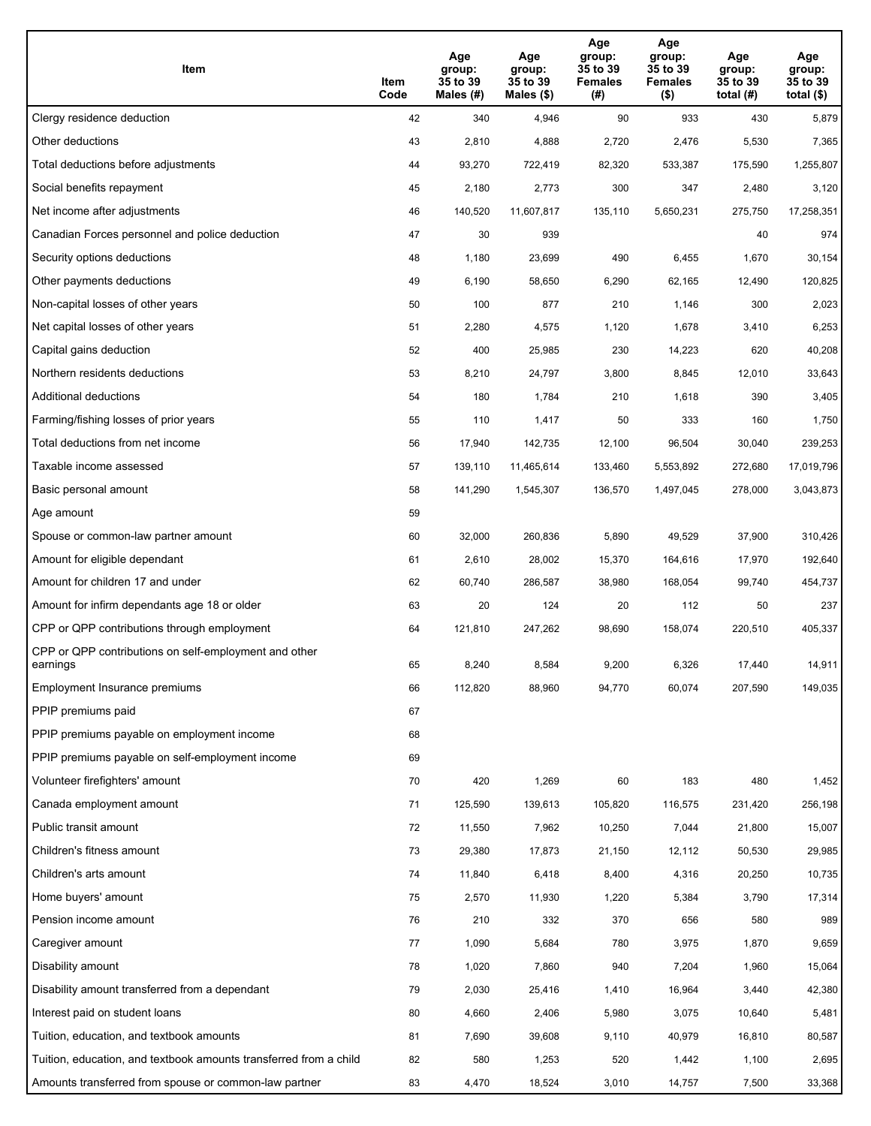| Item                                                              | Item<br>Code | Age<br>group:<br>35 to 39<br>Males (#) | Age<br>group:<br>35 to 39<br>Males (\$) | Age<br>group:<br>35 to 39<br><b>Females</b><br>(# ) | Age<br>group:<br>35 to 39<br><b>Females</b><br>$($ \$) | Age<br>group:<br>35 to 39<br>total $(H)$ | Age<br>group:<br>35 to 39<br>total $($)$ |
|-------------------------------------------------------------------|--------------|----------------------------------------|-----------------------------------------|-----------------------------------------------------|--------------------------------------------------------|------------------------------------------|------------------------------------------|
| Clergy residence deduction                                        | 42           | 340                                    | 4,946                                   | 90                                                  | 933                                                    | 430                                      | 5,879                                    |
| Other deductions                                                  | 43           | 2,810                                  | 4,888                                   | 2,720                                               | 2,476                                                  | 5,530                                    | 7,365                                    |
| Total deductions before adjustments                               | 44           | 93,270                                 | 722,419                                 | 82,320                                              | 533,387                                                | 175,590                                  | 1,255,807                                |
| Social benefits repayment                                         | 45           | 2,180                                  | 2,773                                   | 300                                                 | 347                                                    | 2,480                                    | 3,120                                    |
| Net income after adjustments                                      | 46           | 140,520                                | 11,607,817                              | 135,110                                             | 5,650,231                                              | 275,750                                  | 17,258,351                               |
| Canadian Forces personnel and police deduction                    | 47           | 30                                     | 939                                     |                                                     |                                                        | 40                                       | 974                                      |
| Security options deductions                                       | 48           | 1,180                                  | 23,699                                  | 490                                                 | 6,455                                                  | 1,670                                    | 30,154                                   |
| Other payments deductions                                         | 49           | 6,190                                  | 58,650                                  | 6,290                                               | 62,165                                                 | 12,490                                   | 120,825                                  |
| Non-capital losses of other years                                 | 50           | 100                                    | 877                                     | 210                                                 | 1,146                                                  | 300                                      | 2,023                                    |
| Net capital losses of other years                                 | 51           | 2,280                                  | 4,575                                   | 1,120                                               | 1,678                                                  | 3,410                                    | 6,253                                    |
| Capital gains deduction                                           | 52           | 400                                    | 25,985                                  | 230                                                 | 14,223                                                 | 620                                      | 40,208                                   |
| Northern residents deductions                                     | 53           | 8,210                                  | 24,797                                  | 3,800                                               | 8,845                                                  | 12,010                                   | 33,643                                   |
| Additional deductions                                             | 54           | 180                                    | 1,784                                   | 210                                                 | 1,618                                                  | 390                                      | 3,405                                    |
| Farming/fishing losses of prior years                             | 55           | 110                                    | 1,417                                   | 50                                                  | 333                                                    | 160                                      | 1,750                                    |
| Total deductions from net income                                  | 56           | 17,940                                 | 142,735                                 | 12,100                                              | 96,504                                                 | 30,040                                   | 239,253                                  |
| Taxable income assessed                                           | 57           | 139,110                                | 11,465,614                              | 133,460                                             | 5,553,892                                              | 272,680                                  | 17,019,796                               |
| Basic personal amount                                             | 58           | 141,290                                | 1,545,307                               | 136,570                                             | 1,497,045                                              | 278,000                                  | 3,043,873                                |
| Age amount                                                        | 59           |                                        |                                         |                                                     |                                                        |                                          |                                          |
| Spouse or common-law partner amount                               | 60           | 32,000                                 | 260,836                                 | 5,890                                               | 49,529                                                 | 37,900                                   | 310,426                                  |
| Amount for eligible dependant                                     | 61           | 2,610                                  | 28,002                                  | 15,370                                              | 164,616                                                | 17,970                                   | 192,640                                  |
| Amount for children 17 and under                                  | 62           | 60,740                                 | 286,587                                 | 38,980                                              | 168,054                                                | 99,740                                   | 454,737                                  |
| Amount for infirm dependants age 18 or older                      | 63           | 20                                     | 124                                     | 20                                                  | 112                                                    | 50                                       | 237                                      |
| CPP or QPP contributions through employment                       | 64           | 121,810                                | 247,262                                 | 98,690                                              | 158,074                                                | 220,510                                  | 405,337                                  |
| CPP or QPP contributions on self-employment and other<br>earnings | 65           | 8,240                                  | 8,584                                   | 9,200                                               | 6,326                                                  | 17.440                                   | 14,911                                   |
| Employment Insurance premiums                                     | 66           | 112,820                                | 88,960                                  | 94,770                                              | 60,074                                                 | 207,590                                  | 149,035                                  |
| PPIP premiums paid                                                | 67           |                                        |                                         |                                                     |                                                        |                                          |                                          |
| PPIP premiums payable on employment income                        | 68           |                                        |                                         |                                                     |                                                        |                                          |                                          |
| PPIP premiums payable on self-employment income                   | 69           |                                        |                                         |                                                     |                                                        |                                          |                                          |
| Volunteer firefighters' amount                                    | 70           | 420                                    | 1,269                                   | 60                                                  | 183                                                    | 480                                      | 1,452                                    |
| Canada employment amount                                          | 71           | 125,590                                | 139,613                                 | 105,820                                             | 116,575                                                | 231,420                                  | 256,198                                  |
| Public transit amount                                             | 72           | 11,550                                 | 7,962                                   | 10,250                                              | 7,044                                                  | 21,800                                   | 15,007                                   |
| Children's fitness amount                                         | 73           | 29,380                                 | 17,873                                  | 21,150                                              | 12,112                                                 | 50,530                                   | 29,985                                   |
| Children's arts amount                                            | 74           | 11,840                                 | 6,418                                   | 8,400                                               | 4,316                                                  | 20,250                                   | 10,735                                   |
| Home buyers' amount                                               | 75           | 2,570                                  | 11,930                                  | 1,220                                               | 5,384                                                  | 3,790                                    | 17,314                                   |
| Pension income amount                                             | 76           | 210                                    | 332                                     | 370                                                 | 656                                                    | 580                                      | 989                                      |
| Caregiver amount                                                  | $77\,$       | 1,090                                  | 5,684                                   | 780                                                 | 3,975                                                  | 1,870                                    | 9,659                                    |
| Disability amount                                                 | 78           | 1,020                                  | 7,860                                   | 940                                                 | 7,204                                                  | 1,960                                    | 15,064                                   |
| Disability amount transferred from a dependant                    | 79           | 2,030                                  | 25,416                                  | 1,410                                               | 16,964                                                 | 3,440                                    | 42,380                                   |
| Interest paid on student loans                                    | 80           | 4,660                                  | 2,406                                   | 5,980                                               | 3,075                                                  | 10,640                                   | 5,481                                    |
| Tuition, education, and textbook amounts                          | 81           | 7,690                                  | 39,608                                  | 9,110                                               | 40,979                                                 | 16,810                                   | 80,587                                   |
| Tuition, education, and textbook amounts transferred from a child | 82           | 580                                    | 1,253                                   | 520                                                 | 1,442                                                  | 1,100                                    | 2,695                                    |
| Amounts transferred from spouse or common-law partner             | 83           | 4,470                                  | 18,524                                  | 3,010                                               | 14,757                                                 | 7,500                                    | 33,368                                   |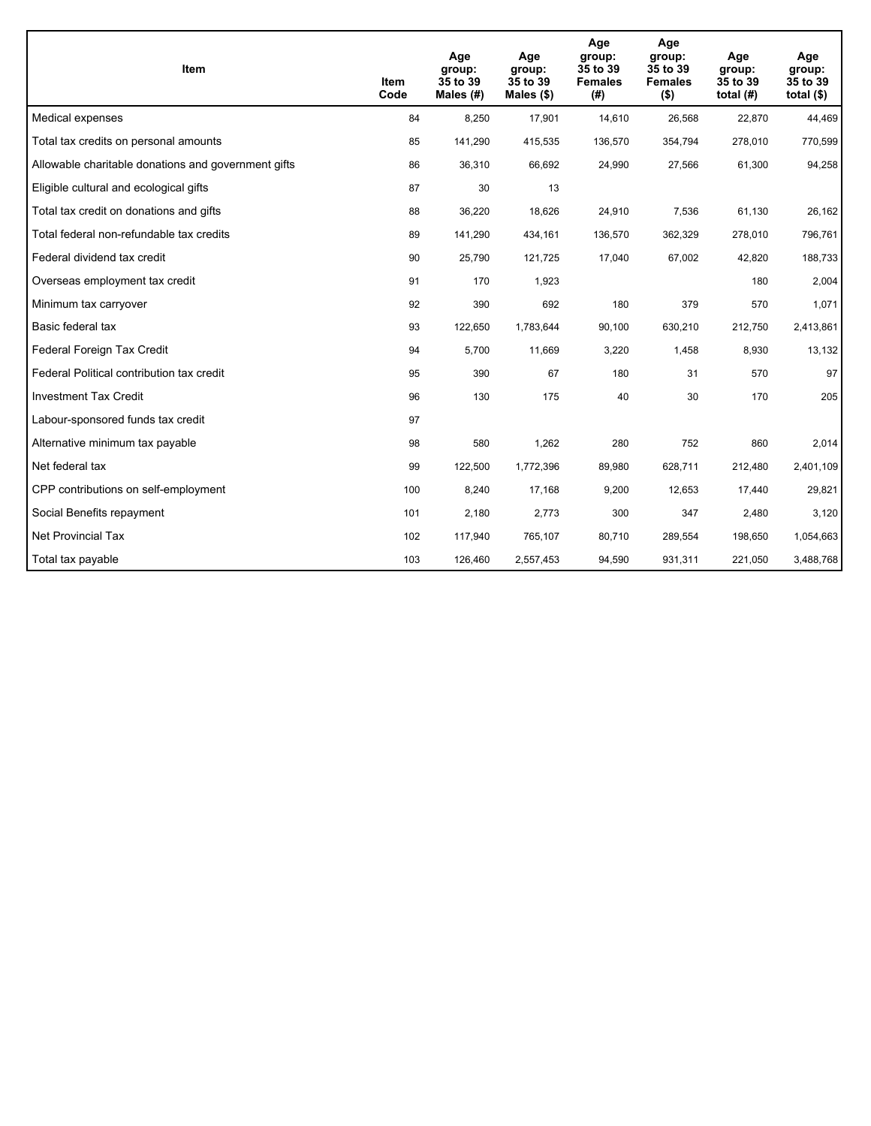| <b>Item</b>                                         | Item<br>Code | Age<br>group:<br>35 to 39<br>Males (#) | Age<br>group:<br>35 to 39<br>Males $(\$)$ | Age<br>group:<br>35 to 39<br><b>Females</b><br>(#) | Age<br>group:<br>35 to 39<br><b>Females</b><br>$($ \$) | Age<br>group:<br>35 to 39<br>total $(H)$ | Age<br>group:<br>35 to 39<br>total $($)$ |
|-----------------------------------------------------|--------------|----------------------------------------|-------------------------------------------|----------------------------------------------------|--------------------------------------------------------|------------------------------------------|------------------------------------------|
| Medical expenses                                    | 84           | 8,250                                  | 17,901                                    | 14,610                                             | 26,568                                                 | 22,870                                   | 44,469                                   |
| Total tax credits on personal amounts               | 85           | 141,290                                | 415,535                                   | 136,570                                            | 354,794                                                | 278,010                                  | 770,599                                  |
| Allowable charitable donations and government gifts | 86           | 36,310                                 | 66,692                                    | 24,990                                             | 27,566                                                 | 61,300                                   | 94,258                                   |
| Eligible cultural and ecological gifts              | 87           | 30                                     | 13                                        |                                                    |                                                        |                                          |                                          |
| Total tax credit on donations and gifts             | 88           | 36,220                                 | 18,626                                    | 24,910                                             | 7,536                                                  | 61,130                                   | 26,162                                   |
| Total federal non-refundable tax credits            | 89           | 141,290                                | 434,161                                   | 136,570                                            | 362,329                                                | 278,010                                  | 796,761                                  |
| Federal dividend tax credit                         | 90           | 25,790                                 | 121,725                                   | 17,040                                             | 67,002                                                 | 42,820                                   | 188,733                                  |
| Overseas employment tax credit                      | 91           | 170                                    | 1,923                                     |                                                    |                                                        | 180                                      | 2,004                                    |
| Minimum tax carryover                               | 92           | 390                                    | 692                                       | 180                                                | 379                                                    | 570                                      | 1,071                                    |
| Basic federal tax                                   | 93           | 122,650                                | 1,783,644                                 | 90,100                                             | 630,210                                                | 212,750                                  | 2,413,861                                |
| Federal Foreign Tax Credit                          | 94           | 5,700                                  | 11,669                                    | 3,220                                              | 1,458                                                  | 8,930                                    | 13,132                                   |
| Federal Political contribution tax credit           | 95           | 390                                    | 67                                        | 180                                                | 31                                                     | 570                                      | 97                                       |
| <b>Investment Tax Credit</b>                        | 96           | 130                                    | 175                                       | 40                                                 | 30                                                     | 170                                      | 205                                      |
| Labour-sponsored funds tax credit                   | 97           |                                        |                                           |                                                    |                                                        |                                          |                                          |
| Alternative minimum tax payable                     | 98           | 580                                    | 1,262                                     | 280                                                | 752                                                    | 860                                      | 2,014                                    |
| Net federal tax                                     | 99           | 122,500                                | 1,772,396                                 | 89,980                                             | 628,711                                                | 212,480                                  | 2,401,109                                |
| CPP contributions on self-employment                | 100          | 8,240                                  | 17,168                                    | 9,200                                              | 12,653                                                 | 17,440                                   | 29,821                                   |
| Social Benefits repayment                           | 101          | 2,180                                  | 2,773                                     | 300                                                | 347                                                    | 2,480                                    | 3,120                                    |
| Net Provincial Tax                                  | 102          | 117,940                                | 765,107                                   | 80,710                                             | 289,554                                                | 198,650                                  | 1,054,663                                |
| Total tax payable                                   | 103          | 126,460                                | 2,557,453                                 | 94,590                                             | 931,311                                                | 221,050                                  | 3,488,768                                |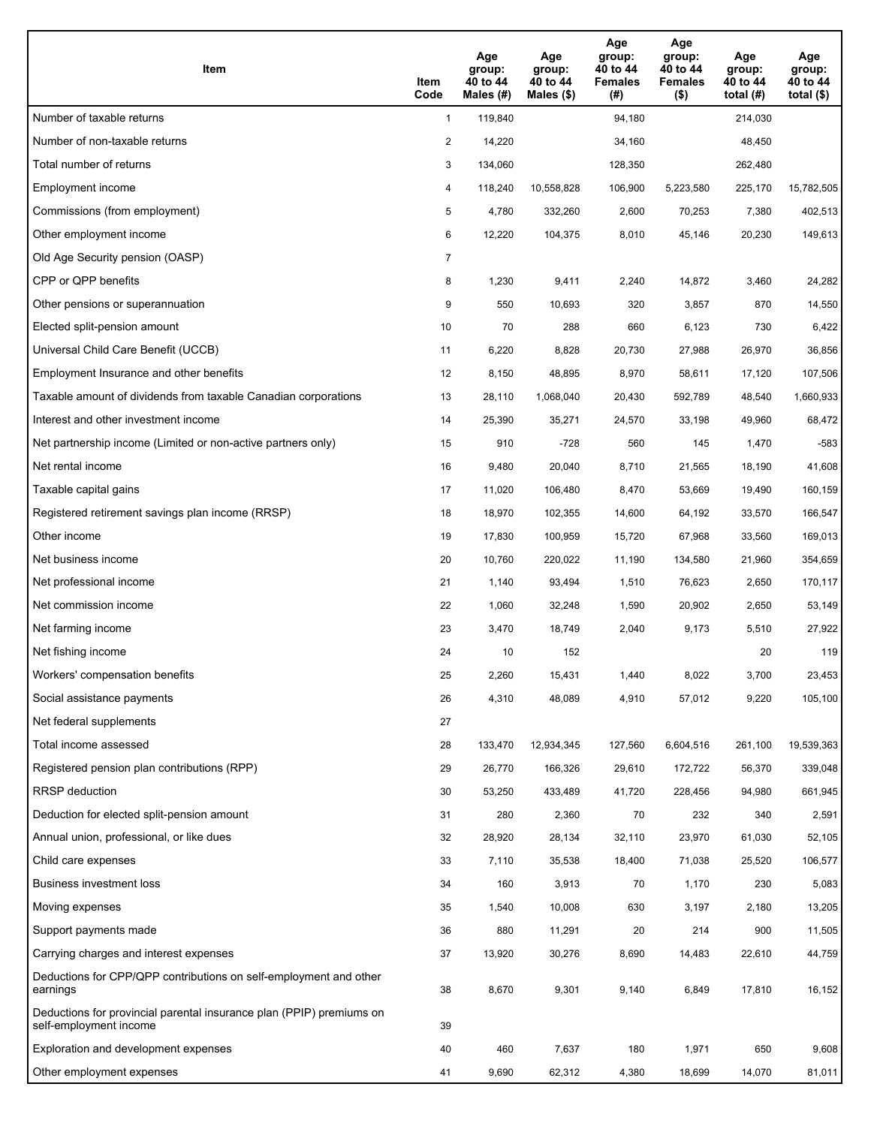| Item                                                                                           | Item<br>Code   | Age<br>group:<br>40 to 44<br>Males $(\#)$ | Age<br>group:<br>40 to 44<br>Males $(\$)$ | Age<br>group:<br>40 to 44<br><b>Females</b><br>(#) | Age<br>group:<br>40 to 44<br><b>Females</b><br>$($ \$) | Age<br>group:<br>40 to 44<br>total $(H)$ | Age<br>group:<br>40 to 44<br>total $($ |
|------------------------------------------------------------------------------------------------|----------------|-------------------------------------------|-------------------------------------------|----------------------------------------------------|--------------------------------------------------------|------------------------------------------|----------------------------------------|
| Number of taxable returns                                                                      | $\mathbf{1}$   | 119,840                                   |                                           | 94,180                                             |                                                        | 214,030                                  |                                        |
| Number of non-taxable returns                                                                  | $\overline{c}$ | 14,220                                    |                                           | 34,160                                             |                                                        | 48,450                                   |                                        |
| Total number of returns                                                                        | 3              | 134,060                                   |                                           | 128,350                                            |                                                        | 262,480                                  |                                        |
| Employment income                                                                              | 4              | 118,240                                   | 10,558,828                                | 106,900                                            | 5,223,580                                              | 225,170                                  | 15,782,505                             |
| Commissions (from employment)                                                                  | 5              | 4,780                                     | 332,260                                   | 2,600                                              | 70,253                                                 | 7,380                                    | 402,513                                |
| Other employment income                                                                        | 6              | 12,220                                    | 104,375                                   | 8,010                                              | 45,146                                                 | 20,230                                   | 149,613                                |
| Old Age Security pension (OASP)                                                                | $\overline{7}$ |                                           |                                           |                                                    |                                                        |                                          |                                        |
| CPP or QPP benefits                                                                            | 8              | 1,230                                     | 9,411                                     | 2,240                                              | 14,872                                                 | 3,460                                    | 24,282                                 |
| Other pensions or superannuation                                                               | 9              | 550                                       | 10,693                                    | 320                                                | 3,857                                                  | 870                                      | 14,550                                 |
| Elected split-pension amount                                                                   | 10             | 70                                        | 288                                       | 660                                                | 6,123                                                  | 730                                      | 6,422                                  |
| Universal Child Care Benefit (UCCB)                                                            | 11             | 6,220                                     | 8,828                                     | 20,730                                             | 27,988                                                 | 26,970                                   | 36,856                                 |
| Employment Insurance and other benefits                                                        | 12             | 8,150                                     | 48,895                                    | 8,970                                              | 58,611                                                 | 17,120                                   | 107,506                                |
| Taxable amount of dividends from taxable Canadian corporations                                 | 13             | 28,110                                    | 1,068,040                                 | 20,430                                             | 592,789                                                | 48,540                                   | 1,660,933                              |
| Interest and other investment income                                                           | 14             | 25,390                                    | 35,271                                    | 24,570                                             | 33,198                                                 | 49,960                                   | 68,472                                 |
| Net partnership income (Limited or non-active partners only)                                   | 15             | 910                                       | $-728$                                    | 560                                                | 145                                                    | 1,470                                    | $-583$                                 |
| Net rental income                                                                              | 16             | 9,480                                     | 20,040                                    | 8,710                                              | 21,565                                                 | 18,190                                   | 41,608                                 |
| Taxable capital gains                                                                          | 17             | 11,020                                    | 106,480                                   | 8,470                                              | 53,669                                                 | 19,490                                   | 160,159                                |
| Registered retirement savings plan income (RRSP)                                               | 18             | 18,970                                    | 102,355                                   | 14,600                                             | 64,192                                                 | 33,570                                   | 166,547                                |
| Other income                                                                                   | 19             | 17,830                                    | 100,959                                   | 15,720                                             | 67,968                                                 | 33,560                                   | 169,013                                |
| Net business income                                                                            | 20             | 10,760                                    | 220,022                                   | 11,190                                             | 134,580                                                | 21,960                                   | 354,659                                |
| Net professional income                                                                        | 21             | 1,140                                     | 93,494                                    | 1,510                                              | 76,623                                                 | 2,650                                    | 170,117                                |
| Net commission income                                                                          | 22             | 1,060                                     | 32,248                                    | 1,590                                              | 20,902                                                 | 2,650                                    | 53,149                                 |
| Net farming income                                                                             | 23             | 3,470                                     | 18,749                                    | 2,040                                              | 9,173                                                  | 5,510                                    | 27,922                                 |
| Net fishing income                                                                             | 24             | 10                                        | 152                                       |                                                    |                                                        | 20                                       | 119                                    |
| Workers' compensation benefits                                                                 | 25             | 2,260                                     | 15,431                                    | 1,440                                              | 8,022                                                  | 3,700                                    | 23,453                                 |
| Social assistance payments                                                                     | 26             | 4,310                                     | 48,089                                    | 4,910                                              | 57,012                                                 | 9,220                                    | 105,100                                |
| Net federal supplements                                                                        | 27             |                                           |                                           |                                                    |                                                        |                                          |                                        |
| Total income assessed                                                                          | 28             | 133,470                                   | 12,934,345                                | 127,560                                            | 6,604,516                                              | 261,100                                  | 19,539,363                             |
| Registered pension plan contributions (RPP)                                                    | 29             | 26,770                                    | 166,326                                   | 29,610                                             | 172,722                                                | 56,370                                   | 339,048                                |
| RRSP deduction                                                                                 | 30             | 53,250                                    | 433,489                                   | 41,720                                             | 228,456                                                | 94,980                                   | 661,945                                |
| Deduction for elected split-pension amount                                                     | 31             | 280                                       | 2,360                                     | 70                                                 | 232                                                    | 340                                      | 2,591                                  |
| Annual union, professional, or like dues                                                       | 32             | 28,920                                    | 28,134                                    | 32,110                                             | 23,970                                                 | 61,030                                   | 52,105                                 |
| Child care expenses                                                                            | 33             | 7,110                                     | 35,538                                    | 18,400                                             | 71,038                                                 | 25,520                                   | 106,577                                |
| Business investment loss                                                                       | 34             | 160                                       | 3,913                                     | 70                                                 | 1,170                                                  | 230                                      | 5,083                                  |
| Moving expenses                                                                                | 35             | 1,540                                     | 10,008                                    | 630                                                | 3,197                                                  | 2,180                                    | 13,205                                 |
| Support payments made                                                                          | 36             | 880                                       | 11,291                                    | 20                                                 | 214                                                    | 900                                      | 11,505                                 |
| Carrying charges and interest expenses                                                         | 37             | 13,920                                    | 30,276                                    | 8,690                                              | 14,483                                                 | 22,610                                   | 44,759                                 |
| Deductions for CPP/QPP contributions on self-employment and other<br>earnings                  | 38             | 8,670                                     | 9,301                                     | 9,140                                              | 6,849                                                  | 17,810                                   | 16,152                                 |
| Deductions for provincial parental insurance plan (PPIP) premiums on<br>self-employment income | 39             |                                           |                                           |                                                    |                                                        |                                          |                                        |
| Exploration and development expenses                                                           | 40             | 460                                       | 7,637                                     | 180                                                | 1,971                                                  | 650                                      | 9,608                                  |
| Other employment expenses                                                                      | 41             | 9,690                                     | 62,312                                    | 4,380                                              | 18,699                                                 | 14,070                                   | 81,011                                 |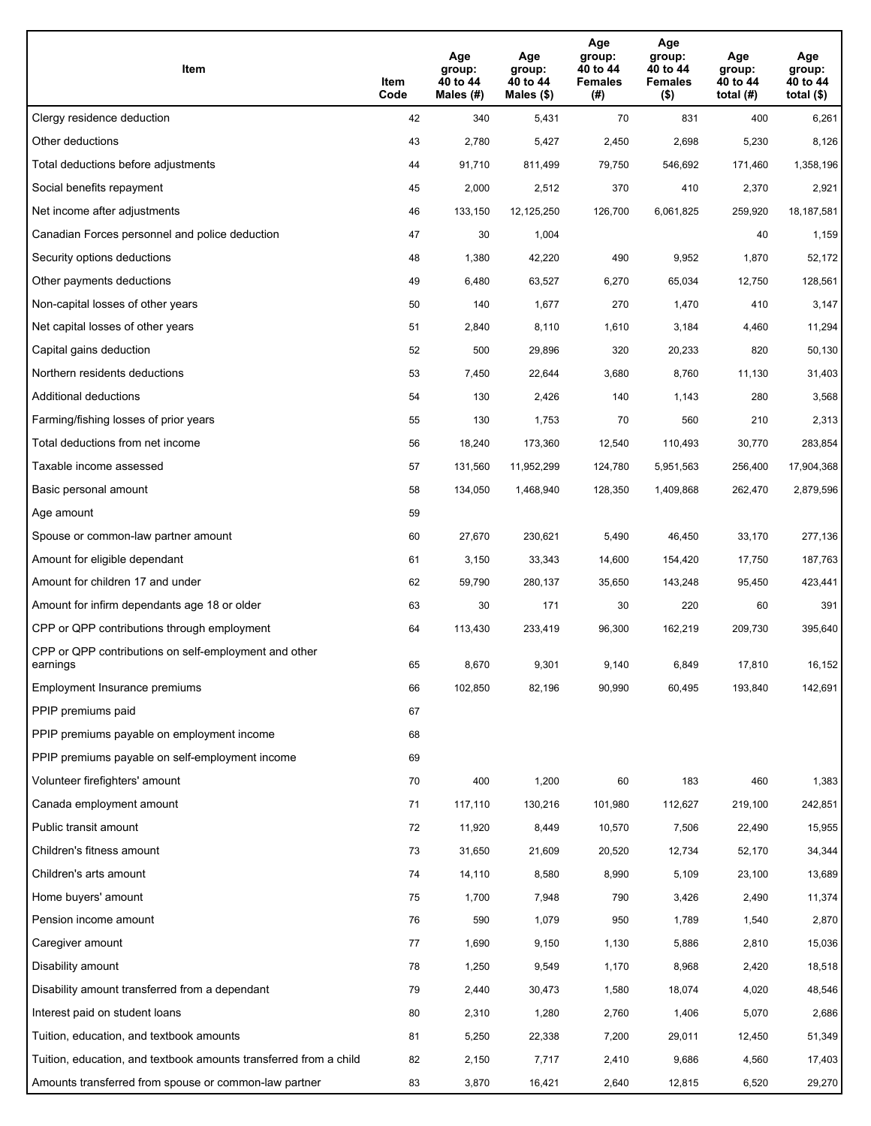| Item                                                              | Item<br>Code | Age<br>group:<br>40 to 44<br>Males (#) | Age<br>group:<br>40 to 44<br>Males (\$) | Age<br>group:<br>40 to 44<br><b>Females</b><br>(#) | Age<br>group:<br>40 to 44<br><b>Females</b><br>$($ \$) | Age<br>group:<br>40 to 44<br>total $(H)$ | Age<br>group:<br>40 to 44<br>total $($)$ |
|-------------------------------------------------------------------|--------------|----------------------------------------|-----------------------------------------|----------------------------------------------------|--------------------------------------------------------|------------------------------------------|------------------------------------------|
| Clergy residence deduction                                        | 42           | 340                                    | 5,431                                   | 70                                                 | 831                                                    | 400                                      | 6,261                                    |
| Other deductions                                                  | 43           | 2,780                                  | 5,427                                   | 2,450                                              | 2,698                                                  | 5,230                                    | 8,126                                    |
| Total deductions before adjustments                               | 44           | 91,710                                 | 811,499                                 | 79,750                                             | 546,692                                                | 171,460                                  | 1,358,196                                |
| Social benefits repayment                                         | 45           | 2,000                                  | 2,512                                   | 370                                                | 410                                                    | 2,370                                    | 2,921                                    |
| Net income after adjustments                                      | 46           | 133,150                                | 12,125,250                              | 126,700                                            | 6,061,825                                              | 259,920                                  | 18,187,581                               |
| Canadian Forces personnel and police deduction                    | 47           | 30                                     | 1,004                                   |                                                    |                                                        | 40                                       | 1,159                                    |
| Security options deductions                                       | 48           | 1,380                                  | 42,220                                  | 490                                                | 9,952                                                  | 1,870                                    | 52,172                                   |
| Other payments deductions                                         | 49           | 6,480                                  | 63,527                                  | 6,270                                              | 65,034                                                 | 12,750                                   | 128,561                                  |
| Non-capital losses of other years                                 | 50           | 140                                    | 1,677                                   | 270                                                | 1,470                                                  | 410                                      | 3,147                                    |
| Net capital losses of other years                                 | 51           | 2,840                                  | 8,110                                   | 1,610                                              | 3,184                                                  | 4,460                                    | 11,294                                   |
| Capital gains deduction                                           | 52           | 500                                    | 29,896                                  | 320                                                | 20,233                                                 | 820                                      | 50,130                                   |
| Northern residents deductions                                     | 53           | 7,450                                  | 22,644                                  | 3,680                                              | 8,760                                                  | 11,130                                   | 31,403                                   |
| Additional deductions                                             | 54           | 130                                    | 2,426                                   | 140                                                | 1,143                                                  | 280                                      | 3,568                                    |
| Farming/fishing losses of prior years                             | 55           | 130                                    | 1,753                                   | 70                                                 | 560                                                    | 210                                      | 2,313                                    |
| Total deductions from net income                                  | 56           | 18,240                                 | 173,360                                 | 12,540                                             | 110,493                                                | 30,770                                   | 283,854                                  |
| Taxable income assessed                                           | 57           | 131,560                                | 11,952,299                              | 124,780                                            | 5,951,563                                              | 256,400                                  | 17,904,368                               |
| Basic personal amount                                             | 58           | 134,050                                | 1,468,940                               | 128,350                                            | 1,409,868                                              | 262,470                                  | 2,879,596                                |
| Age amount                                                        | 59           |                                        |                                         |                                                    |                                                        |                                          |                                          |
| Spouse or common-law partner amount                               | 60           | 27,670                                 | 230,621                                 | 5,490                                              | 46,450                                                 | 33,170                                   | 277,136                                  |
| Amount for eligible dependant                                     | 61           | 3,150                                  | 33,343                                  | 14,600                                             | 154,420                                                | 17,750                                   | 187,763                                  |
| Amount for children 17 and under                                  | 62           | 59,790                                 | 280,137                                 | 35,650                                             | 143,248                                                | 95,450                                   | 423,441                                  |
| Amount for infirm dependants age 18 or older                      | 63           | 30                                     | 171                                     | 30                                                 | 220                                                    | 60                                       | 391                                      |
| CPP or QPP contributions through employment                       | 64           | 113,430                                | 233,419                                 | 96,300                                             | 162,219                                                | 209,730                                  | 395,640                                  |
| CPP or QPP contributions on self-employment and other<br>earnings | 65           | 8,670                                  | 9,301                                   | 9,140                                              | 6,849                                                  | 17.810                                   | 16,152                                   |
| Employment Insurance premiums                                     | 66           | 102,850                                | 82,196                                  | 90,990                                             | 60,495                                                 | 193,840                                  | 142,691                                  |
| PPIP premiums paid                                                | 67           |                                        |                                         |                                                    |                                                        |                                          |                                          |
| PPIP premiums payable on employment income                        | 68           |                                        |                                         |                                                    |                                                        |                                          |                                          |
| PPIP premiums payable on self-employment income                   | 69           |                                        |                                         |                                                    |                                                        |                                          |                                          |
| Volunteer firefighters' amount                                    | 70           | 400                                    | 1,200                                   | 60                                                 | 183                                                    | 460                                      | 1,383                                    |
| Canada employment amount                                          | 71           | 117,110                                | 130,216                                 | 101,980                                            | 112,627                                                | 219,100                                  | 242,851                                  |
| Public transit amount                                             | 72           | 11,920                                 | 8,449                                   | 10,570                                             | 7,506                                                  | 22,490                                   | 15,955                                   |
| Children's fitness amount                                         | 73           | 31,650                                 | 21,609                                  | 20,520                                             | 12,734                                                 | 52,170                                   | 34,344                                   |
| Children's arts amount                                            | 74           | 14,110                                 | 8,580                                   | 8,990                                              | 5,109                                                  | 23,100                                   | 13,689                                   |
| Home buyers' amount                                               | 75           | 1,700                                  | 7,948                                   | 790                                                | 3,426                                                  | 2,490                                    | 11,374                                   |
| Pension income amount                                             | 76           | 590                                    | 1,079                                   | 950                                                | 1,789                                                  | 1,540                                    | 2,870                                    |
| Caregiver amount                                                  | 77           | 1,690                                  | 9,150                                   | 1,130                                              | 5,886                                                  | 2,810                                    | 15,036                                   |
| Disability amount                                                 | 78           | 1,250                                  | 9,549                                   | 1,170                                              | 8,968                                                  | 2,420                                    | 18,518                                   |
| Disability amount transferred from a dependant                    | 79           | 2,440                                  | 30,473                                  | 1,580                                              | 18,074                                                 | 4,020                                    | 48,546                                   |
| Interest paid on student loans                                    | 80           | 2,310                                  | 1,280                                   | 2,760                                              | 1,406                                                  | 5,070                                    | 2,686                                    |
| Tuition, education, and textbook amounts                          | 81           | 5,250                                  | 22,338                                  | 7,200                                              | 29,011                                                 | 12,450                                   | 51,349                                   |
| Tuition, education, and textbook amounts transferred from a child | 82           | 2,150                                  | 7,717                                   | 2,410                                              | 9,686                                                  | 4,560                                    | 17,403                                   |
| Amounts transferred from spouse or common-law partner             | 83           | 3,870                                  | 16,421                                  | 2,640                                              | 12,815                                                 | 6,520                                    | 29,270                                   |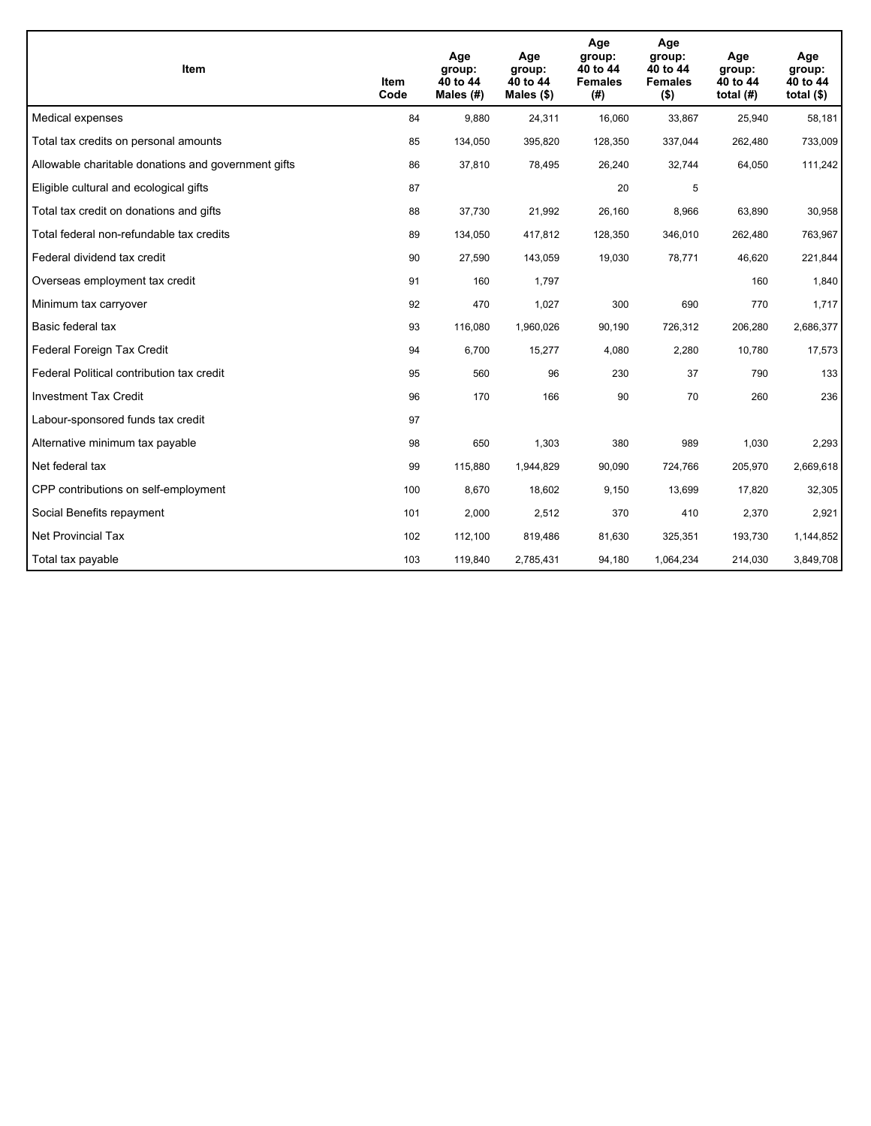| <b>Item</b>                                         | Item<br>Code | Age<br>group:<br>40 to 44<br>Males (#) | Age<br>group:<br>40 to 44<br>Males $(\$)$ | Age<br>group:<br>40 to 44<br><b>Females</b><br>(#) | Age<br>group:<br>40 to 44<br><b>Females</b><br>$($ \$) | Age<br>group:<br>40 to 44<br>total $(H)$ | Age<br>group:<br>40 to 44<br>total $($)$ |
|-----------------------------------------------------|--------------|----------------------------------------|-------------------------------------------|----------------------------------------------------|--------------------------------------------------------|------------------------------------------|------------------------------------------|
| Medical expenses                                    | 84           | 9,880                                  | 24,311                                    | 16,060                                             | 33,867                                                 | 25,940                                   | 58,181                                   |
| Total tax credits on personal amounts               | 85           | 134,050                                | 395,820                                   | 128,350                                            | 337,044                                                | 262,480                                  | 733,009                                  |
| Allowable charitable donations and government gifts | 86           | 37,810                                 | 78,495                                    | 26,240                                             | 32,744                                                 | 64,050                                   | 111,242                                  |
| Eligible cultural and ecological gifts              | 87           |                                        |                                           | 20                                                 | 5                                                      |                                          |                                          |
| Total tax credit on donations and gifts             | 88           | 37,730                                 | 21,992                                    | 26,160                                             | 8,966                                                  | 63,890                                   | 30,958                                   |
| Total federal non-refundable tax credits            | 89           | 134,050                                | 417,812                                   | 128,350                                            | 346,010                                                | 262,480                                  | 763,967                                  |
| Federal dividend tax credit                         | 90           | 27,590                                 | 143,059                                   | 19,030                                             | 78,771                                                 | 46,620                                   | 221,844                                  |
| Overseas employment tax credit                      | 91           | 160                                    | 1,797                                     |                                                    |                                                        | 160                                      | 1,840                                    |
| Minimum tax carryover                               | 92           | 470                                    | 1,027                                     | 300                                                | 690                                                    | 770                                      | 1,717                                    |
| Basic federal tax                                   | 93           | 116,080                                | 1,960,026                                 | 90,190                                             | 726,312                                                | 206,280                                  | 2,686,377                                |
| Federal Foreign Tax Credit                          | 94           | 6,700                                  | 15,277                                    | 4,080                                              | 2,280                                                  | 10,780                                   | 17,573                                   |
| Federal Political contribution tax credit           | 95           | 560                                    | 96                                        | 230                                                | 37                                                     | 790                                      | 133                                      |
| <b>Investment Tax Credit</b>                        | 96           | 170                                    | 166                                       | 90                                                 | 70                                                     | 260                                      | 236                                      |
| Labour-sponsored funds tax credit                   | 97           |                                        |                                           |                                                    |                                                        |                                          |                                          |
| Alternative minimum tax payable                     | 98           | 650                                    | 1,303                                     | 380                                                | 989                                                    | 1,030                                    | 2,293                                    |
| Net federal tax                                     | 99           | 115,880                                | 1,944,829                                 | 90,090                                             | 724,766                                                | 205,970                                  | 2,669,618                                |
| CPP contributions on self-employment                | 100          | 8,670                                  | 18,602                                    | 9,150                                              | 13,699                                                 | 17,820                                   | 32,305                                   |
| Social Benefits repayment                           | 101          | 2,000                                  | 2,512                                     | 370                                                | 410                                                    | 2,370                                    | 2,921                                    |
| Net Provincial Tax                                  | 102          | 112,100                                | 819,486                                   | 81,630                                             | 325,351                                                | 193,730                                  | 1,144,852                                |
| Total tax payable                                   | 103          | 119,840                                | 2,785,431                                 | 94,180                                             | 1,064,234                                              | 214,030                                  | 3,849,708                                |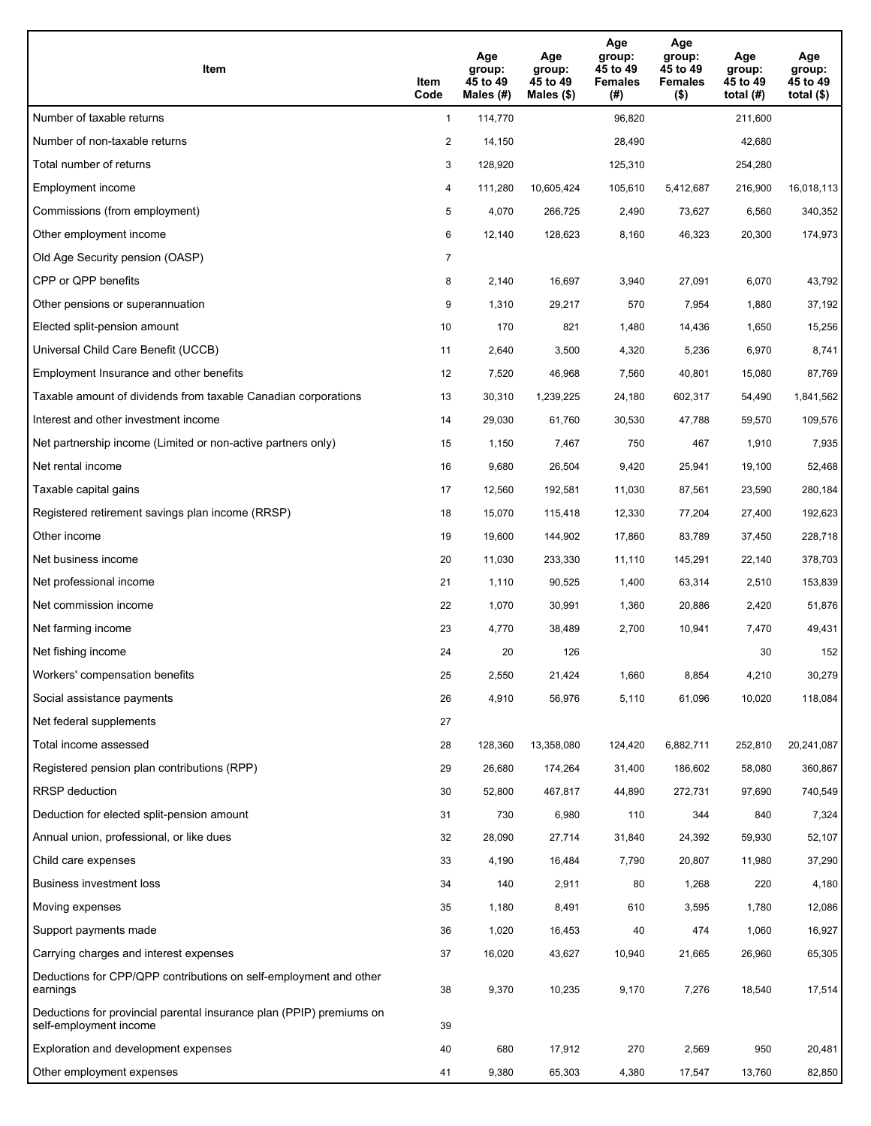| Item                                                                                           | Item<br>Code   | Age<br>group:<br>45 to 49<br>Males (#) | Age<br>group:<br>45 to 49<br>Males $(\$)$ | Age<br>group:<br>45 to 49<br><b>Females</b><br>(#) | Age<br>group:<br>45 to 49<br><b>Females</b><br>$($ \$) | Age<br>group:<br>45 to 49<br>total $(H)$ | Age<br>group:<br>45 to 49<br>total $($)$ |
|------------------------------------------------------------------------------------------------|----------------|----------------------------------------|-------------------------------------------|----------------------------------------------------|--------------------------------------------------------|------------------------------------------|------------------------------------------|
| Number of taxable returns                                                                      | $\mathbf{1}$   | 114,770                                |                                           | 96,820                                             |                                                        | 211,600                                  |                                          |
| Number of non-taxable returns                                                                  | $\overline{c}$ | 14,150                                 |                                           | 28,490                                             |                                                        | 42,680                                   |                                          |
| Total number of returns                                                                        | 3              | 128,920                                |                                           | 125,310                                            |                                                        | 254,280                                  |                                          |
| Employment income                                                                              | 4              | 111,280                                | 10,605,424                                | 105,610                                            | 5,412,687                                              | 216,900                                  | 16,018,113                               |
| Commissions (from employment)                                                                  | 5              | 4,070                                  | 266,725                                   | 2,490                                              | 73,627                                                 | 6,560                                    | 340,352                                  |
| Other employment income                                                                        | 6              | 12,140                                 | 128,623                                   | 8,160                                              | 46,323                                                 | 20,300                                   | 174,973                                  |
| Old Age Security pension (OASP)                                                                | $\overline{7}$ |                                        |                                           |                                                    |                                                        |                                          |                                          |
| CPP or QPP benefits                                                                            | 8              | 2,140                                  | 16,697                                    | 3,940                                              | 27,091                                                 | 6,070                                    | 43,792                                   |
| Other pensions or superannuation                                                               | 9              | 1,310                                  | 29,217                                    | 570                                                | 7,954                                                  | 1,880                                    | 37,192                                   |
| Elected split-pension amount                                                                   | 10             | 170                                    | 821                                       | 1,480                                              | 14,436                                                 | 1,650                                    | 15,256                                   |
| Universal Child Care Benefit (UCCB)                                                            | 11             | 2,640                                  | 3,500                                     | 4,320                                              | 5,236                                                  | 6,970                                    | 8,741                                    |
| Employment Insurance and other benefits                                                        | 12             | 7,520                                  | 46,968                                    | 7,560                                              | 40,801                                                 | 15,080                                   | 87,769                                   |
| Taxable amount of dividends from taxable Canadian corporations                                 | 13             | 30,310                                 | 1,239,225                                 | 24,180                                             | 602,317                                                | 54,490                                   | 1,841,562                                |
| Interest and other investment income                                                           | 14             | 29,030                                 | 61,760                                    | 30,530                                             | 47,788                                                 | 59,570                                   | 109,576                                  |
| Net partnership income (Limited or non-active partners only)                                   | 15             | 1,150                                  | 7,467                                     | 750                                                | 467                                                    | 1,910                                    | 7,935                                    |
| Net rental income                                                                              | 16             | 9,680                                  | 26,504                                    | 9,420                                              | 25,941                                                 | 19,100                                   | 52,468                                   |
| Taxable capital gains                                                                          | 17             | 12,560                                 | 192,581                                   | 11,030                                             | 87,561                                                 | 23,590                                   | 280,184                                  |
| Registered retirement savings plan income (RRSP)                                               | 18             | 15,070                                 | 115,418                                   | 12,330                                             | 77,204                                                 | 27,400                                   | 192,623                                  |
| Other income                                                                                   | 19             | 19,600                                 | 144,902                                   | 17,860                                             | 83,789                                                 | 37,450                                   | 228,718                                  |
| Net business income                                                                            | 20             | 11,030                                 | 233,330                                   | 11,110                                             | 145,291                                                | 22,140                                   | 378,703                                  |
| Net professional income                                                                        | 21             | 1,110                                  | 90,525                                    | 1,400                                              | 63,314                                                 | 2,510                                    | 153,839                                  |
| Net commission income                                                                          | 22             | 1,070                                  | 30,991                                    | 1,360                                              | 20,886                                                 | 2,420                                    | 51,876                                   |
| Net farming income                                                                             | 23             | 4,770                                  | 38,489                                    | 2,700                                              | 10,941                                                 | 7,470                                    | 49,431                                   |
| Net fishing income                                                                             | 24             | 20                                     | 126                                       |                                                    |                                                        | 30                                       | 152                                      |
| Workers' compensation benefits                                                                 | 25             | 2,550                                  | 21,424                                    | 1,660                                              | 8,854                                                  | 4,210                                    | 30,279                                   |
| Social assistance payments                                                                     | 26             | 4,910                                  | 56,976                                    | 5,110                                              | 61,096                                                 | 10,020                                   | 118,084                                  |
| Net federal supplements                                                                        | 27             |                                        |                                           |                                                    |                                                        |                                          |                                          |
| Total income assessed                                                                          | 28             | 128,360                                | 13,358,080                                | 124,420                                            | 6,882,711                                              | 252,810                                  | 20,241,087                               |
| Registered pension plan contributions (RPP)                                                    | 29             | 26,680                                 | 174,264                                   | 31,400                                             | 186,602                                                | 58,080                                   | 360,867                                  |
| RRSP deduction                                                                                 | 30             | 52,800                                 | 467,817                                   | 44,890                                             | 272,731                                                | 97,690                                   | 740,549                                  |
| Deduction for elected split-pension amount                                                     | 31             | 730                                    | 6,980                                     | 110                                                | 344                                                    | 840                                      | 7,324                                    |
| Annual union, professional, or like dues                                                       | 32             | 28,090                                 | 27,714                                    | 31,840                                             | 24,392                                                 | 59,930                                   | 52,107                                   |
| Child care expenses                                                                            | 33             | 4,190                                  | 16,484                                    | 7,790                                              | 20,807                                                 | 11,980                                   | 37,290                                   |
| Business investment loss                                                                       | 34             | 140                                    | 2,911                                     | 80                                                 | 1,268                                                  | 220                                      | 4,180                                    |
| Moving expenses                                                                                | 35             | 1,180                                  | 8,491                                     | 610                                                | 3,595                                                  | 1,780                                    | 12,086                                   |
| Support payments made                                                                          | 36             | 1,020                                  | 16,453                                    | 40                                                 | 474                                                    | 1,060                                    | 16,927                                   |
| Carrying charges and interest expenses                                                         | 37             | 16,020                                 | 43,627                                    | 10,940                                             | 21,665                                                 | 26,960                                   | 65,305                                   |
| Deductions for CPP/QPP contributions on self-employment and other<br>earnings                  | 38             | 9,370                                  | 10,235                                    | 9,170                                              | 7,276                                                  | 18,540                                   | 17,514                                   |
| Deductions for provincial parental insurance plan (PPIP) premiums on<br>self-employment income | 39             |                                        |                                           |                                                    |                                                        |                                          |                                          |
| Exploration and development expenses                                                           | 40             | 680                                    | 17,912                                    | 270                                                | 2,569                                                  | 950                                      | 20,481                                   |
| Other employment expenses                                                                      | 41             | 9,380                                  | 65,303                                    | 4,380                                              | 17,547                                                 | 13,760                                   | 82,850                                   |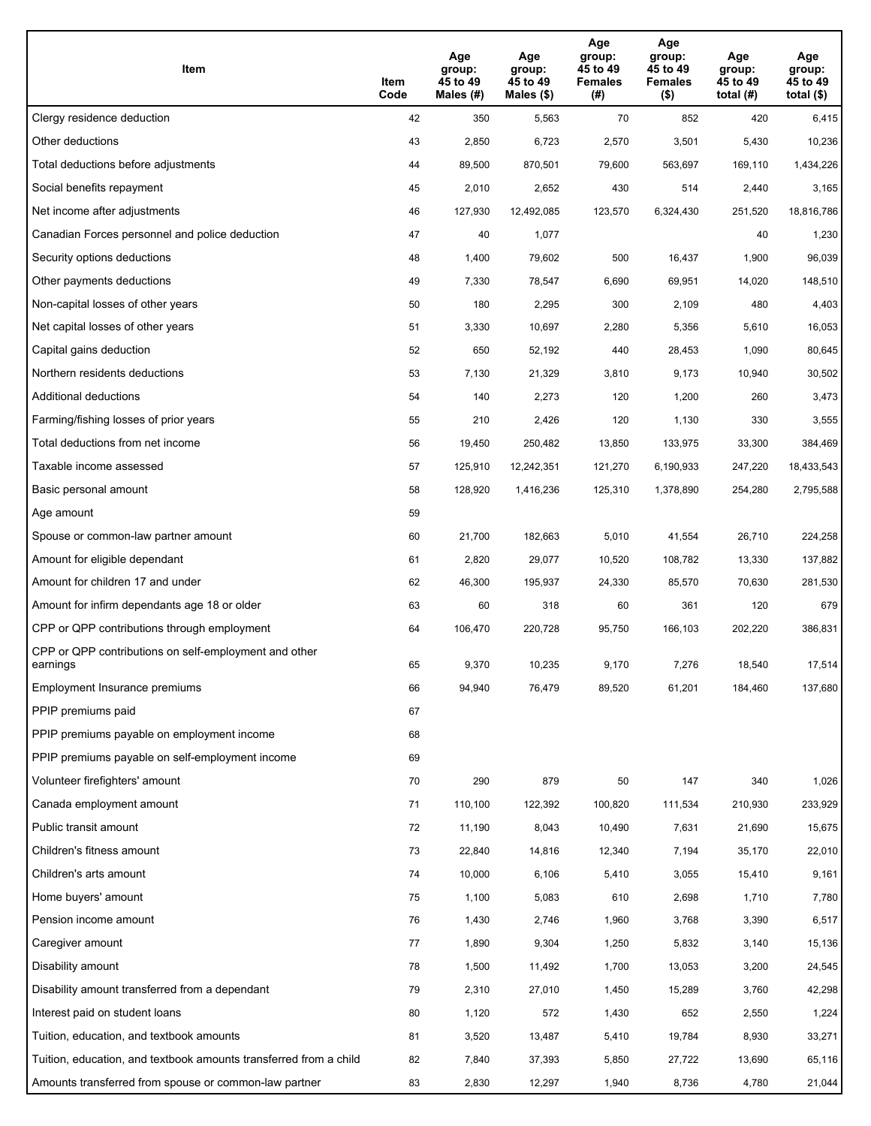| Item                                                              | Item<br>Code | Age<br>group:<br>45 to 49<br>Males (#) | Age<br>group:<br>45 to 49<br>Males (\$) | Age<br>group:<br>45 to 49<br><b>Females</b><br>(#) | Age<br>group:<br>45 to 49<br><b>Females</b><br>$($ \$) | Age<br>group:<br>45 to 49<br>total $(H)$ | Age<br>group:<br>45 to 49<br>total $($)$ |
|-------------------------------------------------------------------|--------------|----------------------------------------|-----------------------------------------|----------------------------------------------------|--------------------------------------------------------|------------------------------------------|------------------------------------------|
| Clergy residence deduction                                        | 42           | 350                                    | 5,563                                   | 70                                                 | 852                                                    | 420                                      | 6,415                                    |
| Other deductions                                                  | 43           | 2,850                                  | 6,723                                   | 2,570                                              | 3,501                                                  | 5,430                                    | 10,236                                   |
| Total deductions before adjustments                               | 44           | 89,500                                 | 870,501                                 | 79,600                                             | 563,697                                                | 169,110                                  | 1,434,226                                |
| Social benefits repayment                                         | 45           | 2,010                                  | 2,652                                   | 430                                                | 514                                                    | 2,440                                    | 3,165                                    |
| Net income after adjustments                                      | 46           | 127,930                                | 12,492,085                              | 123,570                                            | 6,324,430                                              | 251,520                                  | 18,816,786                               |
| Canadian Forces personnel and police deduction                    | 47           | 40                                     | 1,077                                   |                                                    |                                                        | 40                                       | 1,230                                    |
| Security options deductions                                       | 48           | 1,400                                  | 79,602                                  | 500                                                | 16,437                                                 | 1,900                                    | 96,039                                   |
| Other payments deductions                                         | 49           | 7,330                                  | 78,547                                  | 6,690                                              | 69,951                                                 | 14,020                                   | 148,510                                  |
| Non-capital losses of other years                                 | 50           | 180                                    | 2,295                                   | 300                                                | 2,109                                                  | 480                                      | 4,403                                    |
| Net capital losses of other years                                 | 51           | 3,330                                  | 10,697                                  | 2,280                                              | 5,356                                                  | 5,610                                    | 16,053                                   |
| Capital gains deduction                                           | 52           | 650                                    | 52,192                                  | 440                                                | 28,453                                                 | 1,090                                    | 80,645                                   |
| Northern residents deductions                                     | 53           | 7,130                                  | 21,329                                  | 3,810                                              | 9,173                                                  | 10,940                                   | 30,502                                   |
| Additional deductions                                             | 54           | 140                                    | 2,273                                   | 120                                                | 1,200                                                  | 260                                      | 3,473                                    |
| Farming/fishing losses of prior years                             | 55           | 210                                    | 2,426                                   | 120                                                | 1,130                                                  | 330                                      | 3,555                                    |
| Total deductions from net income                                  | 56           | 19,450                                 | 250,482                                 | 13,850                                             | 133,975                                                | 33,300                                   | 384,469                                  |
| Taxable income assessed                                           | 57           | 125,910                                | 12,242,351                              | 121,270                                            | 6,190,933                                              | 247,220                                  | 18,433,543                               |
| Basic personal amount                                             | 58           | 128,920                                | 1,416,236                               | 125,310                                            | 1,378,890                                              | 254,280                                  | 2,795,588                                |
| Age amount                                                        | 59           |                                        |                                         |                                                    |                                                        |                                          |                                          |
| Spouse or common-law partner amount                               | 60           | 21,700                                 | 182,663                                 | 5,010                                              | 41,554                                                 | 26,710                                   | 224,258                                  |
| Amount for eligible dependant                                     | 61           | 2,820                                  | 29,077                                  | 10,520                                             | 108,782                                                | 13,330                                   | 137,882                                  |
| Amount for children 17 and under                                  | 62           | 46,300                                 | 195,937                                 | 24,330                                             | 85,570                                                 | 70,630                                   | 281,530                                  |
| Amount for infirm dependants age 18 or older                      | 63           | 60                                     | 318                                     | 60                                                 | 361                                                    | 120                                      | 679                                      |
| CPP or QPP contributions through employment                       | 64           | 106,470                                | 220,728                                 | 95,750                                             | 166,103                                                | 202,220                                  | 386,831                                  |
| CPP or QPP contributions on self-employment and other<br>earnings | 65           | 9,370                                  | 10,235                                  | 9,170                                              | 7.276                                                  | 18,540                                   | 17,514                                   |
| Employment Insurance premiums                                     | 66           | 94,940                                 | 76,479                                  | 89,520                                             | 61,201                                                 | 184,460                                  | 137,680                                  |
| PPIP premiums paid                                                | 67           |                                        |                                         |                                                    |                                                        |                                          |                                          |
| PPIP premiums payable on employment income                        | 68           |                                        |                                         |                                                    |                                                        |                                          |                                          |
| PPIP premiums payable on self-employment income                   | 69           |                                        |                                         |                                                    |                                                        |                                          |                                          |
| Volunteer firefighters' amount                                    | 70           | 290                                    | 879                                     | 50                                                 | 147                                                    | 340                                      | 1,026                                    |
| Canada employment amount                                          | 71           | 110,100                                | 122,392                                 | 100,820                                            | 111,534                                                | 210,930                                  | 233,929                                  |
| Public transit amount                                             | 72           | 11,190                                 | 8,043                                   | 10,490                                             | 7,631                                                  | 21,690                                   | 15,675                                   |
| Children's fitness amount                                         | 73           | 22,840                                 | 14,816                                  | 12,340                                             | 7,194                                                  | 35,170                                   | 22,010                                   |
| Children's arts amount                                            | 74           | 10,000                                 | 6,106                                   | 5,410                                              | 3,055                                                  | 15,410                                   | 9,161                                    |
| Home buyers' amount                                               | 75           | 1,100                                  | 5,083                                   | 610                                                | 2,698                                                  | 1,710                                    | 7,780                                    |
| Pension income amount                                             | 76           | 1,430                                  | 2,746                                   | 1,960                                              | 3,768                                                  | 3,390                                    | 6,517                                    |
| Caregiver amount                                                  | 77           | 1,890                                  | 9,304                                   | 1,250                                              | 5,832                                                  | 3,140                                    | 15,136                                   |
| Disability amount                                                 | 78           | 1,500                                  | 11,492                                  | 1,700                                              | 13,053                                                 | 3,200                                    | 24,545                                   |
| Disability amount transferred from a dependant                    | 79           | 2,310                                  | 27,010                                  | 1,450                                              | 15,289                                                 | 3,760                                    | 42,298                                   |
| Interest paid on student loans                                    | 80           | 1,120                                  | 572                                     | 1,430                                              | 652                                                    | 2,550                                    | 1,224                                    |
| Tuition, education, and textbook amounts                          | 81           | 3,520                                  | 13,487                                  | 5,410                                              | 19,784                                                 | 8,930                                    | 33,271                                   |
| Tuition, education, and textbook amounts transferred from a child | 82           | 7,840                                  | 37,393                                  | 5,850                                              | 27,722                                                 | 13,690                                   | 65,116                                   |
| Amounts transferred from spouse or common-law partner             | 83           | 2,830                                  | 12,297                                  | 1,940                                              | 8,736                                                  | 4,780                                    | 21,044                                   |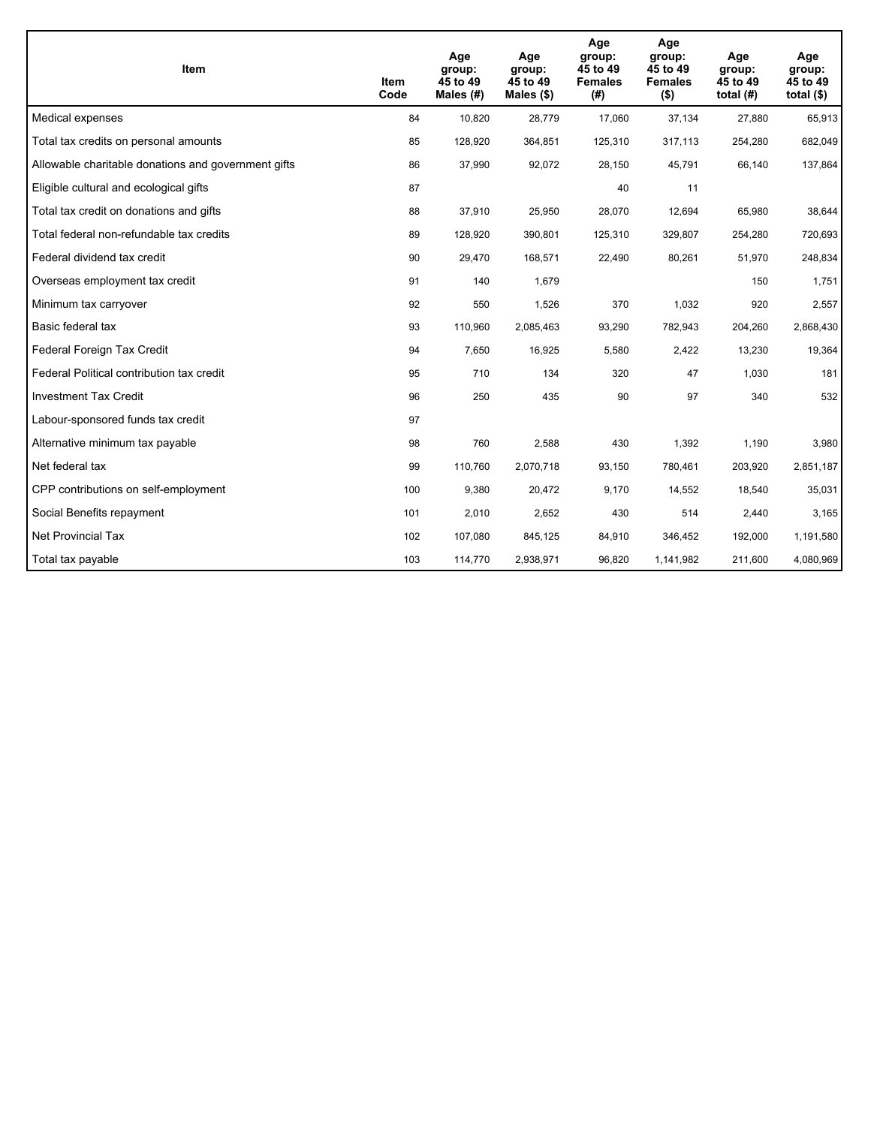| <b>Item</b>                                         | Item<br>Code | Age<br>group:<br>45 to 49<br>Males (#) | Age<br>group:<br>45 to 49<br>Males (\$) | Age<br>group:<br>45 to 49<br><b>Females</b><br>(#) | Age<br>group:<br>45 to 49<br><b>Females</b><br>$($ \$) | Age<br>group:<br>45 to 49<br>total $(H)$ | Age<br>group:<br>45 to 49<br>total $($)$ |
|-----------------------------------------------------|--------------|----------------------------------------|-----------------------------------------|----------------------------------------------------|--------------------------------------------------------|------------------------------------------|------------------------------------------|
| Medical expenses                                    | 84           | 10,820                                 | 28,779                                  | 17,060                                             | 37,134                                                 | 27,880                                   | 65,913                                   |
| Total tax credits on personal amounts               | 85           | 128,920                                | 364,851                                 | 125,310                                            | 317,113                                                | 254,280                                  | 682,049                                  |
| Allowable charitable donations and government gifts | 86           | 37,990                                 | 92,072                                  | 28,150                                             | 45,791                                                 | 66,140                                   | 137,864                                  |
| Eligible cultural and ecological gifts              | 87           |                                        |                                         | 40                                                 | 11                                                     |                                          |                                          |
| Total tax credit on donations and gifts             | 88           | 37,910                                 | 25,950                                  | 28,070                                             | 12,694                                                 | 65,980                                   | 38,644                                   |
| Total federal non-refundable tax credits            | 89           | 128,920                                | 390,801                                 | 125,310                                            | 329,807                                                | 254,280                                  | 720,693                                  |
| Federal dividend tax credit                         | 90           | 29,470                                 | 168,571                                 | 22,490                                             | 80,261                                                 | 51,970                                   | 248,834                                  |
| Overseas employment tax credit                      | 91           | 140                                    | 1,679                                   |                                                    |                                                        | 150                                      | 1,751                                    |
| Minimum tax carryover                               | 92           | 550                                    | 1,526                                   | 370                                                | 1,032                                                  | 920                                      | 2,557                                    |
| Basic federal tax                                   | 93           | 110,960                                | 2,085,463                               | 93,290                                             | 782,943                                                | 204,260                                  | 2,868,430                                |
| Federal Foreign Tax Credit                          | 94           | 7,650                                  | 16,925                                  | 5,580                                              | 2,422                                                  | 13,230                                   | 19,364                                   |
| Federal Political contribution tax credit           | 95           | 710                                    | 134                                     | 320                                                | 47                                                     | 1,030                                    | 181                                      |
| <b>Investment Tax Credit</b>                        | 96           | 250                                    | 435                                     | 90                                                 | 97                                                     | 340                                      | 532                                      |
| Labour-sponsored funds tax credit                   | 97           |                                        |                                         |                                                    |                                                        |                                          |                                          |
| Alternative minimum tax payable                     | 98           | 760                                    | 2,588                                   | 430                                                | 1,392                                                  | 1,190                                    | 3,980                                    |
| Net federal tax                                     | 99           | 110,760                                | 2,070,718                               | 93,150                                             | 780,461                                                | 203,920                                  | 2,851,187                                |
| CPP contributions on self-employment                | 100          | 9,380                                  | 20,472                                  | 9,170                                              | 14,552                                                 | 18,540                                   | 35,031                                   |
| Social Benefits repayment                           | 101          | 2,010                                  | 2,652                                   | 430                                                | 514                                                    | 2,440                                    | 3,165                                    |
| Net Provincial Tax                                  | 102          | 107,080                                | 845,125                                 | 84,910                                             | 346,452                                                | 192,000                                  | 1,191,580                                |
| Total tax payable                                   | 103          | 114,770                                | 2,938,971                               | 96,820                                             | 1,141,982                                              | 211,600                                  | 4,080,969                                |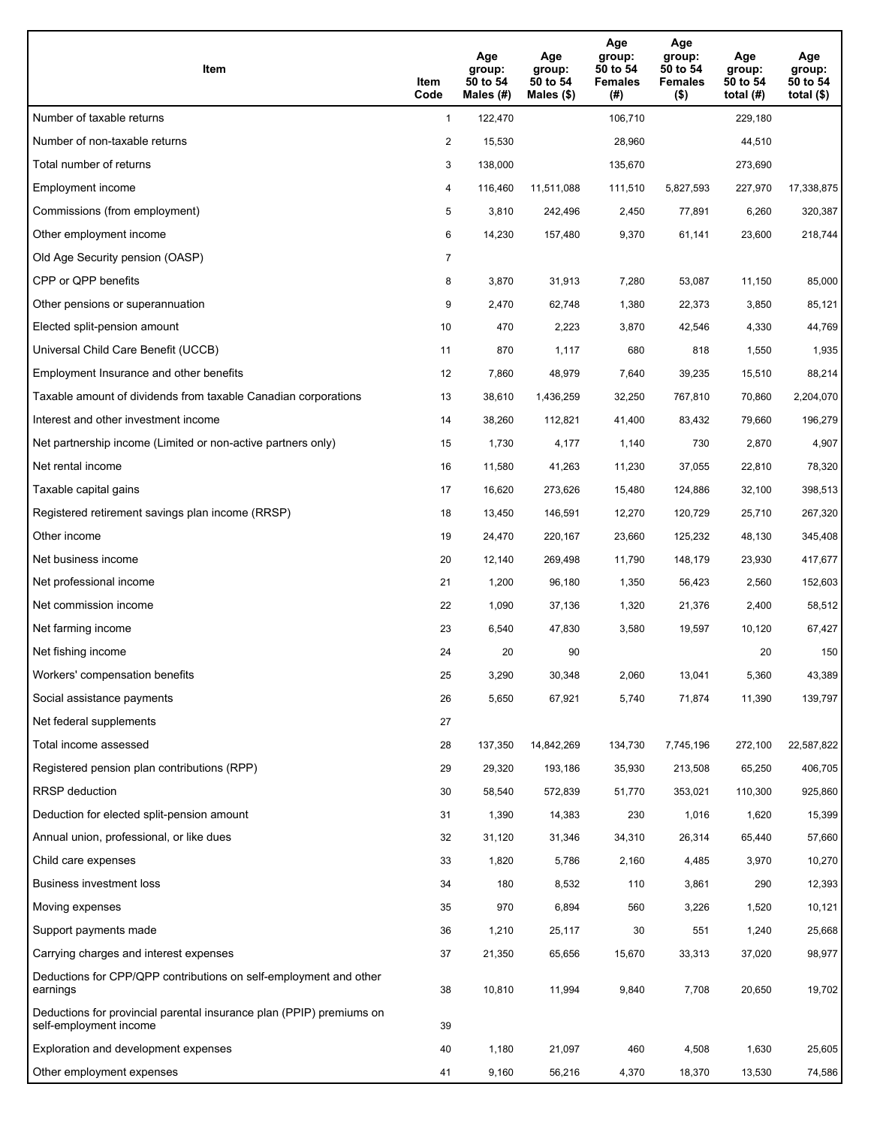| Item                                                                                           | Item<br>Code   | Age<br>group:<br>50 to 54<br>Males (#) | Age<br>group:<br>50 to 54<br>Males $(\$)$ | Age<br>group:<br>50 to 54<br><b>Females</b><br>(#) | Age<br>group:<br>50 to 54<br><b>Females</b><br>$($ \$) | Age<br>group:<br>50 to 54<br>total $(H)$ | Age<br>group:<br>50 to 54<br>total $(\$)$ |
|------------------------------------------------------------------------------------------------|----------------|----------------------------------------|-------------------------------------------|----------------------------------------------------|--------------------------------------------------------|------------------------------------------|-------------------------------------------|
| Number of taxable returns                                                                      | $\mathbf{1}$   | 122,470                                |                                           | 106,710                                            |                                                        | 229,180                                  |                                           |
| Number of non-taxable returns                                                                  | $\overline{c}$ | 15,530                                 |                                           | 28,960                                             |                                                        | 44,510                                   |                                           |
| Total number of returns                                                                        | 3              | 138,000                                |                                           | 135,670                                            |                                                        | 273,690                                  |                                           |
| Employment income                                                                              | 4              | 116.460                                | 11,511,088                                | 111,510                                            | 5,827,593                                              | 227,970                                  | 17,338,875                                |
| Commissions (from employment)                                                                  | 5              | 3,810                                  | 242,496                                   | 2,450                                              | 77,891                                                 | 6,260                                    | 320,387                                   |
| Other employment income                                                                        | 6              | 14,230                                 | 157,480                                   | 9,370                                              | 61,141                                                 | 23,600                                   | 218,744                                   |
| Old Age Security pension (OASP)                                                                | 7              |                                        |                                           |                                                    |                                                        |                                          |                                           |
| CPP or QPP benefits                                                                            | 8              | 3,870                                  | 31,913                                    | 7,280                                              | 53,087                                                 | 11,150                                   | 85,000                                    |
| Other pensions or superannuation                                                               | 9              | 2,470                                  | 62,748                                    | 1,380                                              | 22,373                                                 | 3,850                                    | 85,121                                    |
| Elected split-pension amount                                                                   | 10             | 470                                    | 2,223                                     | 3,870                                              | 42,546                                                 | 4,330                                    | 44,769                                    |
| Universal Child Care Benefit (UCCB)                                                            | 11             | 870                                    | 1,117                                     | 680                                                | 818                                                    | 1,550                                    | 1,935                                     |
| Employment Insurance and other benefits                                                        | 12             | 7,860                                  | 48,979                                    | 7,640                                              | 39,235                                                 | 15,510                                   | 88,214                                    |
| Taxable amount of dividends from taxable Canadian corporations                                 | 13             | 38,610                                 | 1,436,259                                 | 32,250                                             | 767,810                                                | 70,860                                   | 2,204,070                                 |
| Interest and other investment income                                                           | 14             | 38,260                                 | 112,821                                   | 41,400                                             | 83,432                                                 | 79,660                                   | 196,279                                   |
| Net partnership income (Limited or non-active partners only)                                   | 15             | 1,730                                  | 4,177                                     | 1,140                                              | 730                                                    | 2,870                                    | 4,907                                     |
| Net rental income                                                                              | 16             | 11,580                                 | 41,263                                    | 11,230                                             | 37,055                                                 | 22,810                                   | 78,320                                    |
| Taxable capital gains                                                                          | 17             | 16,620                                 | 273,626                                   | 15,480                                             | 124,886                                                | 32,100                                   | 398,513                                   |
| Registered retirement savings plan income (RRSP)                                               | 18             | 13,450                                 | 146,591                                   | 12,270                                             | 120,729                                                | 25,710                                   | 267,320                                   |
| Other income                                                                                   | 19             | 24,470                                 | 220,167                                   | 23,660                                             | 125,232                                                | 48,130                                   | 345,408                                   |
| Net business income                                                                            | 20             | 12,140                                 | 269,498                                   | 11,790                                             | 148,179                                                | 23,930                                   | 417,677                                   |
| Net professional income                                                                        | 21             | 1,200                                  | 96,180                                    | 1,350                                              | 56,423                                                 | 2,560                                    | 152,603                                   |
| Net commission income                                                                          | 22             | 1,090                                  | 37,136                                    | 1,320                                              | 21,376                                                 | 2,400                                    | 58,512                                    |
| Net farming income                                                                             | 23             | 6,540                                  | 47,830                                    | 3,580                                              | 19,597                                                 | 10,120                                   | 67,427                                    |
| Net fishing income                                                                             | 24             | 20                                     | 90                                        |                                                    |                                                        | 20                                       | 150                                       |
| Workers' compensation benefits                                                                 | 25             | 3,290                                  | 30,348                                    | 2,060                                              | 13,041                                                 | 5,360                                    | 43,389                                    |
| Social assistance payments                                                                     | 26             | 5,650                                  | 67,921                                    | 5,740                                              | 71,874                                                 | 11,390                                   | 139,797                                   |
| Net federal supplements                                                                        | 27             |                                        |                                           |                                                    |                                                        |                                          |                                           |
| Total income assessed                                                                          | 28             | 137,350                                | 14,842,269                                | 134,730                                            | 7,745,196                                              | 272,100                                  | 22,587,822                                |
| Registered pension plan contributions (RPP)                                                    | 29             | 29,320                                 | 193,186                                   | 35,930                                             | 213,508                                                | 65,250                                   | 406,705                                   |
| RRSP deduction                                                                                 | 30             | 58,540                                 | 572,839                                   | 51,770                                             | 353,021                                                | 110,300                                  | 925,860                                   |
| Deduction for elected split-pension amount                                                     | 31             | 1,390                                  | 14,383                                    | 230                                                | 1,016                                                  | 1,620                                    | 15,399                                    |
| Annual union, professional, or like dues                                                       | 32             | 31,120                                 | 31,346                                    | 34,310                                             | 26,314                                                 | 65,440                                   | 57,660                                    |
| Child care expenses                                                                            | 33             | 1,820                                  | 5,786                                     | 2,160                                              | 4,485                                                  | 3,970                                    | 10,270                                    |
| Business investment loss                                                                       | 34             | 180                                    | 8,532                                     | 110                                                | 3,861                                                  | 290                                      | 12,393                                    |
| Moving expenses                                                                                | 35             | 970                                    | 6,894                                     | 560                                                | 3,226                                                  | 1,520                                    | 10,121                                    |
| Support payments made                                                                          | 36             | 1,210                                  | 25,117                                    | 30                                                 | 551                                                    | 1,240                                    | 25,668                                    |
| Carrying charges and interest expenses                                                         | 37             | 21,350                                 | 65,656                                    | 15,670                                             | 33,313                                                 | 37,020                                   | 98,977                                    |
| Deductions for CPP/QPP contributions on self-employment and other<br>earnings                  | 38             | 10,810                                 | 11,994                                    | 9,840                                              | 7,708                                                  | 20,650                                   | 19,702                                    |
| Deductions for provincial parental insurance plan (PPIP) premiums on<br>self-employment income | 39             |                                        |                                           |                                                    |                                                        |                                          |                                           |
| Exploration and development expenses                                                           | 40             | 1,180                                  | 21,097                                    | 460                                                | 4,508                                                  | 1,630                                    | 25,605                                    |
| Other employment expenses                                                                      | 41             | 9,160                                  | 56,216                                    | 4,370                                              | 18,370                                                 | 13,530                                   | 74,586                                    |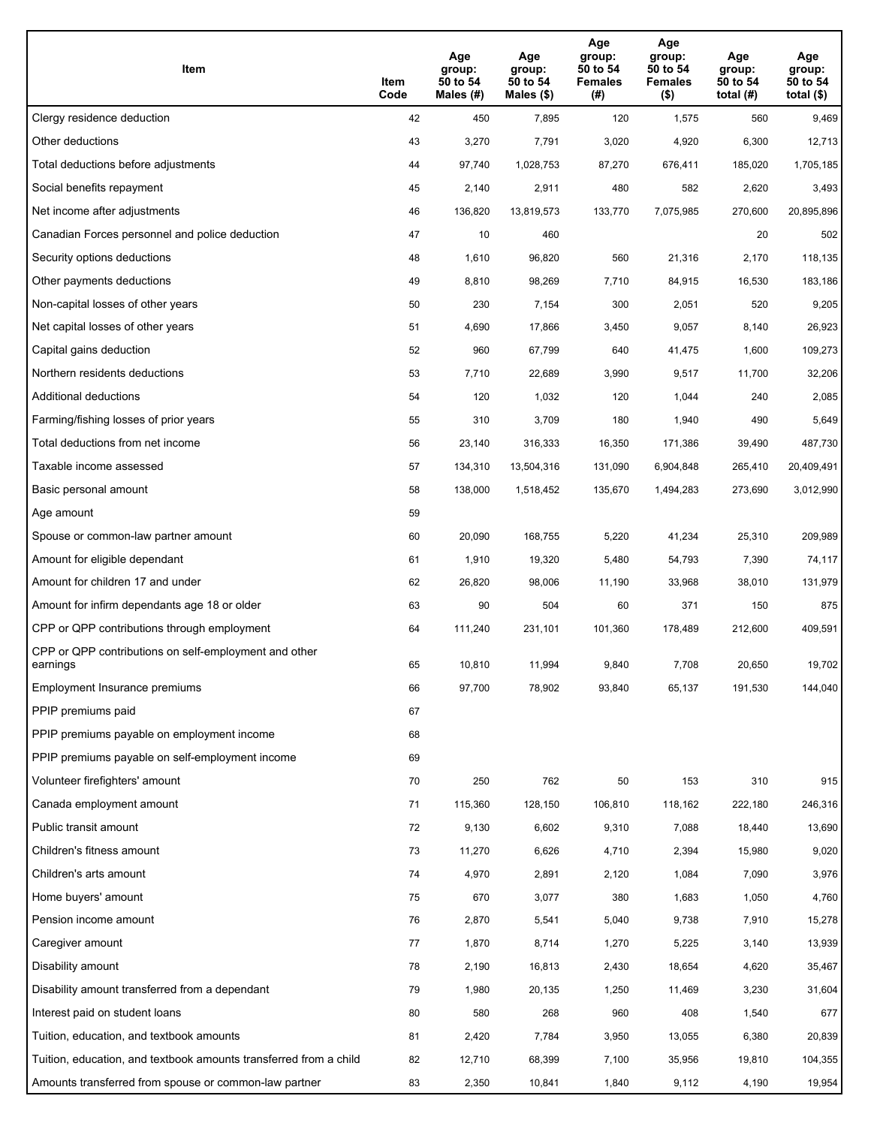| Item                                                              | Item<br>Code | Age<br>group:<br>50 to 54<br>Males (#) | Age<br>group:<br>50 to 54<br>Males (\$) | Age<br>group:<br>50 to 54<br><b>Females</b><br>(#) | Age<br>group:<br>50 to 54<br><b>Females</b><br>$($ \$) | Age<br>group:<br>50 to 54<br>total $(H)$ | Age<br>group:<br>50 to 54<br>total $($)$ |
|-------------------------------------------------------------------|--------------|----------------------------------------|-----------------------------------------|----------------------------------------------------|--------------------------------------------------------|------------------------------------------|------------------------------------------|
| Clergy residence deduction                                        | 42           | 450                                    | 7,895                                   | 120                                                | 1,575                                                  | 560                                      | 9,469                                    |
| Other deductions                                                  | 43           | 3,270                                  | 7,791                                   | 3,020                                              | 4,920                                                  | 6,300                                    | 12,713                                   |
| Total deductions before adjustments                               | 44           | 97,740                                 | 1,028,753                               | 87,270                                             | 676,411                                                | 185,020                                  | 1,705,185                                |
| Social benefits repayment                                         | 45           | 2,140                                  | 2,911                                   | 480                                                | 582                                                    | 2,620                                    | 3,493                                    |
| Net income after adjustments                                      | 46           | 136,820                                | 13,819,573                              | 133,770                                            | 7,075,985                                              | 270,600                                  | 20,895,896                               |
| Canadian Forces personnel and police deduction                    | 47           | 10                                     | 460                                     |                                                    |                                                        | 20                                       | 502                                      |
| Security options deductions                                       | 48           | 1,610                                  | 96,820                                  | 560                                                | 21,316                                                 | 2,170                                    | 118,135                                  |
| Other payments deductions                                         | 49           | 8,810                                  | 98,269                                  | 7,710                                              | 84,915                                                 | 16,530                                   | 183,186                                  |
| Non-capital losses of other years                                 | 50           | 230                                    | 7,154                                   | 300                                                | 2,051                                                  | 520                                      | 9,205                                    |
| Net capital losses of other years                                 | 51           | 4,690                                  | 17,866                                  | 3,450                                              | 9,057                                                  | 8,140                                    | 26,923                                   |
| Capital gains deduction                                           | 52           | 960                                    | 67,799                                  | 640                                                | 41,475                                                 | 1,600                                    | 109,273                                  |
| Northern residents deductions                                     | 53           | 7,710                                  | 22,689                                  | 3,990                                              | 9,517                                                  | 11,700                                   | 32,206                                   |
| Additional deductions                                             | 54           | 120                                    | 1,032                                   | 120                                                | 1,044                                                  | 240                                      | 2,085                                    |
| Farming/fishing losses of prior years                             | 55           | 310                                    | 3,709                                   | 180                                                | 1,940                                                  | 490                                      | 5,649                                    |
| Total deductions from net income                                  | 56           | 23,140                                 | 316,333                                 | 16,350                                             | 171,386                                                | 39,490                                   | 487,730                                  |
| Taxable income assessed                                           | 57           | 134,310                                | 13,504,316                              | 131,090                                            | 6,904,848                                              | 265,410                                  | 20,409,491                               |
| Basic personal amount                                             | 58           | 138,000                                | 1,518,452                               | 135,670                                            | 1,494,283                                              | 273,690                                  | 3,012,990                                |
| Age amount                                                        | 59           |                                        |                                         |                                                    |                                                        |                                          |                                          |
| Spouse or common-law partner amount                               | 60           | 20,090                                 | 168,755                                 | 5,220                                              | 41,234                                                 | 25,310                                   | 209,989                                  |
| Amount for eligible dependant                                     | 61           | 1,910                                  | 19,320                                  | 5,480                                              | 54,793                                                 | 7,390                                    | 74,117                                   |
| Amount for children 17 and under                                  | 62           | 26,820                                 | 98,006                                  | 11,190                                             | 33,968                                                 | 38,010                                   | 131,979                                  |
| Amount for infirm dependants age 18 or older                      | 63           | 90                                     | 504                                     | 60                                                 | 371                                                    | 150                                      | 875                                      |
| CPP or QPP contributions through employment                       | 64           | 111,240                                | 231,101                                 | 101,360                                            | 178,489                                                | 212,600                                  | 409,591                                  |
| CPP or QPP contributions on self-employment and other<br>earnings | 65           | 10,810                                 | 11,994                                  | 9,840                                              | 7,708                                                  | 20,650                                   | 19,702                                   |
| Employment Insurance premiums                                     | 66           | 97,700                                 | 78,902                                  | 93,840                                             | 65,137                                                 | 191,530                                  | 144,040                                  |
| PPIP premiums paid                                                | 67           |                                        |                                         |                                                    |                                                        |                                          |                                          |
| PPIP premiums payable on employment income                        | 68           |                                        |                                         |                                                    |                                                        |                                          |                                          |
| PPIP premiums payable on self-employment income                   | 69           |                                        |                                         |                                                    |                                                        |                                          |                                          |
| Volunteer firefighters' amount                                    | 70           | 250                                    | 762                                     | 50                                                 | 153                                                    | 310                                      | 915                                      |
| Canada employment amount                                          | 71           | 115,360                                | 128,150                                 | 106,810                                            | 118,162                                                | 222,180                                  | 246,316                                  |
| Public transit amount                                             | 72           | 9,130                                  | 6,602                                   | 9,310                                              | 7,088                                                  | 18,440                                   | 13,690                                   |
| Children's fitness amount                                         | 73           | 11,270                                 | 6,626                                   | 4,710                                              | 2,394                                                  | 15,980                                   | 9,020                                    |
| Children's arts amount                                            | 74           | 4,970                                  | 2,891                                   | 2,120                                              | 1,084                                                  | 7,090                                    | 3,976                                    |
| Home buyers' amount                                               | 75           | 670                                    | 3,077                                   | 380                                                | 1,683                                                  | 1,050                                    | 4,760                                    |
| Pension income amount                                             | 76           | 2,870                                  | 5,541                                   | 5,040                                              | 9,738                                                  | 7,910                                    | 15,278                                   |
| Caregiver amount                                                  | 77           | 1,870                                  | 8,714                                   | 1,270                                              | 5,225                                                  | 3,140                                    | 13,939                                   |
| Disability amount                                                 | 78           | 2,190                                  | 16,813                                  | 2,430                                              | 18,654                                                 | 4,620                                    | 35,467                                   |
| Disability amount transferred from a dependant                    | 79           | 1,980                                  | 20,135                                  | 1,250                                              | 11,469                                                 | 3,230                                    | 31,604                                   |
| Interest paid on student loans                                    | 80           | 580                                    | 268                                     | 960                                                | 408                                                    | 1,540                                    | 677                                      |
| Tuition, education, and textbook amounts                          | 81           | 2,420                                  | 7,784                                   | 3,950                                              | 13,055                                                 | 6,380                                    | 20,839                                   |
| Tuition, education, and textbook amounts transferred from a child | 82           | 12,710                                 | 68,399                                  | 7,100                                              | 35,956                                                 | 19,810                                   | 104,355                                  |
| Amounts transferred from spouse or common-law partner             | 83           | 2,350                                  | 10,841                                  | 1,840                                              | 9,112                                                  | 4,190                                    | 19,954                                   |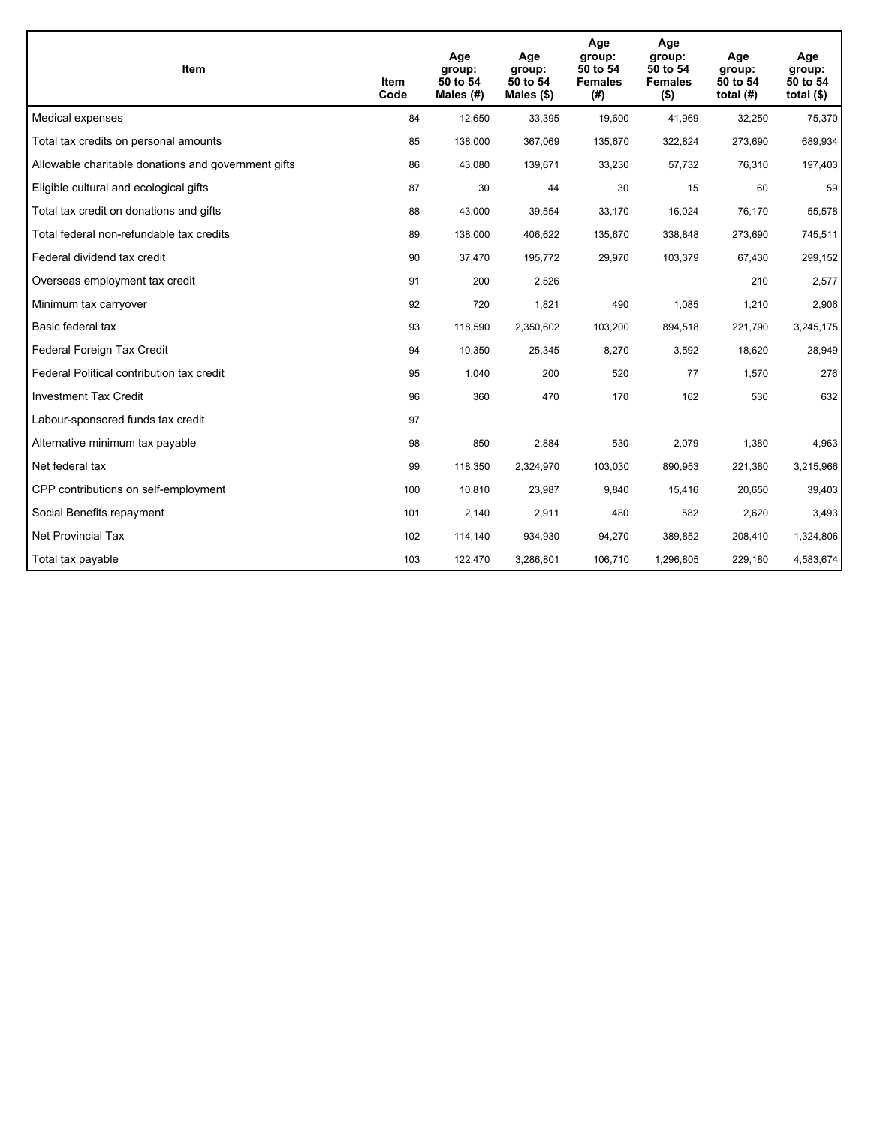| <b>Item</b>                                         | Item<br>Code | Age<br>group:<br>50 to 54<br>Males (#) | Age<br>group:<br>50 to 54<br>Males $(\$)$ | Age<br>group:<br>50 to 54<br><b>Females</b><br>(#) | Age<br>group:<br>50 to 54<br><b>Females</b><br>$($ \$) | Age<br>group:<br>50 to 54<br>total $(H)$ | Age<br>group:<br>50 to 54<br>total $($)$ |
|-----------------------------------------------------|--------------|----------------------------------------|-------------------------------------------|----------------------------------------------------|--------------------------------------------------------|------------------------------------------|------------------------------------------|
| Medical expenses                                    | 84           | 12,650                                 | 33,395                                    | 19,600                                             | 41,969                                                 | 32,250                                   | 75,370                                   |
| Total tax credits on personal amounts               | 85           | 138,000                                | 367,069                                   | 135,670                                            | 322,824                                                | 273,690                                  | 689,934                                  |
| Allowable charitable donations and government gifts | 86           | 43,080                                 | 139,671                                   | 33,230                                             | 57,732                                                 | 76,310                                   | 197,403                                  |
| Eligible cultural and ecological gifts              | 87           | 30                                     | 44                                        | 30                                                 | 15                                                     | 60                                       | 59                                       |
| Total tax credit on donations and gifts             | 88           | 43,000                                 | 39,554                                    | 33,170                                             | 16,024                                                 | 76,170                                   | 55,578                                   |
| Total federal non-refundable tax credits            | 89           | 138,000                                | 406,622                                   | 135,670                                            | 338,848                                                | 273,690                                  | 745,511                                  |
| Federal dividend tax credit                         | 90           | 37,470                                 | 195,772                                   | 29,970                                             | 103,379                                                | 67,430                                   | 299,152                                  |
| Overseas employment tax credit                      | 91           | 200                                    | 2,526                                     |                                                    |                                                        | 210                                      | 2,577                                    |
| Minimum tax carryover                               | 92           | 720                                    | 1,821                                     | 490                                                | 1,085                                                  | 1,210                                    | 2,906                                    |
| Basic federal tax                                   | 93           | 118,590                                | 2,350,602                                 | 103,200                                            | 894,518                                                | 221,790                                  | 3,245,175                                |
| Federal Foreign Tax Credit                          | 94           | 10,350                                 | 25,345                                    | 8,270                                              | 3,592                                                  | 18,620                                   | 28,949                                   |
| Federal Political contribution tax credit           | 95           | 1,040                                  | 200                                       | 520                                                | 77                                                     | 1,570                                    | 276                                      |
| <b>Investment Tax Credit</b>                        | 96           | 360                                    | 470                                       | 170                                                | 162                                                    | 530                                      | 632                                      |
| Labour-sponsored funds tax credit                   | 97           |                                        |                                           |                                                    |                                                        |                                          |                                          |
| Alternative minimum tax payable                     | 98           | 850                                    | 2,884                                     | 530                                                | 2,079                                                  | 1,380                                    | 4,963                                    |
| Net federal tax                                     | 99           | 118,350                                | 2,324,970                                 | 103,030                                            | 890,953                                                | 221,380                                  | 3,215,966                                |
| CPP contributions on self-employment                | 100          | 10,810                                 | 23,987                                    | 9,840                                              | 15,416                                                 | 20,650                                   | 39,403                                   |
| Social Benefits repayment                           | 101          | 2,140                                  | 2,911                                     | 480                                                | 582                                                    | 2,620                                    | 3,493                                    |
| <b>Net Provincial Tax</b>                           | 102          | 114,140                                | 934,930                                   | 94,270                                             | 389.852                                                | 208,410                                  | 1,324,806                                |
| Total tax payable                                   | 103          | 122,470                                | 3,286,801                                 | 106,710                                            | 1,296,805                                              | 229,180                                  | 4,583,674                                |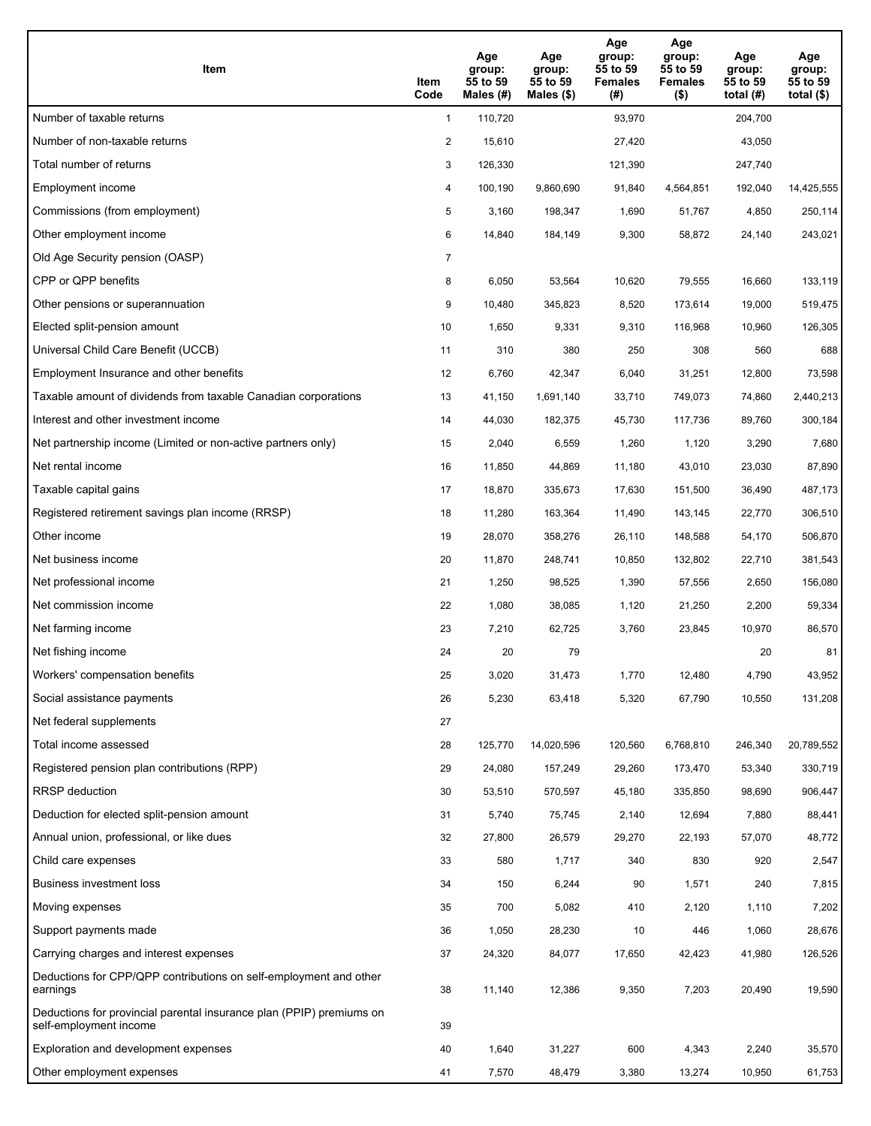| Item                                                                                           | Item<br>Code   | Age<br>group:<br>55 to 59<br>Males (#) | Age<br>group:<br>55 to 59<br>Males $(\$)$ | Age<br>group:<br>55 to 59<br><b>Females</b><br>(#) | Age<br>group:<br>55 to 59<br><b>Females</b><br>$($ \$) | Age<br>group:<br>55 to 59<br>total $(H)$ | Age<br>group:<br>55 to 59<br>total $(\$)$ |
|------------------------------------------------------------------------------------------------|----------------|----------------------------------------|-------------------------------------------|----------------------------------------------------|--------------------------------------------------------|------------------------------------------|-------------------------------------------|
| Number of taxable returns                                                                      | $\mathbf{1}$   | 110,720                                |                                           | 93,970                                             |                                                        | 204,700                                  |                                           |
| Number of non-taxable returns                                                                  | $\overline{2}$ | 15,610                                 |                                           | 27,420                                             |                                                        | 43,050                                   |                                           |
| Total number of returns                                                                        | 3              | 126,330                                |                                           | 121,390                                            |                                                        | 247,740                                  |                                           |
| Employment income                                                                              | 4              | 100,190                                | 9,860,690                                 | 91,840                                             | 4,564,851                                              | 192,040                                  | 14,425,555                                |
| Commissions (from employment)                                                                  | 5              | 3,160                                  | 198,347                                   | 1,690                                              | 51,767                                                 | 4,850                                    | 250,114                                   |
| Other employment income                                                                        | 6              | 14,840                                 | 184,149                                   | 9,300                                              | 58,872                                                 | 24,140                                   | 243,021                                   |
| Old Age Security pension (OASP)                                                                | $\overline{7}$ |                                        |                                           |                                                    |                                                        |                                          |                                           |
| CPP or QPP benefits                                                                            | 8              | 6,050                                  | 53,564                                    | 10,620                                             | 79,555                                                 | 16,660                                   | 133,119                                   |
| Other pensions or superannuation                                                               | 9              | 10,480                                 | 345,823                                   | 8,520                                              | 173,614                                                | 19,000                                   | 519,475                                   |
| Elected split-pension amount                                                                   | 10             | 1,650                                  | 9,331                                     | 9,310                                              | 116,968                                                | 10,960                                   | 126,305                                   |
| Universal Child Care Benefit (UCCB)                                                            | 11             | 310                                    | 380                                       | 250                                                | 308                                                    | 560                                      | 688                                       |
| Employment Insurance and other benefits                                                        | 12             | 6,760                                  | 42,347                                    | 6,040                                              | 31,251                                                 | 12,800                                   | 73,598                                    |
| Taxable amount of dividends from taxable Canadian corporations                                 | 13             | 41,150                                 | 1,691,140                                 | 33,710                                             | 749,073                                                | 74,860                                   | 2,440,213                                 |
| Interest and other investment income                                                           | 14             | 44,030                                 | 182,375                                   | 45,730                                             | 117,736                                                | 89,760                                   | 300,184                                   |
| Net partnership income (Limited or non-active partners only)                                   | 15             | 2,040                                  | 6,559                                     | 1,260                                              | 1,120                                                  | 3,290                                    | 7,680                                     |
| Net rental income                                                                              | 16             | 11,850                                 | 44,869                                    | 11,180                                             | 43,010                                                 | 23,030                                   | 87,890                                    |
| Taxable capital gains                                                                          | 17             | 18,870                                 | 335,673                                   | 17,630                                             | 151,500                                                | 36,490                                   | 487,173                                   |
| Registered retirement savings plan income (RRSP)                                               | 18             | 11,280                                 | 163,364                                   | 11,490                                             | 143,145                                                | 22,770                                   | 306,510                                   |
| Other income                                                                                   | 19             | 28,070                                 | 358,276                                   | 26,110                                             | 148,588                                                | 54,170                                   | 506,870                                   |
| Net business income                                                                            | 20             | 11,870                                 | 248,741                                   | 10,850                                             | 132,802                                                | 22,710                                   | 381,543                                   |
| Net professional income                                                                        | 21             | 1,250                                  | 98,525                                    | 1,390                                              | 57,556                                                 | 2,650                                    | 156,080                                   |
| Net commission income                                                                          | 22             | 1,080                                  | 38,085                                    | 1,120                                              | 21,250                                                 | 2,200                                    | 59,334                                    |
| Net farming income                                                                             | 23             | 7,210                                  | 62,725                                    | 3,760                                              | 23,845                                                 | 10,970                                   | 86,570                                    |
| Net fishing income                                                                             | 24             | 20                                     | 79                                        |                                                    |                                                        | 20                                       | 81                                        |
| Workers' compensation benefits                                                                 | 25             | 3,020                                  | 31,473                                    | 1,770                                              | 12,480                                                 | 4,790                                    | 43,952                                    |
| Social assistance payments                                                                     | 26             | 5,230                                  | 63,418                                    | 5,320                                              | 67,790                                                 | 10,550                                   | 131,208                                   |
| Net federal supplements                                                                        | 27             |                                        |                                           |                                                    |                                                        |                                          |                                           |
| Total income assessed                                                                          | 28             | 125,770                                | 14,020,596                                | 120,560                                            | 6,768,810                                              | 246,340                                  | 20,789,552                                |
| Registered pension plan contributions (RPP)                                                    | 29             | 24,080                                 | 157,249                                   | 29,260                                             | 173,470                                                | 53,340                                   | 330,719                                   |
| RRSP deduction                                                                                 | 30             | 53,510                                 | 570,597                                   | 45,180                                             | 335,850                                                | 98,690                                   | 906,447                                   |
| Deduction for elected split-pension amount                                                     | 31             | 5,740                                  | 75,745                                    | 2,140                                              | 12,694                                                 | 7,880                                    | 88,441                                    |
| Annual union, professional, or like dues                                                       | 32             | 27,800                                 | 26,579                                    | 29,270                                             | 22,193                                                 | 57,070                                   | 48,772                                    |
| Child care expenses                                                                            | 33             | 580                                    | 1,717                                     | 340                                                | 830                                                    | 920                                      | 2,547                                     |
| Business investment loss                                                                       | 34             | 150                                    | 6,244                                     | 90                                                 | 1,571                                                  | 240                                      | 7,815                                     |
| Moving expenses                                                                                | 35             | 700                                    | 5,082                                     | 410                                                | 2,120                                                  | 1,110                                    | 7,202                                     |
| Support payments made                                                                          | 36             | 1,050                                  | 28,230                                    | 10                                                 | 446                                                    | 1,060                                    | 28,676                                    |
| Carrying charges and interest expenses                                                         | 37             | 24,320                                 | 84,077                                    | 17,650                                             | 42,423                                                 | 41,980                                   | 126,526                                   |
| Deductions for CPP/QPP contributions on self-employment and other<br>earnings                  | 38             | 11,140                                 | 12,386                                    | 9,350                                              | 7,203                                                  | 20,490                                   | 19,590                                    |
| Deductions for provincial parental insurance plan (PPIP) premiums on<br>self-employment income | 39             |                                        |                                           |                                                    |                                                        |                                          |                                           |
| Exploration and development expenses                                                           | 40             | 1,640                                  | 31,227                                    | 600                                                | 4,343                                                  | 2,240                                    | 35,570                                    |
| Other employment expenses                                                                      | 41             | 7,570                                  | 48,479                                    | 3,380                                              | 13,274                                                 | 10,950                                   | 61,753                                    |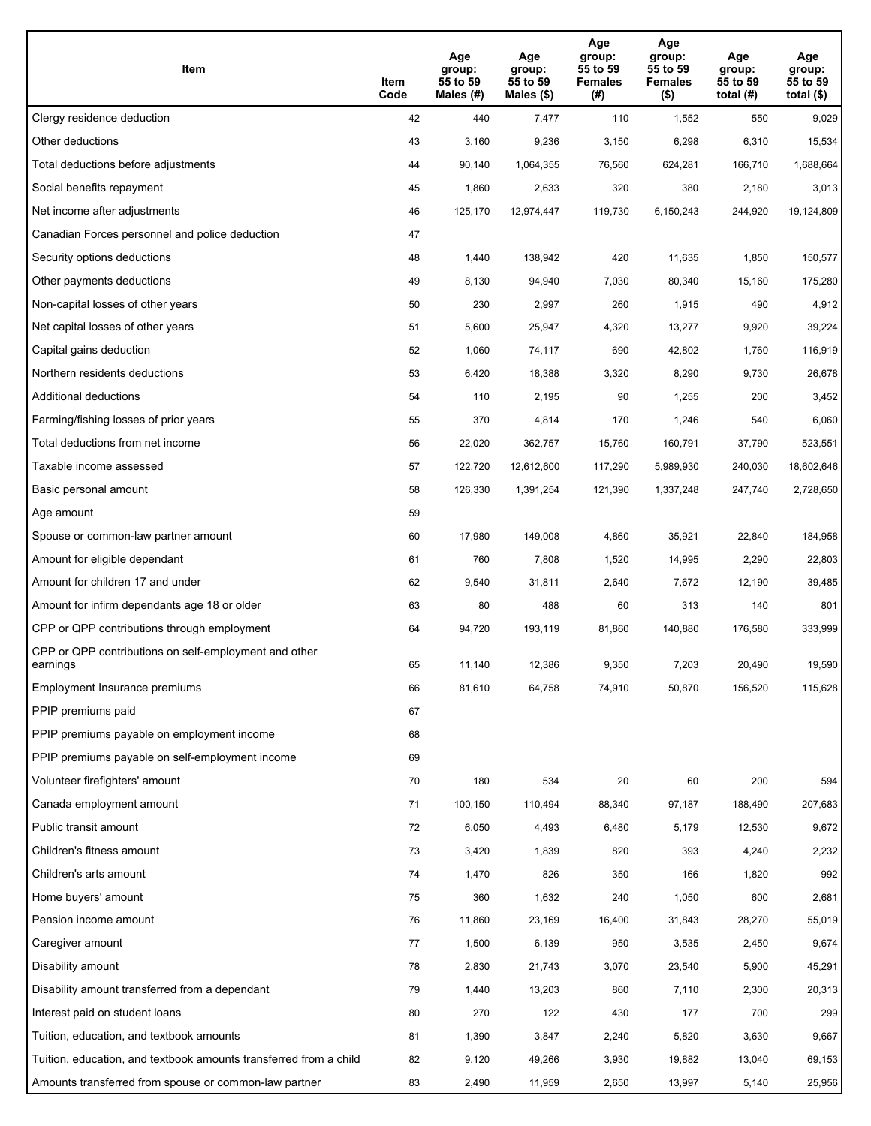| Item                                                              | Item<br>Code | Age<br>group:<br>55 to 59<br>Males (#) | Age<br>group:<br>55 to 59<br>Males (\$) | Age<br>group:<br>55 to 59<br><b>Females</b><br>(#) | Age<br>group:<br>55 to 59<br><b>Females</b><br>$($ \$) | Age<br>group:<br>55 to 59<br>total $(H)$ | Age<br>group:<br>55 to 59<br>total $($)$ |
|-------------------------------------------------------------------|--------------|----------------------------------------|-----------------------------------------|----------------------------------------------------|--------------------------------------------------------|------------------------------------------|------------------------------------------|
| Clergy residence deduction                                        | 42           | 440                                    | 7,477                                   | 110                                                | 1,552                                                  | 550                                      | 9,029                                    |
| Other deductions                                                  | 43           | 3,160                                  | 9,236                                   | 3,150                                              | 6,298                                                  | 6,310                                    | 15,534                                   |
| Total deductions before adjustments                               | 44           | 90,140                                 | 1,064,355                               | 76,560                                             | 624,281                                                | 166,710                                  | 1,688,664                                |
| Social benefits repayment                                         | 45           | 1,860                                  | 2,633                                   | 320                                                | 380                                                    | 2,180                                    | 3,013                                    |
| Net income after adjustments                                      | 46           | 125,170                                | 12,974,447                              | 119,730                                            | 6,150,243                                              | 244,920                                  | 19,124,809                               |
| Canadian Forces personnel and police deduction                    | 47           |                                        |                                         |                                                    |                                                        |                                          |                                          |
| Security options deductions                                       | 48           | 1,440                                  | 138,942                                 | 420                                                | 11,635                                                 | 1,850                                    | 150,577                                  |
| Other payments deductions                                         | 49           | 8,130                                  | 94,940                                  | 7,030                                              | 80,340                                                 | 15,160                                   | 175,280                                  |
| Non-capital losses of other years                                 | 50           | 230                                    | 2,997                                   | 260                                                | 1,915                                                  | 490                                      | 4,912                                    |
| Net capital losses of other years                                 | 51           | 5,600                                  | 25,947                                  | 4,320                                              | 13,277                                                 | 9,920                                    | 39,224                                   |
| Capital gains deduction                                           | 52           | 1,060                                  | 74,117                                  | 690                                                | 42,802                                                 | 1,760                                    | 116,919                                  |
| Northern residents deductions                                     | 53           | 6,420                                  | 18,388                                  | 3,320                                              | 8,290                                                  | 9,730                                    | 26,678                                   |
| Additional deductions                                             | 54           | 110                                    | 2,195                                   | 90                                                 | 1,255                                                  | 200                                      | 3,452                                    |
| Farming/fishing losses of prior years                             | 55           | 370                                    | 4,814                                   | 170                                                | 1,246                                                  | 540                                      | 6,060                                    |
| Total deductions from net income                                  | 56           | 22,020                                 | 362,757                                 | 15,760                                             | 160,791                                                | 37,790                                   | 523,551                                  |
| Taxable income assessed                                           | 57           | 122,720                                | 12,612,600                              | 117,290                                            | 5,989,930                                              | 240,030                                  | 18,602,646                               |
| Basic personal amount                                             | 58           | 126,330                                | 1,391,254                               | 121,390                                            | 1,337,248                                              | 247,740                                  | 2,728,650                                |
| Age amount                                                        | 59           |                                        |                                         |                                                    |                                                        |                                          |                                          |
| Spouse or common-law partner amount                               | 60           | 17,980                                 | 149,008                                 | 4,860                                              | 35,921                                                 | 22,840                                   | 184,958                                  |
| Amount for eligible dependant                                     | 61           | 760                                    | 7,808                                   | 1,520                                              | 14,995                                                 | 2,290                                    | 22,803                                   |
| Amount for children 17 and under                                  | 62           | 9,540                                  | 31,811                                  | 2,640                                              | 7,672                                                  | 12,190                                   | 39,485                                   |
| Amount for infirm dependants age 18 or older                      | 63           | 80                                     | 488                                     | 60                                                 | 313                                                    | 140                                      | 801                                      |
| CPP or QPP contributions through employment                       | 64           | 94,720                                 | 193,119                                 | 81,860                                             | 140,880                                                | 176,580                                  | 333,999                                  |
| CPP or QPP contributions on self-employment and other<br>earnings | 65           | 11,140                                 | 12,386                                  | 9,350                                              | 7,203                                                  | 20,490                                   | 19,590                                   |
| Employment Insurance premiums                                     | 66           | 81,610                                 | 64,758                                  | 74,910                                             | 50,870                                                 | 156,520                                  | 115,628                                  |
| PPIP premiums paid                                                | 67           |                                        |                                         |                                                    |                                                        |                                          |                                          |
| PPIP premiums payable on employment income                        | 68           |                                        |                                         |                                                    |                                                        |                                          |                                          |
| PPIP premiums payable on self-employment income                   | 69           |                                        |                                         |                                                    |                                                        |                                          |                                          |
| Volunteer firefighters' amount                                    | 70           | 180                                    | 534                                     | 20                                                 | 60                                                     | 200                                      | 594                                      |
| Canada employment amount                                          | 71           | 100,150                                | 110,494                                 | 88,340                                             | 97,187                                                 | 188,490                                  | 207,683                                  |
| Public transit amount                                             | 72           | 6,050                                  | 4,493                                   | 6,480                                              | 5,179                                                  | 12,530                                   | 9,672                                    |
| Children's fitness amount                                         | 73           | 3,420                                  | 1,839                                   | 820                                                | 393                                                    | 4,240                                    | 2,232                                    |
| Children's arts amount                                            | 74           | 1,470                                  | 826                                     | 350                                                | 166                                                    | 1,820                                    | 992                                      |
| Home buyers' amount                                               | 75           | 360                                    | 1,632                                   | 240                                                | 1,050                                                  | 600                                      | 2,681                                    |
| Pension income amount                                             | 76           | 11,860                                 | 23,169                                  | 16,400                                             | 31,843                                                 | 28,270                                   | 55,019                                   |
| Caregiver amount                                                  | 77           | 1,500                                  | 6,139                                   | 950                                                | 3,535                                                  | 2,450                                    | 9,674                                    |
| Disability amount                                                 | 78           | 2,830                                  | 21,743                                  | 3,070                                              | 23,540                                                 | 5,900                                    | 45,291                                   |
| Disability amount transferred from a dependant                    | 79           | 1,440                                  | 13,203                                  | 860                                                | 7,110                                                  | 2,300                                    | 20,313                                   |
| Interest paid on student loans                                    | 80           | 270                                    | 122                                     | 430                                                | 177                                                    | 700                                      | 299                                      |
| Tuition, education, and textbook amounts                          | 81           | 1,390                                  | 3,847                                   | 2,240                                              | 5,820                                                  | 3,630                                    | 9,667                                    |
| Tuition, education, and textbook amounts transferred from a child | 82           | 9,120                                  | 49,266                                  | 3,930                                              | 19,882                                                 | 13,040                                   | 69,153                                   |
| Amounts transferred from spouse or common-law partner             | 83           | 2,490                                  | 11,959                                  | 2,650                                              | 13,997                                                 | 5,140                                    | 25,956                                   |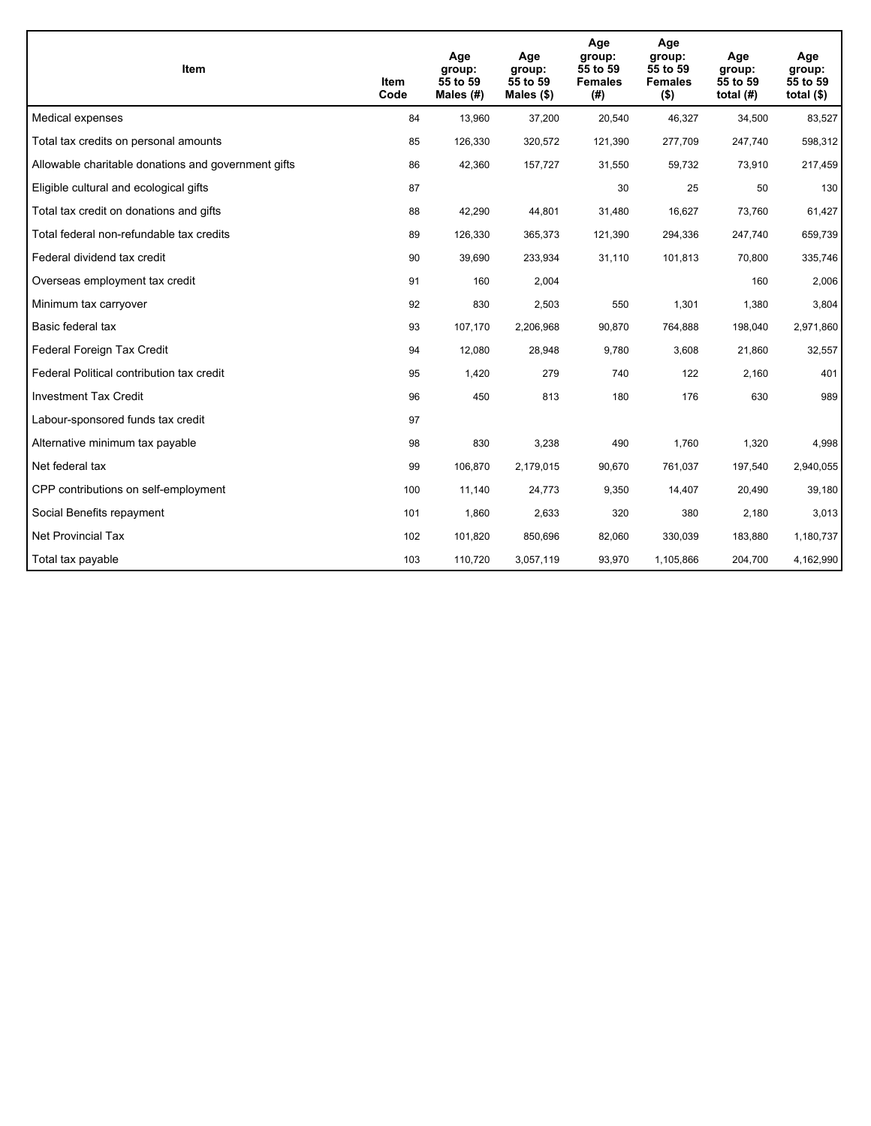| <b>Item</b>                                         | Item<br>Code | Age<br>group:<br>55 to 59<br>Males (#) | Age<br>group:<br>55 to 59<br>Males $(\$)$ | Age<br>group:<br>55 to 59<br><b>Females</b><br>(#) | Age<br>group:<br>55 to 59<br><b>Females</b><br>$($ \$) | Age<br>group:<br>55 to 59<br>total $(#)$ | Age<br>group:<br>55 to 59<br>total $($)$ |
|-----------------------------------------------------|--------------|----------------------------------------|-------------------------------------------|----------------------------------------------------|--------------------------------------------------------|------------------------------------------|------------------------------------------|
| Medical expenses                                    | 84           | 13,960                                 | 37,200                                    | 20,540                                             | 46,327                                                 | 34,500                                   | 83,527                                   |
| Total tax credits on personal amounts               | 85           | 126,330                                | 320,572                                   | 121,390                                            | 277,709                                                | 247,740                                  | 598,312                                  |
| Allowable charitable donations and government gifts | 86           | 42,360                                 | 157,727                                   | 31,550                                             | 59,732                                                 | 73,910                                   | 217,459                                  |
| Eligible cultural and ecological gifts              | 87           |                                        |                                           | 30                                                 | 25                                                     | 50                                       | 130                                      |
| Total tax credit on donations and gifts             | 88           | 42,290                                 | 44,801                                    | 31,480                                             | 16,627                                                 | 73,760                                   | 61,427                                   |
| Total federal non-refundable tax credits            | 89           | 126,330                                | 365,373                                   | 121,390                                            | 294,336                                                | 247,740                                  | 659,739                                  |
| Federal dividend tax credit                         | 90           | 39,690                                 | 233,934                                   | 31,110                                             | 101,813                                                | 70,800                                   | 335,746                                  |
| Overseas employment tax credit                      | 91           | 160                                    | 2,004                                     |                                                    |                                                        | 160                                      | 2,006                                    |
| Minimum tax carryover                               | 92           | 830                                    | 2,503                                     | 550                                                | 1,301                                                  | 1,380                                    | 3,804                                    |
| Basic federal tax                                   | 93           | 107,170                                | 2,206,968                                 | 90,870                                             | 764,888                                                | 198,040                                  | 2,971,860                                |
| Federal Foreign Tax Credit                          | 94           | 12,080                                 | 28,948                                    | 9,780                                              | 3,608                                                  | 21,860                                   | 32,557                                   |
| Federal Political contribution tax credit           | 95           | 1,420                                  | 279                                       | 740                                                | 122                                                    | 2,160                                    | 401                                      |
| <b>Investment Tax Credit</b>                        | 96           | 450                                    | 813                                       | 180                                                | 176                                                    | 630                                      | 989                                      |
| Labour-sponsored funds tax credit                   | 97           |                                        |                                           |                                                    |                                                        |                                          |                                          |
| Alternative minimum tax payable                     | 98           | 830                                    | 3,238                                     | 490                                                | 1,760                                                  | 1,320                                    | 4,998                                    |
| Net federal tax                                     | 99           | 106,870                                | 2,179,015                                 | 90,670                                             | 761,037                                                | 197,540                                  | 2,940,055                                |
| CPP contributions on self-employment                | 100          | 11,140                                 | 24,773                                    | 9,350                                              | 14,407                                                 | 20,490                                   | 39,180                                   |
| Social Benefits repayment                           | 101          | 1,860                                  | 2,633                                     | 320                                                | 380                                                    | 2,180                                    | 3,013                                    |
| <b>Net Provincial Tax</b>                           | 102          | 101,820                                | 850,696                                   | 82,060                                             | 330,039                                                | 183,880                                  | 1,180,737                                |
| Total tax payable                                   | 103          | 110,720                                | 3,057,119                                 | 93,970                                             | 1,105,866                                              | 204,700                                  | 4,162,990                                |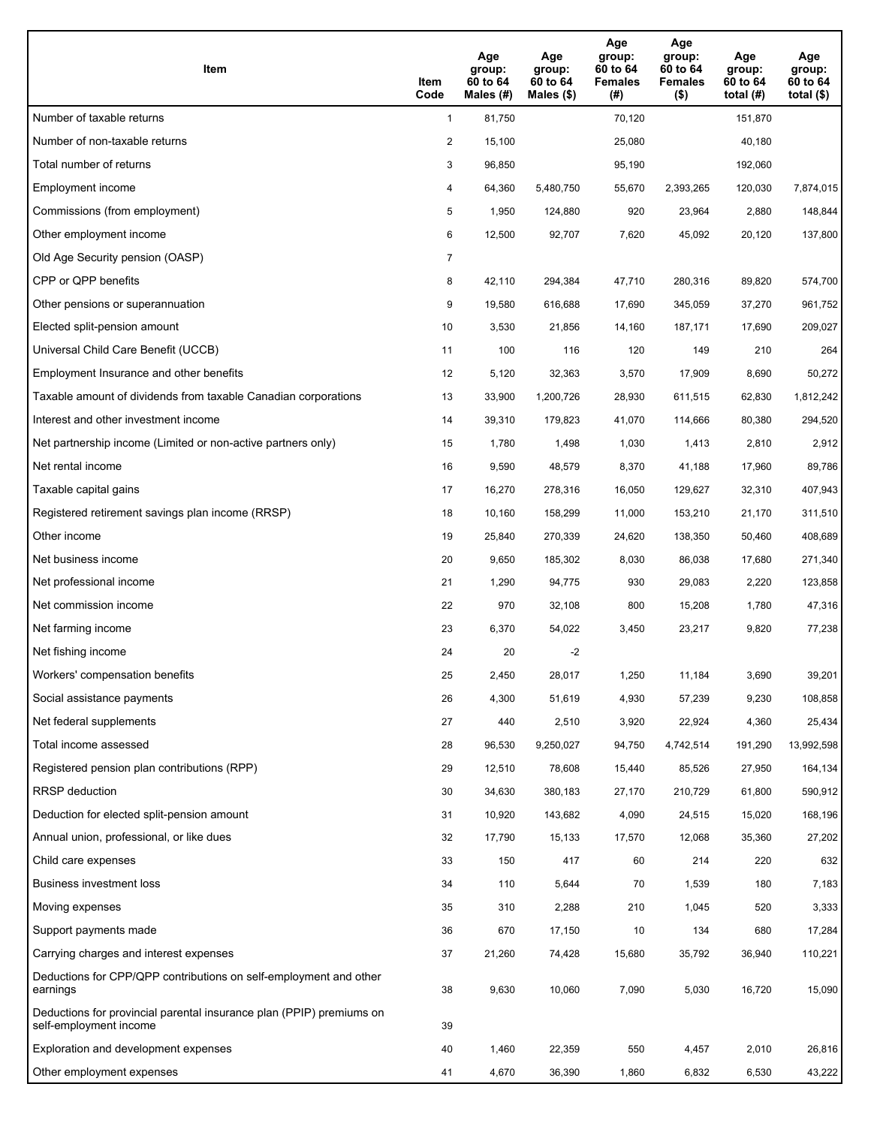| Item                                                                                           | Item<br>Code   | Age<br>group:<br>60 to 64<br>Males $(H)$ | Age<br>group:<br>60 to 64<br>Males (\$) | Age<br>group:<br>60 to 64<br><b>Females</b><br>(#) | Age<br>group:<br>60 to 64<br><b>Females</b><br>$($ \$) | Age<br>group:<br>60 to 64<br>total $(H)$ | Age<br>group:<br>60 to 64<br>total $(\$)$ |
|------------------------------------------------------------------------------------------------|----------------|------------------------------------------|-----------------------------------------|----------------------------------------------------|--------------------------------------------------------|------------------------------------------|-------------------------------------------|
| Number of taxable returns                                                                      | $\mathbf{1}$   | 81,750                                   |                                         | 70,120                                             |                                                        | 151,870                                  |                                           |
| Number of non-taxable returns                                                                  | $\overline{2}$ | 15,100                                   |                                         | 25,080                                             |                                                        | 40,180                                   |                                           |
| Total number of returns                                                                        | 3              | 96,850                                   |                                         | 95,190                                             |                                                        | 192,060                                  |                                           |
| Employment income                                                                              | 4              | 64,360                                   | 5,480,750                               | 55,670                                             | 2,393,265                                              | 120,030                                  | 7,874,015                                 |
| Commissions (from employment)                                                                  | 5              | 1,950                                    | 124,880                                 | 920                                                | 23,964                                                 | 2,880                                    | 148,844                                   |
| Other employment income                                                                        | 6              | 12,500                                   | 92,707                                  | 7,620                                              | 45,092                                                 | 20,120                                   | 137,800                                   |
| Old Age Security pension (OASP)                                                                | $\overline{7}$ |                                          |                                         |                                                    |                                                        |                                          |                                           |
| CPP or QPP benefits                                                                            | 8              | 42,110                                   | 294,384                                 | 47,710                                             | 280,316                                                | 89,820                                   | 574,700                                   |
| Other pensions or superannuation                                                               | 9              | 19,580                                   | 616,688                                 | 17,690                                             | 345,059                                                | 37,270                                   | 961,752                                   |
| Elected split-pension amount                                                                   | 10             | 3,530                                    | 21,856                                  | 14,160                                             | 187,171                                                | 17,690                                   | 209,027                                   |
| Universal Child Care Benefit (UCCB)                                                            | 11             | 100                                      | 116                                     | 120                                                | 149                                                    | 210                                      | 264                                       |
| Employment Insurance and other benefits                                                        | 12             | 5,120                                    | 32,363                                  | 3,570                                              | 17,909                                                 | 8,690                                    | 50,272                                    |
| Taxable amount of dividends from taxable Canadian corporations                                 | 13             | 33,900                                   | 1,200,726                               | 28,930                                             | 611,515                                                | 62,830                                   | 1,812,242                                 |
| Interest and other investment income                                                           | 14             | 39,310                                   | 179,823                                 | 41,070                                             | 114,666                                                | 80,380                                   | 294,520                                   |
| Net partnership income (Limited or non-active partners only)                                   | 15             | 1,780                                    | 1,498                                   | 1,030                                              | 1,413                                                  | 2,810                                    | 2,912                                     |
| Net rental income                                                                              | 16             | 9,590                                    | 48,579                                  | 8,370                                              | 41,188                                                 | 17,960                                   | 89,786                                    |
| Taxable capital gains                                                                          | 17             | 16,270                                   | 278,316                                 | 16,050                                             | 129,627                                                | 32,310                                   | 407,943                                   |
| Registered retirement savings plan income (RRSP)                                               | 18             | 10,160                                   | 158,299                                 | 11,000                                             | 153,210                                                | 21,170                                   | 311,510                                   |
| Other income                                                                                   | 19             | 25,840                                   | 270,339                                 | 24,620                                             | 138,350                                                | 50,460                                   | 408,689                                   |
| Net business income                                                                            | 20             | 9,650                                    | 185,302                                 | 8,030                                              | 86,038                                                 | 17,680                                   | 271,340                                   |
| Net professional income                                                                        | 21             | 1,290                                    | 94,775                                  | 930                                                | 29,083                                                 | 2,220                                    | 123,858                                   |
| Net commission income                                                                          | 22             | 970                                      | 32,108                                  | 800                                                | 15,208                                                 | 1,780                                    | 47,316                                    |
| Net farming income                                                                             | 23             | 6,370                                    | 54,022                                  | 3,450                                              | 23,217                                                 | 9,820                                    | 77,238                                    |
| Net fishing income                                                                             | 24             | 20                                       | $-2$                                    |                                                    |                                                        |                                          |                                           |
| Workers' compensation benefits                                                                 | 25             | 2,450                                    | 28,017                                  | 1,250                                              | 11,184                                                 | 3,690                                    | 39,201                                    |
| Social assistance payments                                                                     | 26             | 4,300                                    | 51,619                                  | 4,930                                              | 57,239                                                 | 9,230                                    | 108,858                                   |
| Net federal supplements                                                                        | 27             | 440                                      | 2,510                                   | 3,920                                              | 22,924                                                 | 4,360                                    | 25,434                                    |
| Total income assessed                                                                          | 28             | 96,530                                   | 9,250,027                               | 94,750                                             | 4,742,514                                              | 191,290                                  | 13,992,598                                |
| Registered pension plan contributions (RPP)                                                    | 29             | 12,510                                   | 78,608                                  | 15,440                                             | 85,526                                                 | 27,950                                   | 164,134                                   |
| RRSP deduction                                                                                 | 30             | 34,630                                   | 380,183                                 | 27,170                                             | 210,729                                                | 61,800                                   | 590,912                                   |
| Deduction for elected split-pension amount                                                     | 31             | 10,920                                   | 143,682                                 | 4,090                                              | 24,515                                                 | 15,020                                   | 168,196                                   |
| Annual union, professional, or like dues                                                       | 32             | 17,790                                   | 15,133                                  | 17,570                                             | 12,068                                                 | 35,360                                   | 27,202                                    |
| Child care expenses                                                                            | 33             | 150                                      | 417                                     | 60                                                 | 214                                                    | 220                                      | 632                                       |
| Business investment loss                                                                       | 34             | 110                                      | 5,644                                   | 70                                                 | 1,539                                                  | 180                                      | 7,183                                     |
| Moving expenses                                                                                | 35             | 310                                      | 2,288                                   | 210                                                | 1,045                                                  | 520                                      | 3,333                                     |
| Support payments made                                                                          | 36             | 670                                      | 17,150                                  | 10                                                 | 134                                                    | 680                                      | 17,284                                    |
| Carrying charges and interest expenses                                                         | 37             | 21,260                                   | 74,428                                  | 15,680                                             | 35,792                                                 | 36,940                                   | 110,221                                   |
| Deductions for CPP/QPP contributions on self-employment and other<br>earnings                  | 38             | 9,630                                    | 10,060                                  | 7,090                                              | 5,030                                                  | 16,720                                   | 15,090                                    |
| Deductions for provincial parental insurance plan (PPIP) premiums on<br>self-employment income | 39             |                                          |                                         |                                                    |                                                        |                                          |                                           |
| Exploration and development expenses                                                           | 40             | 1,460                                    | 22,359                                  | 550                                                | 4,457                                                  | 2,010                                    | 26,816                                    |
| Other employment expenses                                                                      | 41             | 4,670                                    | 36,390                                  | 1,860                                              | 6,832                                                  | 6,530                                    | 43,222                                    |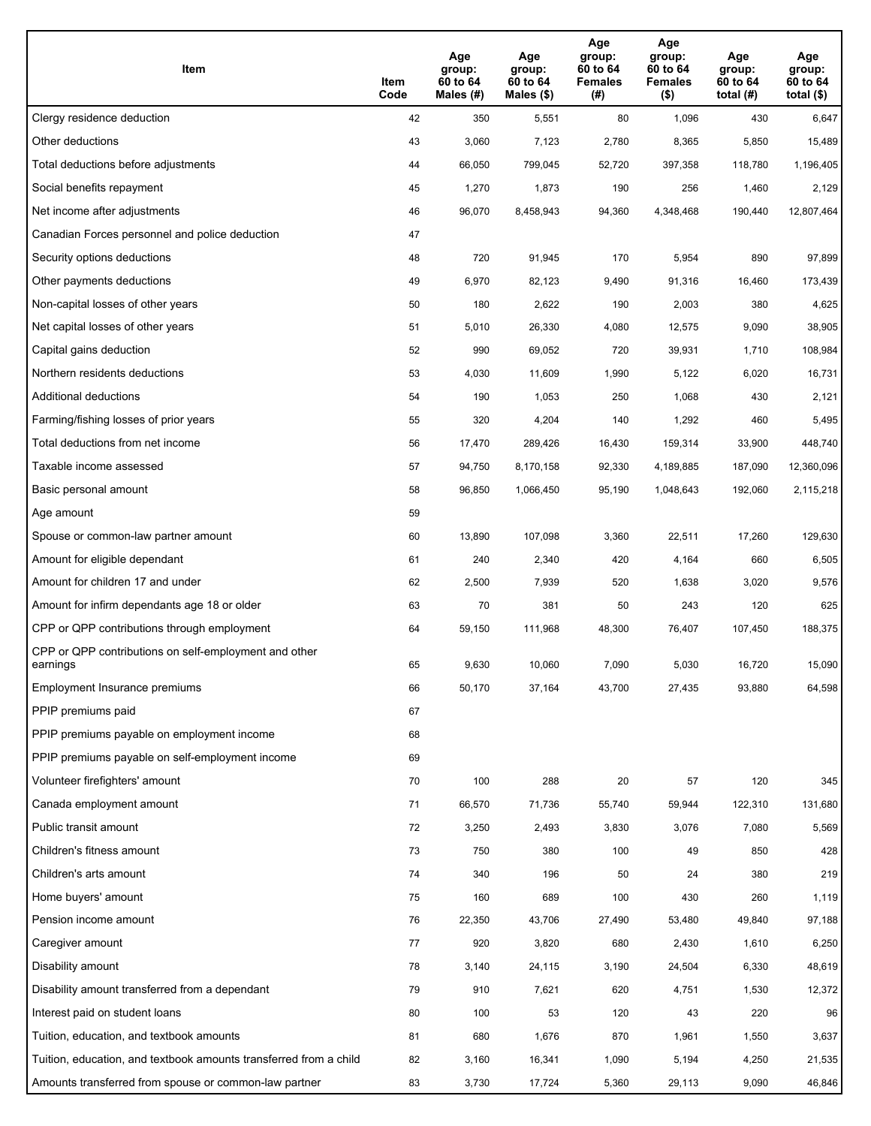| Item                                                              | Item<br>Code | Age<br>group:<br>60 to 64<br>Males (#) | Age<br>group:<br>60 to 64<br>Males (\$) | Age<br>group:<br>60 to 64<br><b>Females</b><br>(#) | Age<br>group:<br>60 to 64<br><b>Females</b><br>$($ \$) | Age<br>group:<br>60 to 64<br>total $(H)$ | Age<br>group:<br>60 to 64<br>total $($)$ |
|-------------------------------------------------------------------|--------------|----------------------------------------|-----------------------------------------|----------------------------------------------------|--------------------------------------------------------|------------------------------------------|------------------------------------------|
| Clergy residence deduction                                        | 42           | 350                                    | 5,551                                   | 80                                                 | 1,096                                                  | 430                                      | 6,647                                    |
| Other deductions                                                  | 43           | 3,060                                  | 7,123                                   | 2,780                                              | 8,365                                                  | 5,850                                    | 15,489                                   |
| Total deductions before adjustments                               | 44           | 66,050                                 | 799,045                                 | 52,720                                             | 397,358                                                | 118,780                                  | 1,196,405                                |
| Social benefits repayment                                         | 45           | 1,270                                  | 1,873                                   | 190                                                | 256                                                    | 1,460                                    | 2,129                                    |
| Net income after adjustments                                      | 46           | 96,070                                 | 8,458,943                               | 94,360                                             | 4,348,468                                              | 190,440                                  | 12,807,464                               |
| Canadian Forces personnel and police deduction                    | 47           |                                        |                                         |                                                    |                                                        |                                          |                                          |
| Security options deductions                                       | 48           | 720                                    | 91,945                                  | 170                                                | 5,954                                                  | 890                                      | 97,899                                   |
| Other payments deductions                                         | 49           | 6,970                                  | 82,123                                  | 9,490                                              | 91,316                                                 | 16,460                                   | 173,439                                  |
| Non-capital losses of other years                                 | 50           | 180                                    | 2,622                                   | 190                                                | 2,003                                                  | 380                                      | 4,625                                    |
| Net capital losses of other years                                 | 51           | 5,010                                  | 26,330                                  | 4,080                                              | 12,575                                                 | 9,090                                    | 38,905                                   |
| Capital gains deduction                                           | 52           | 990                                    | 69,052                                  | 720                                                | 39,931                                                 | 1,710                                    | 108,984                                  |
| Northern residents deductions                                     | 53           | 4,030                                  | 11,609                                  | 1,990                                              | 5,122                                                  | 6,020                                    | 16,731                                   |
| Additional deductions                                             | 54           | 190                                    | 1,053                                   | 250                                                | 1,068                                                  | 430                                      | 2,121                                    |
| Farming/fishing losses of prior years                             | 55           | 320                                    | 4,204                                   | 140                                                | 1,292                                                  | 460                                      | 5,495                                    |
| Total deductions from net income                                  | 56           | 17,470                                 | 289,426                                 | 16,430                                             | 159,314                                                | 33,900                                   | 448,740                                  |
| Taxable income assessed                                           | 57           | 94,750                                 | 8,170,158                               | 92,330                                             | 4,189,885                                              | 187,090                                  | 12,360,096                               |
| Basic personal amount                                             | 58           | 96,850                                 | 1,066,450                               | 95,190                                             | 1,048,643                                              | 192,060                                  | 2,115,218                                |
| Age amount                                                        | 59           |                                        |                                         |                                                    |                                                        |                                          |                                          |
| Spouse or common-law partner amount                               | 60           | 13,890                                 | 107,098                                 | 3,360                                              | 22,511                                                 | 17,260                                   | 129,630                                  |
| Amount for eligible dependant                                     | 61           | 240                                    | 2,340                                   | 420                                                | 4,164                                                  | 660                                      | 6,505                                    |
| Amount for children 17 and under                                  | 62           | 2,500                                  | 7,939                                   | 520                                                | 1,638                                                  | 3,020                                    | 9,576                                    |
| Amount for infirm dependants age 18 or older                      | 63           | 70                                     | 381                                     | 50                                                 | 243                                                    | 120                                      | 625                                      |
| CPP or QPP contributions through employment                       | 64           | 59,150                                 | 111,968                                 | 48,300                                             | 76,407                                                 | 107,450                                  | 188,375                                  |
| CPP or QPP contributions on self-employment and other<br>earnings | 65           | 9,630                                  | 10,060                                  | 7,090                                              | 5,030                                                  | 16,720                                   | 15,090                                   |
| Employment Insurance premiums                                     | 66           | 50,170                                 | 37,164                                  | 43,700                                             | 27,435                                                 | 93,880                                   | 64,598                                   |
| PPIP premiums paid                                                | 67           |                                        |                                         |                                                    |                                                        |                                          |                                          |
| PPIP premiums payable on employment income                        | 68           |                                        |                                         |                                                    |                                                        |                                          |                                          |
| PPIP premiums payable on self-employment income                   | 69           |                                        |                                         |                                                    |                                                        |                                          |                                          |
| Volunteer firefighters' amount                                    | 70           | 100                                    | 288                                     | 20                                                 | 57                                                     | 120                                      | 345                                      |
| Canada employment amount                                          | 71           | 66,570                                 | 71,736                                  | 55,740                                             | 59,944                                                 | 122,310                                  | 131,680                                  |
| Public transit amount                                             | 72           | 3,250                                  | 2,493                                   | 3,830                                              | 3,076                                                  | 7,080                                    | 5,569                                    |
| Children's fitness amount                                         | 73           | 750                                    | 380                                     | 100                                                | 49                                                     | 850                                      | 428                                      |
| Children's arts amount                                            | 74           | 340                                    | 196                                     | 50                                                 | 24                                                     | 380                                      | 219                                      |
| Home buyers' amount                                               | 75           | 160                                    | 689                                     | 100                                                | 430                                                    | 260                                      | 1,119                                    |
| Pension income amount                                             | 76           | 22,350                                 | 43,706                                  | 27,490                                             | 53,480                                                 | 49,840                                   | 97,188                                   |
| Caregiver amount                                                  | 77           | 920                                    | 3,820                                   | 680                                                | 2,430                                                  | 1,610                                    | 6,250                                    |
| Disability amount                                                 | 78           | 3,140                                  | 24,115                                  | 3,190                                              | 24,504                                                 | 6,330                                    | 48,619                                   |
| Disability amount transferred from a dependant                    | 79           | 910                                    | 7,621                                   | 620                                                | 4,751                                                  | 1,530                                    | 12,372                                   |
| Interest paid on student loans                                    | 80           | 100                                    | 53                                      | 120                                                | 43                                                     | 220                                      | 96                                       |
| Tuition, education, and textbook amounts                          | 81           | 680                                    | 1,676                                   | 870                                                | 1,961                                                  | 1,550                                    | 3,637                                    |
| Tuition, education, and textbook amounts transferred from a child | 82           | 3,160                                  | 16,341                                  | 1,090                                              | 5,194                                                  | 4,250                                    | 21,535                                   |
| Amounts transferred from spouse or common-law partner             | 83           | 3,730                                  | 17,724                                  | 5,360                                              | 29,113                                                 | 9,090                                    | 46,846                                   |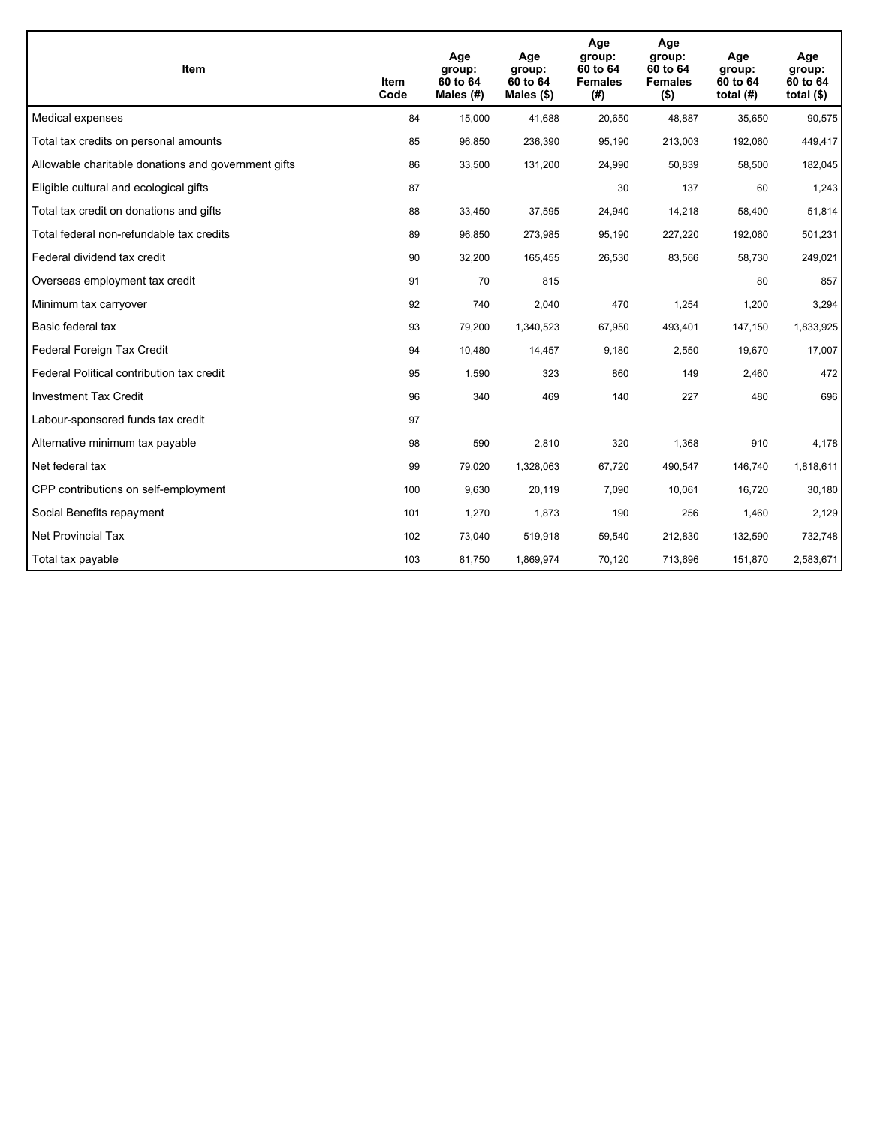| <b>Item</b>                                         | Item<br>Code | Age<br>group:<br>60 to 64<br>Males (#) | Age<br>group:<br>60 to 64<br>Males $(\$)$ | Age<br>group:<br>60 to 64<br><b>Females</b><br>(#) | Age<br>group:<br>60 to 64<br><b>Females</b><br>$($ \$) | Age<br>group:<br>60 to 64<br>total $(H)$ | Age<br>group:<br>60 to 64<br>total $($)$ |
|-----------------------------------------------------|--------------|----------------------------------------|-------------------------------------------|----------------------------------------------------|--------------------------------------------------------|------------------------------------------|------------------------------------------|
| Medical expenses                                    | 84           | 15,000                                 | 41.688                                    | 20,650                                             | 48,887                                                 | 35,650                                   | 90,575                                   |
| Total tax credits on personal amounts               | 85           | 96,850                                 | 236,390                                   | 95,190                                             | 213,003                                                | 192,060                                  | 449,417                                  |
| Allowable charitable donations and government gifts | 86           | 33,500                                 | 131,200                                   | 24,990                                             | 50,839                                                 | 58,500                                   | 182,045                                  |
| Eligible cultural and ecological gifts              | 87           |                                        |                                           | 30                                                 | 137                                                    | 60                                       | 1,243                                    |
| Total tax credit on donations and gifts             | 88           | 33,450                                 | 37,595                                    | 24,940                                             | 14,218                                                 | 58,400                                   | 51,814                                   |
| Total federal non-refundable tax credits            | 89           | 96,850                                 | 273,985                                   | 95,190                                             | 227,220                                                | 192,060                                  | 501,231                                  |
| Federal dividend tax credit                         | 90           | 32,200                                 | 165,455                                   | 26,530                                             | 83,566                                                 | 58,730                                   | 249,021                                  |
| Overseas employment tax credit                      | 91           | 70                                     | 815                                       |                                                    |                                                        | 80                                       | 857                                      |
| Minimum tax carryover                               | 92           | 740                                    | 2,040                                     | 470                                                | 1,254                                                  | 1,200                                    | 3,294                                    |
| Basic federal tax                                   | 93           | 79,200                                 | 1,340,523                                 | 67,950                                             | 493,401                                                | 147,150                                  | 1,833,925                                |
| Federal Foreign Tax Credit                          | 94           | 10,480                                 | 14,457                                    | 9,180                                              | 2,550                                                  | 19,670                                   | 17,007                                   |
| Federal Political contribution tax credit           | 95           | 1,590                                  | 323                                       | 860                                                | 149                                                    | 2,460                                    | 472                                      |
| <b>Investment Tax Credit</b>                        | 96           | 340                                    | 469                                       | 140                                                | 227                                                    | 480                                      | 696                                      |
| Labour-sponsored funds tax credit                   | 97           |                                        |                                           |                                                    |                                                        |                                          |                                          |
| Alternative minimum tax payable                     | 98           | 590                                    | 2.810                                     | 320                                                | 1,368                                                  | 910                                      | 4,178                                    |
| Net federal tax                                     | 99           | 79,020                                 | 1,328,063                                 | 67,720                                             | 490,547                                                | 146,740                                  | 1,818,611                                |
| CPP contributions on self-employment                | 100          | 9,630                                  | 20,119                                    | 7,090                                              | 10,061                                                 | 16,720                                   | 30,180                                   |
| Social Benefits repayment                           | 101          | 1,270                                  | 1,873                                     | 190                                                | 256                                                    | 1,460                                    | 2,129                                    |
| <b>Net Provincial Tax</b>                           | 102          | 73,040                                 | 519,918                                   | 59,540                                             | 212,830                                                | 132,590                                  | 732,748                                  |
| Total tax payable                                   | 103          | 81,750                                 | 1,869,974                                 | 70,120                                             | 713,696                                                | 151,870                                  | 2,583,671                                |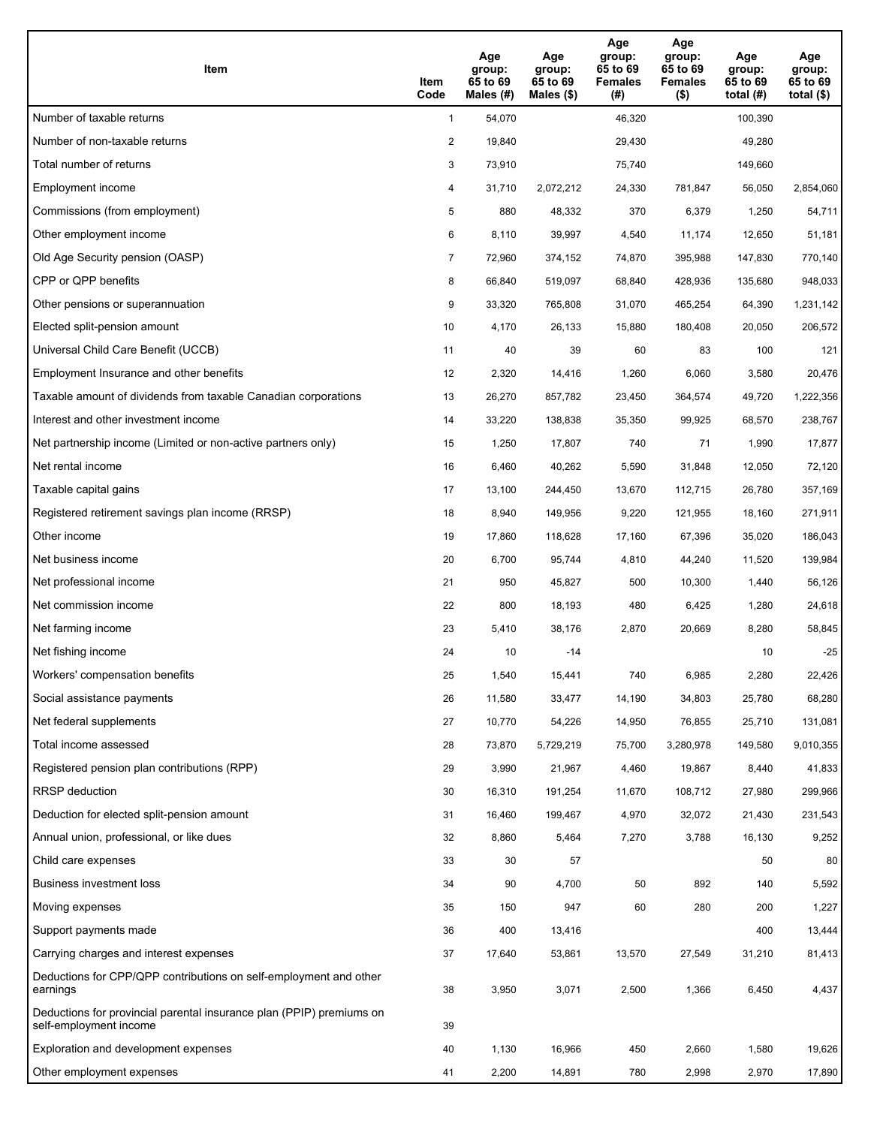| Item                                                                                           | Item<br>Code   | Age<br>group:<br>65 to 69<br>Males (#) | Age<br>group:<br>65 to 69<br>Males $(\$)$ | Age<br>group:<br>65 to 69<br><b>Females</b><br>(#) | Age<br>group:<br>65 to 69<br><b>Females</b><br>$($ \$) | Age<br>group:<br>65 to 69<br>total $(H)$ | Age<br>group:<br>65 to 69<br>total $($ |
|------------------------------------------------------------------------------------------------|----------------|----------------------------------------|-------------------------------------------|----------------------------------------------------|--------------------------------------------------------|------------------------------------------|----------------------------------------|
| Number of taxable returns                                                                      | $\mathbf{1}$   | 54,070                                 |                                           | 46,320                                             |                                                        | 100,390                                  |                                        |
| Number of non-taxable returns                                                                  | $\overline{2}$ | 19,840                                 |                                           | 29,430                                             |                                                        | 49,280                                   |                                        |
| Total number of returns                                                                        | 3              | 73,910                                 |                                           | 75,740                                             |                                                        | 149,660                                  |                                        |
| Employment income                                                                              | 4              | 31,710                                 | 2,072,212                                 | 24,330                                             | 781,847                                                | 56,050                                   | 2,854,060                              |
| Commissions (from employment)                                                                  | 5              | 880                                    | 48,332                                    | 370                                                | 6,379                                                  | 1,250                                    | 54,711                                 |
| Other employment income                                                                        | 6              | 8,110                                  | 39,997                                    | 4,540                                              | 11,174                                                 | 12,650                                   | 51,181                                 |
| Old Age Security pension (OASP)                                                                | 7              | 72,960                                 | 374,152                                   | 74,870                                             | 395,988                                                | 147,830                                  | 770,140                                |
| CPP or QPP benefits                                                                            | 8              | 66,840                                 | 519,097                                   | 68,840                                             | 428,936                                                | 135,680                                  | 948,033                                |
| Other pensions or superannuation                                                               | 9              | 33,320                                 | 765,808                                   | 31,070                                             | 465,254                                                | 64,390                                   | 1,231,142                              |
| Elected split-pension amount                                                                   | 10             | 4,170                                  | 26,133                                    | 15,880                                             | 180,408                                                | 20,050                                   | 206,572                                |
| Universal Child Care Benefit (UCCB)                                                            | 11             | 40                                     | 39                                        | 60                                                 | 83                                                     | 100                                      | 121                                    |
| Employment Insurance and other benefits                                                        | 12             | 2,320                                  | 14,416                                    | 1,260                                              | 6,060                                                  | 3,580                                    | 20,476                                 |
| Taxable amount of dividends from taxable Canadian corporations                                 | 13             | 26,270                                 | 857,782                                   | 23,450                                             | 364,574                                                | 49,720                                   | 1,222,356                              |
| Interest and other investment income                                                           | 14             | 33,220                                 | 138,838                                   | 35,350                                             | 99,925                                                 | 68,570                                   | 238,767                                |
| Net partnership income (Limited or non-active partners only)                                   | 15             | 1,250                                  | 17,807                                    | 740                                                | 71                                                     | 1,990                                    | 17,877                                 |
| Net rental income                                                                              | 16             | 6,460                                  | 40,262                                    | 5,590                                              | 31,848                                                 | 12,050                                   | 72,120                                 |
| Taxable capital gains                                                                          | 17             | 13,100                                 | 244,450                                   | 13,670                                             | 112,715                                                | 26,780                                   | 357,169                                |
| Registered retirement savings plan income (RRSP)                                               | 18             | 8,940                                  | 149,956                                   | 9,220                                              | 121,955                                                | 18,160                                   | 271,911                                |
| Other income                                                                                   | 19             | 17,860                                 | 118,628                                   | 17,160                                             | 67,396                                                 | 35,020                                   | 186,043                                |
| Net business income                                                                            | 20             | 6,700                                  | 95,744                                    | 4,810                                              | 44,240                                                 | 11,520                                   | 139,984                                |
| Net professional income                                                                        | 21             | 950                                    | 45,827                                    | 500                                                | 10,300                                                 | 1,440                                    | 56,126                                 |
| Net commission income                                                                          | 22             | 800                                    | 18,193                                    | 480                                                | 6,425                                                  | 1,280                                    | 24,618                                 |
| Net farming income                                                                             | 23             | 5,410                                  | 38,176                                    | 2,870                                              | 20,669                                                 | 8,280                                    | 58,845                                 |
| Net fishing income                                                                             | 24             | 10                                     | $-14$                                     |                                                    |                                                        | 10                                       | $-25$                                  |
| Workers' compensation benefits                                                                 | 25             | 1,540                                  | 15,441                                    | 740                                                | 6,985                                                  | 2,280                                    | 22,426                                 |
| Social assistance payments                                                                     | 26             | 11,580                                 | 33,477                                    | 14,190                                             | 34,803                                                 | 25,780                                   | 68,280                                 |
| Net federal supplements                                                                        | 27             | 10,770                                 | 54,226                                    | 14,950                                             | 76,855                                                 | 25,710                                   | 131,081                                |
| Total income assessed                                                                          | 28             | 73,870                                 | 5,729,219                                 | 75,700                                             | 3,280,978                                              | 149,580                                  | 9,010,355                              |
| Registered pension plan contributions (RPP)                                                    | 29             | 3,990                                  | 21,967                                    | 4,460                                              | 19,867                                                 | 8,440                                    | 41,833                                 |
| RRSP deduction                                                                                 | 30             | 16,310                                 | 191,254                                   | 11,670                                             | 108,712                                                | 27,980                                   | 299,966                                |
| Deduction for elected split-pension amount                                                     | 31             | 16,460                                 | 199,467                                   | 4,970                                              | 32,072                                                 | 21,430                                   | 231,543                                |
| Annual union, professional, or like dues                                                       | 32             | 8,860                                  | 5,464                                     | 7,270                                              | 3,788                                                  | 16,130                                   | 9,252                                  |
| Child care expenses                                                                            | 33             | 30                                     | 57                                        |                                                    |                                                        | 50                                       | 80                                     |
| Business investment loss                                                                       | 34             | 90                                     | 4,700                                     | 50                                                 | 892                                                    | 140                                      | 5,592                                  |
| Moving expenses                                                                                | 35             | 150                                    | 947                                       | 60                                                 | 280                                                    | 200                                      | 1,227                                  |
| Support payments made                                                                          | 36             | 400                                    | 13,416                                    |                                                    |                                                        | 400                                      | 13,444                                 |
| Carrying charges and interest expenses                                                         | 37             | 17,640                                 | 53,861                                    | 13,570                                             | 27,549                                                 | 31,210                                   | 81,413                                 |
| Deductions for CPP/QPP contributions on self-employment and other<br>earnings                  | 38             | 3,950                                  | 3,071                                     | 2,500                                              | 1,366                                                  | 6,450                                    | 4,437                                  |
| Deductions for provincial parental insurance plan (PPIP) premiums on<br>self-employment income | 39             |                                        |                                           |                                                    |                                                        |                                          |                                        |
| Exploration and development expenses                                                           | 40             | 1,130                                  | 16,966                                    | 450                                                | 2,660                                                  | 1,580                                    | 19,626                                 |
| Other employment expenses                                                                      | 41             | 2,200                                  | 14,891                                    | 780                                                | 2,998                                                  | 2,970                                    | 17,890                                 |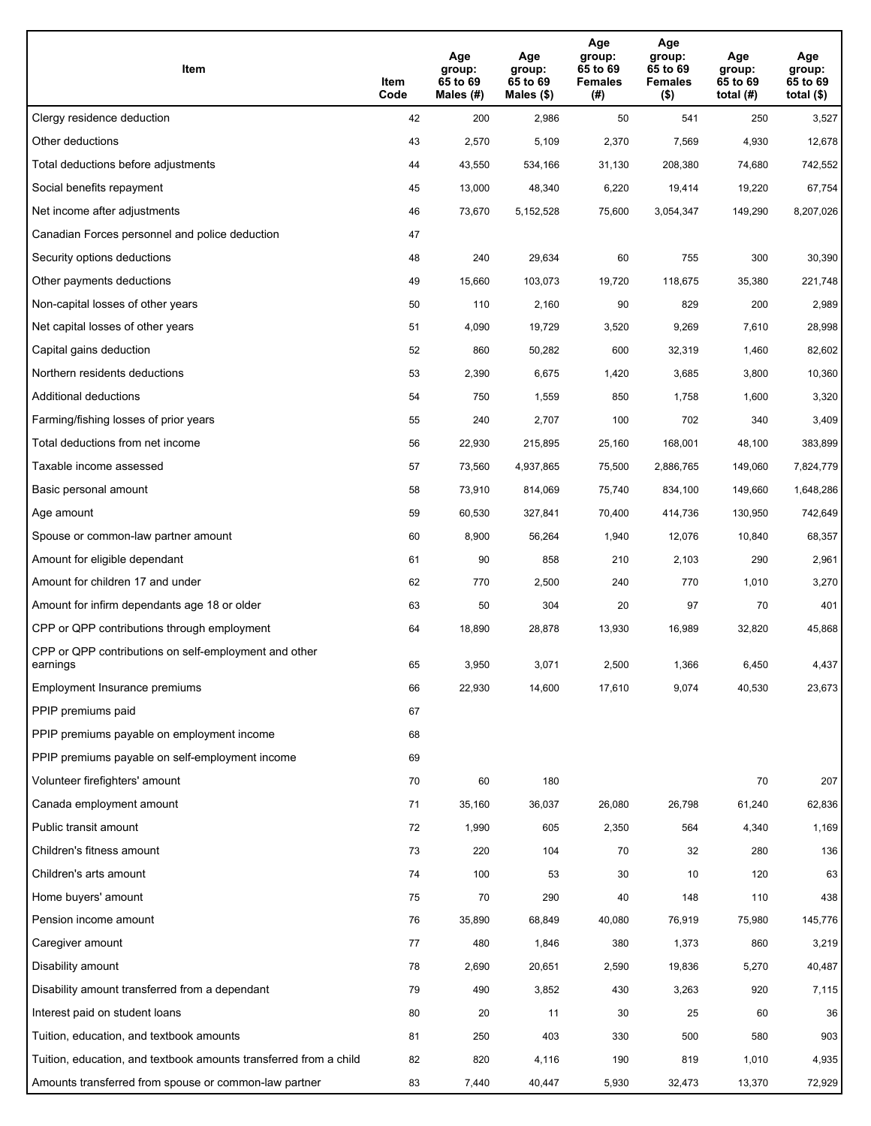| Item                                                              | Item<br>Code | Age<br>group:<br>65 to 69<br>Males (#) | Age<br>group:<br>65 to 69<br>Males (\$) | Age<br>group:<br>65 to 69<br><b>Females</b><br>(#) | Age<br>group:<br>65 to 69<br><b>Females</b><br>$($ \$) | Age<br>group:<br>65 to 69<br>total $(H)$ | Age<br>group:<br>65 to 69<br>total $($)$ |
|-------------------------------------------------------------------|--------------|----------------------------------------|-----------------------------------------|----------------------------------------------------|--------------------------------------------------------|------------------------------------------|------------------------------------------|
| Clergy residence deduction                                        | 42           | 200                                    | 2,986                                   | 50                                                 | 541                                                    | 250                                      | 3,527                                    |
| Other deductions                                                  | 43           | 2,570                                  | 5,109                                   | 2,370                                              | 7,569                                                  | 4,930                                    | 12,678                                   |
| Total deductions before adjustments                               | 44           | 43,550                                 | 534,166                                 | 31,130                                             | 208,380                                                | 74,680                                   | 742,552                                  |
| Social benefits repayment                                         | 45           | 13,000                                 | 48,340                                  | 6,220                                              | 19,414                                                 | 19,220                                   | 67,754                                   |
| Net income after adjustments                                      | 46           | 73,670                                 | 5,152,528                               | 75,600                                             | 3,054,347                                              | 149,290                                  | 8,207,026                                |
| Canadian Forces personnel and police deduction                    | 47           |                                        |                                         |                                                    |                                                        |                                          |                                          |
| Security options deductions                                       | 48           | 240                                    | 29,634                                  | 60                                                 | 755                                                    | 300                                      | 30,390                                   |
| Other payments deductions                                         | 49           | 15,660                                 | 103,073                                 | 19,720                                             | 118,675                                                | 35,380                                   | 221,748                                  |
| Non-capital losses of other years                                 | 50           | 110                                    | 2,160                                   | 90                                                 | 829                                                    | 200                                      | 2,989                                    |
| Net capital losses of other years                                 | 51           | 4,090                                  | 19,729                                  | 3,520                                              | 9,269                                                  | 7,610                                    | 28,998                                   |
| Capital gains deduction                                           | 52           | 860                                    | 50,282                                  | 600                                                | 32,319                                                 | 1,460                                    | 82,602                                   |
| Northern residents deductions                                     | 53           | 2,390                                  | 6,675                                   | 1,420                                              | 3,685                                                  | 3,800                                    | 10,360                                   |
| Additional deductions                                             | 54           | 750                                    | 1,559                                   | 850                                                | 1,758                                                  | 1,600                                    | 3,320                                    |
| Farming/fishing losses of prior years                             | 55           | 240                                    | 2,707                                   | 100                                                | 702                                                    | 340                                      | 3,409                                    |
| Total deductions from net income                                  | 56           | 22,930                                 | 215,895                                 | 25,160                                             | 168,001                                                | 48,100                                   | 383,899                                  |
| Taxable income assessed                                           | 57           | 73,560                                 | 4,937,865                               | 75,500                                             | 2,886,765                                              | 149,060                                  | 7,824,779                                |
| Basic personal amount                                             | 58           | 73,910                                 | 814,069                                 | 75,740                                             | 834,100                                                | 149,660                                  | 1,648,286                                |
| Age amount                                                        | 59           | 60,530                                 | 327,841                                 | 70,400                                             | 414,736                                                | 130,950                                  | 742,649                                  |
| Spouse or common-law partner amount                               | 60           | 8,900                                  | 56,264                                  | 1,940                                              | 12,076                                                 | 10,840                                   | 68,357                                   |
| Amount for eligible dependant                                     | 61           | 90                                     | 858                                     | 210                                                | 2,103                                                  | 290                                      | 2,961                                    |
| Amount for children 17 and under                                  | 62           | 770                                    | 2,500                                   | 240                                                | 770                                                    | 1,010                                    | 3,270                                    |
| Amount for infirm dependants age 18 or older                      | 63           | 50                                     | 304                                     | 20                                                 | 97                                                     | 70                                       | 401                                      |
| CPP or QPP contributions through employment                       | 64           | 18,890                                 | 28,878                                  | 13,930                                             | 16,989                                                 | 32,820                                   | 45,868                                   |
| CPP or QPP contributions on self-employment and other<br>earnings | 65           | 3,950                                  | 3,071                                   | 2,500                                              | 1,366                                                  | 6,450                                    | 4,437                                    |
| Employment Insurance premiums                                     | 66           | 22,930                                 | 14,600                                  | 17,610                                             | 9,074                                                  | 40,530                                   | 23,673                                   |
| PPIP premiums paid                                                | 67           |                                        |                                         |                                                    |                                                        |                                          |                                          |
| PPIP premiums payable on employment income                        | 68           |                                        |                                         |                                                    |                                                        |                                          |                                          |
| PPIP premiums payable on self-employment income                   | 69           |                                        |                                         |                                                    |                                                        |                                          |                                          |
| Volunteer firefighters' amount                                    | 70           | 60                                     | 180                                     |                                                    |                                                        | 70                                       | 207                                      |
| Canada employment amount                                          | 71           | 35,160                                 | 36,037                                  | 26,080                                             | 26,798                                                 | 61,240                                   | 62,836                                   |
| Public transit amount                                             | 72           | 1,990                                  | 605                                     | 2,350                                              | 564                                                    | 4,340                                    | 1,169                                    |
| Children's fitness amount                                         | 73           | 220                                    | 104                                     | 70                                                 | 32                                                     | 280                                      | 136                                      |
| Children's arts amount                                            | 74           | 100                                    | 53                                      | 30                                                 | 10                                                     | 120                                      | 63                                       |
| Home buyers' amount                                               | 75           | 70                                     | 290                                     | 40                                                 | 148                                                    | 110                                      | 438                                      |
| Pension income amount                                             | 76           | 35,890                                 | 68,849                                  | 40,080                                             | 76,919                                                 | 75,980                                   | 145,776                                  |
| Caregiver amount                                                  | 77           | 480                                    | 1,846                                   | 380                                                | 1,373                                                  | 860                                      | 3,219                                    |
| Disability amount                                                 | 78           | 2,690                                  | 20,651                                  | 2,590                                              | 19,836                                                 | 5,270                                    | 40,487                                   |
| Disability amount transferred from a dependant                    | 79           | 490                                    | 3,852                                   | 430                                                | 3,263                                                  | 920                                      | 7,115                                    |
| Interest paid on student loans                                    | 80           | 20                                     | 11                                      | 30                                                 | 25                                                     | 60                                       | 36                                       |
| Tuition, education, and textbook amounts                          | 81           | 250                                    | 403                                     | 330                                                | 500                                                    | 580                                      | 903                                      |
| Tuition, education, and textbook amounts transferred from a child | 82           | 820                                    | 4,116                                   | 190                                                | 819                                                    | 1,010                                    | 4,935                                    |
| Amounts transferred from spouse or common-law partner             | 83           | 7,440                                  | 40,447                                  | 5,930                                              | 32,473                                                 | 13,370                                   | 72,929                                   |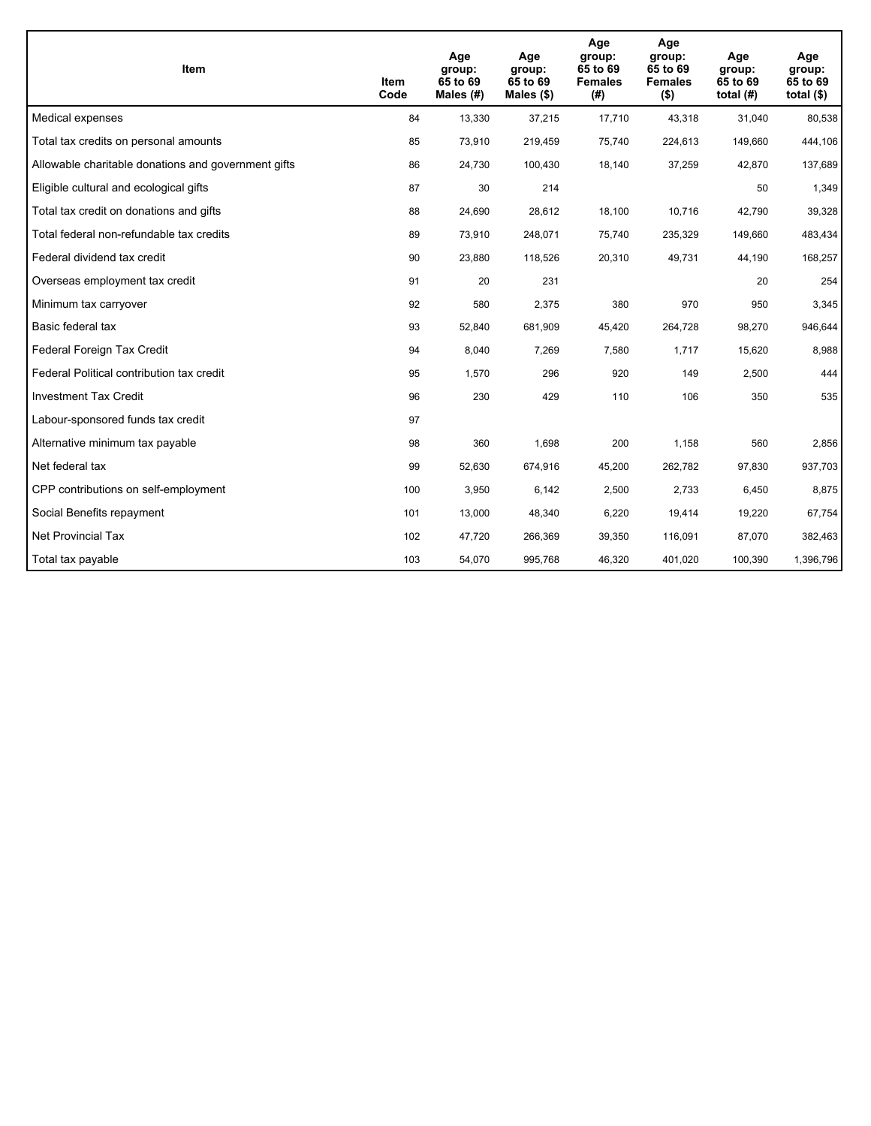| <b>Item</b>                                         | Item<br>Code | Age<br>group:<br>65 to 69<br>Males (#) | Age<br>group:<br>65 to 69<br>Males (\$) | Age<br>group:<br>65 to 69<br><b>Females</b><br>(#) | Age<br>group:<br>65 to 69<br><b>Females</b><br>$($ \$) | Age<br>group:<br>65 to 69<br>total $(H)$ | Age<br>group:<br>65 to 69<br>total $($)$ |
|-----------------------------------------------------|--------------|----------------------------------------|-----------------------------------------|----------------------------------------------------|--------------------------------------------------------|------------------------------------------|------------------------------------------|
| Medical expenses                                    | 84           | 13,330                                 | 37,215                                  | 17,710                                             | 43,318                                                 | 31,040                                   | 80,538                                   |
| Total tax credits on personal amounts               | 85           | 73,910                                 | 219,459                                 | 75,740                                             | 224,613                                                | 149,660                                  | 444,106                                  |
| Allowable charitable donations and government gifts | 86           | 24,730                                 | 100,430                                 | 18,140                                             | 37,259                                                 | 42,870                                   | 137,689                                  |
| Eligible cultural and ecological gifts              | 87           | 30                                     | 214                                     |                                                    |                                                        | 50                                       | 1,349                                    |
| Total tax credit on donations and gifts             | 88           | 24,690                                 | 28,612                                  | 18,100                                             | 10,716                                                 | 42,790                                   | 39,328                                   |
| Total federal non-refundable tax credits            | 89           | 73,910                                 | 248,071                                 | 75,740                                             | 235,329                                                | 149,660                                  | 483,434                                  |
| Federal dividend tax credit                         | 90           | 23,880                                 | 118,526                                 | 20,310                                             | 49,731                                                 | 44,190                                   | 168,257                                  |
| Overseas employment tax credit                      | 91           | 20                                     | 231                                     |                                                    |                                                        | 20                                       | 254                                      |
| Minimum tax carryover                               | 92           | 580                                    | 2,375                                   | 380                                                | 970                                                    | 950                                      | 3,345                                    |
| Basic federal tax                                   | 93           | 52,840                                 | 681,909                                 | 45,420                                             | 264,728                                                | 98,270                                   | 946,644                                  |
| Federal Foreign Tax Credit                          | 94           | 8,040                                  | 7,269                                   | 7,580                                              | 1,717                                                  | 15,620                                   | 8,988                                    |
| Federal Political contribution tax credit           | 95           | 1,570                                  | 296                                     | 920                                                | 149                                                    | 2,500                                    | 444                                      |
| <b>Investment Tax Credit</b>                        | 96           | 230                                    | 429                                     | 110                                                | 106                                                    | 350                                      | 535                                      |
| Labour-sponsored funds tax credit                   | 97           |                                        |                                         |                                                    |                                                        |                                          |                                          |
| Alternative minimum tax payable                     | 98           | 360                                    | 1,698                                   | 200                                                | 1,158                                                  | 560                                      | 2,856                                    |
| Net federal tax                                     | 99           | 52,630                                 | 674,916                                 | 45,200                                             | 262,782                                                | 97,830                                   | 937,703                                  |
| CPP contributions on self-employment                | 100          | 3,950                                  | 6,142                                   | 2,500                                              | 2,733                                                  | 6,450                                    | 8,875                                    |
| Social Benefits repayment                           | 101          | 13,000                                 | 48,340                                  | 6,220                                              | 19,414                                                 | 19,220                                   | 67,754                                   |
| <b>Net Provincial Tax</b>                           | 102          | 47,720                                 | 266,369                                 | 39,350                                             | 116,091                                                | 87,070                                   | 382,463                                  |
| Total tax payable                                   | 103          | 54,070                                 | 995,768                                 | 46,320                                             | 401,020                                                | 100,390                                  | 1,396,796                                |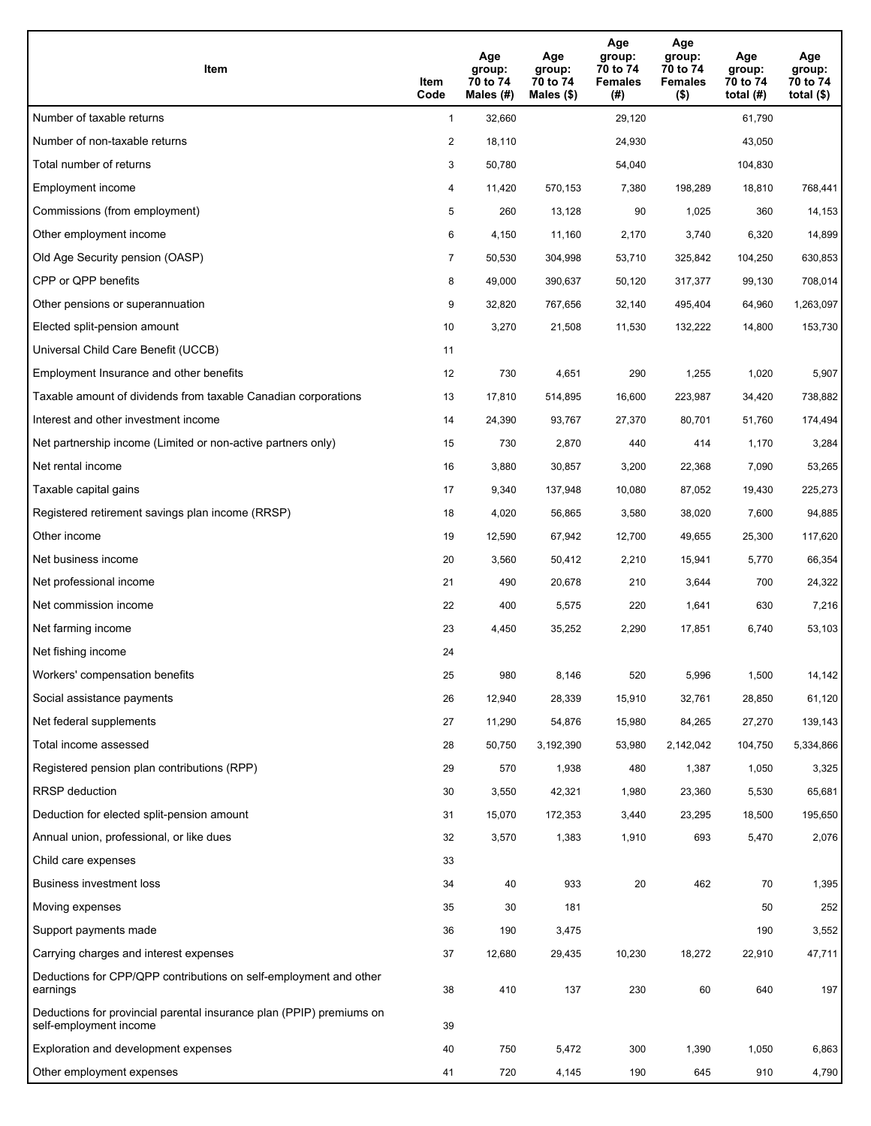| Item                                                                                           | Item<br>Code   | Age<br>group:<br>70 to 74<br>Males (#) | Age<br>group:<br>70 to 74<br>Males $(\$)$ | Age<br>group:<br>70 to 74<br><b>Females</b><br>(#) | Age<br>group:<br>70 to 74<br><b>Females</b><br>$($ \$) | Age<br>group:<br>70 to 74<br>total $(H)$ | Age<br>group:<br>70 to 74<br>total $($)$ |
|------------------------------------------------------------------------------------------------|----------------|----------------------------------------|-------------------------------------------|----------------------------------------------------|--------------------------------------------------------|------------------------------------------|------------------------------------------|
| Number of taxable returns                                                                      | $\mathbf{1}$   | 32,660                                 |                                           | 29,120                                             |                                                        | 61,790                                   |                                          |
| Number of non-taxable returns                                                                  | $\overline{2}$ | 18,110                                 |                                           | 24,930                                             |                                                        | 43,050                                   |                                          |
| Total number of returns                                                                        | 3              | 50,780                                 |                                           | 54,040                                             |                                                        | 104,830                                  |                                          |
| Employment income                                                                              | 4              | 11,420                                 | 570,153                                   | 7,380                                              | 198,289                                                | 18,810                                   | 768,441                                  |
| Commissions (from employment)                                                                  | 5              | 260                                    | 13,128                                    | 90                                                 | 1,025                                                  | 360                                      | 14,153                                   |
| Other employment income                                                                        | 6              | 4,150                                  | 11,160                                    | 2,170                                              | 3,740                                                  | 6,320                                    | 14,899                                   |
| Old Age Security pension (OASP)                                                                | 7              | 50,530                                 | 304,998                                   | 53,710                                             | 325,842                                                | 104,250                                  | 630,853                                  |
| CPP or QPP benefits                                                                            | 8              | 49,000                                 | 390,637                                   | 50,120                                             | 317,377                                                | 99,130                                   | 708,014                                  |
| Other pensions or superannuation                                                               | 9              | 32,820                                 | 767,656                                   | 32,140                                             | 495,404                                                | 64,960                                   | 1,263,097                                |
| Elected split-pension amount                                                                   | 10             | 3,270                                  | 21,508                                    | 11,530                                             | 132,222                                                | 14,800                                   | 153,730                                  |
| Universal Child Care Benefit (UCCB)                                                            | 11             |                                        |                                           |                                                    |                                                        |                                          |                                          |
| Employment Insurance and other benefits                                                        | 12             | 730                                    | 4,651                                     | 290                                                | 1,255                                                  | 1,020                                    | 5,907                                    |
| Taxable amount of dividends from taxable Canadian corporations                                 | 13             | 17,810                                 | 514,895                                   | 16,600                                             | 223,987                                                | 34,420                                   | 738,882                                  |
| Interest and other investment income                                                           | 14             | 24,390                                 | 93,767                                    | 27,370                                             | 80,701                                                 | 51,760                                   | 174,494                                  |
| Net partnership income (Limited or non-active partners only)                                   | 15             | 730                                    | 2,870                                     | 440                                                | 414                                                    | 1,170                                    | 3,284                                    |
| Net rental income                                                                              | 16             | 3,880                                  | 30,857                                    | 3,200                                              | 22,368                                                 | 7,090                                    | 53,265                                   |
| Taxable capital gains                                                                          | 17             | 9,340                                  | 137,948                                   | 10,080                                             | 87,052                                                 | 19,430                                   | 225,273                                  |
| Registered retirement savings plan income (RRSP)                                               | 18             | 4,020                                  | 56,865                                    | 3,580                                              | 38,020                                                 | 7,600                                    | 94,885                                   |
| Other income                                                                                   | 19             | 12,590                                 | 67,942                                    | 12,700                                             | 49,655                                                 | 25,300                                   | 117,620                                  |
| Net business income                                                                            | 20             | 3,560                                  | 50,412                                    | 2,210                                              | 15,941                                                 | 5,770                                    | 66,354                                   |
| Net professional income                                                                        | 21             | 490                                    | 20,678                                    | 210                                                | 3,644                                                  | 700                                      | 24,322                                   |
| Net commission income                                                                          | 22             | 400                                    | 5,575                                     | 220                                                | 1,641                                                  | 630                                      | 7,216                                    |
| Net farming income                                                                             | 23             | 4,450                                  | 35,252                                    | 2,290                                              | 17,851                                                 | 6,740                                    | 53,103                                   |
| Net fishing income                                                                             | 24             |                                        |                                           |                                                    |                                                        |                                          |                                          |
| Workers' compensation benefits                                                                 | 25             | 980                                    | 8,146                                     | 520                                                | 5,996                                                  | 1,500                                    | 14,142                                   |
| Social assistance payments                                                                     | 26             | 12,940                                 | 28,339                                    | 15,910                                             | 32,761                                                 | 28,850                                   | 61,120                                   |
| Net federal supplements                                                                        | 27             | 11,290                                 | 54,876                                    | 15,980                                             | 84,265                                                 | 27,270                                   | 139,143                                  |
| Total income assessed                                                                          | 28             | 50,750                                 | 3,192,390                                 | 53,980                                             | 2,142,042                                              | 104,750                                  | 5,334,866                                |
| Registered pension plan contributions (RPP)                                                    | 29             | 570                                    | 1,938                                     | 480                                                | 1,387                                                  | 1,050                                    | 3,325                                    |
| RRSP deduction                                                                                 | 30             | 3,550                                  | 42,321                                    | 1,980                                              | 23,360                                                 | 5,530                                    | 65,681                                   |
| Deduction for elected split-pension amount                                                     | 31             | 15,070                                 | 172,353                                   | 3,440                                              | 23,295                                                 | 18,500                                   | 195,650                                  |
| Annual union, professional, or like dues                                                       | 32             | 3,570                                  | 1,383                                     | 1,910                                              | 693                                                    | 5,470                                    | 2,076                                    |
| Child care expenses                                                                            | 33             |                                        |                                           |                                                    |                                                        |                                          |                                          |
| Business investment loss                                                                       | 34             | 40                                     | 933                                       | $20\,$                                             | 462                                                    | 70                                       | 1,395                                    |
| Moving expenses                                                                                | 35             | 30                                     | 181                                       |                                                    |                                                        | 50                                       | 252                                      |
| Support payments made                                                                          | 36             | 190                                    | 3,475                                     |                                                    |                                                        | 190                                      | 3,552                                    |
| Carrying charges and interest expenses                                                         | 37             | 12,680                                 | 29,435                                    | 10,230                                             | 18,272                                                 | 22,910                                   | 47,711                                   |
| Deductions for CPP/QPP contributions on self-employment and other<br>earnings                  | 38             | 410                                    | 137                                       | 230                                                | 60                                                     | 640                                      | 197                                      |
| Deductions for provincial parental insurance plan (PPIP) premiums on<br>self-employment income | 39             |                                        |                                           |                                                    |                                                        |                                          |                                          |
| Exploration and development expenses                                                           | 40             | 750                                    | 5,472                                     | 300                                                | 1,390                                                  | 1,050                                    | 6,863                                    |
| Other employment expenses                                                                      | 41             | 720                                    | 4,145                                     | 190                                                | 645                                                    | 910                                      | 4,790                                    |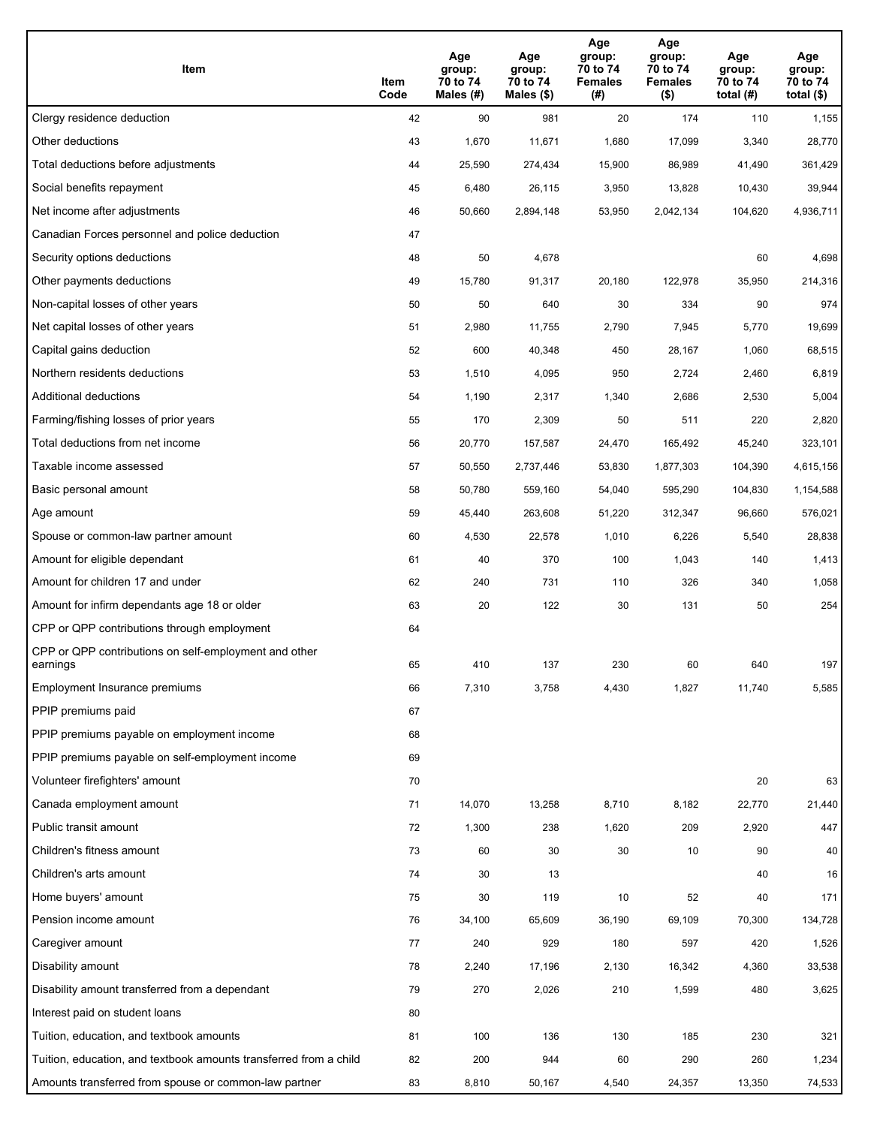| Item                                                              | Item<br>Code | Age<br>group:<br>70 to 74<br>Males (#) | Age<br>group:<br>70 to 74<br>Males (\$) | Age<br>group:<br>70 to 74<br><b>Females</b><br>(#) | Age<br>group:<br>70 to 74<br><b>Females</b><br>$($ \$) | Age<br>group:<br>70 to 74<br>total $(H)$ | Age<br>group:<br>70 to 74<br>total $($)$ |
|-------------------------------------------------------------------|--------------|----------------------------------------|-----------------------------------------|----------------------------------------------------|--------------------------------------------------------|------------------------------------------|------------------------------------------|
| Clergy residence deduction                                        | 42           | 90                                     | 981                                     | 20                                                 | 174                                                    | 110                                      | 1,155                                    |
| Other deductions                                                  | 43           | 1,670                                  | 11,671                                  | 1,680                                              | 17,099                                                 | 3,340                                    | 28,770                                   |
| Total deductions before adjustments                               | 44           | 25,590                                 | 274,434                                 | 15,900                                             | 86,989                                                 | 41,490                                   | 361,429                                  |
| Social benefits repayment                                         | 45           | 6,480                                  | 26,115                                  | 3,950                                              | 13,828                                                 | 10,430                                   | 39,944                                   |
| Net income after adjustments                                      | 46           | 50,660                                 | 2,894,148                               | 53,950                                             | 2,042,134                                              | 104,620                                  | 4,936,711                                |
| Canadian Forces personnel and police deduction                    | 47           |                                        |                                         |                                                    |                                                        |                                          |                                          |
| Security options deductions                                       | 48           | 50                                     | 4,678                                   |                                                    |                                                        | 60                                       | 4,698                                    |
| Other payments deductions                                         | 49           | 15,780                                 | 91,317                                  | 20,180                                             | 122,978                                                | 35,950                                   | 214,316                                  |
| Non-capital losses of other years                                 | 50           | 50                                     | 640                                     | 30                                                 | 334                                                    | 90                                       | 974                                      |
| Net capital losses of other years                                 | 51           | 2,980                                  | 11,755                                  | 2,790                                              | 7,945                                                  | 5,770                                    | 19,699                                   |
| Capital gains deduction                                           | 52           | 600                                    | 40,348                                  | 450                                                | 28,167                                                 | 1,060                                    | 68,515                                   |
| Northern residents deductions                                     | 53           | 1,510                                  | 4,095                                   | 950                                                | 2,724                                                  | 2,460                                    | 6,819                                    |
| Additional deductions                                             | 54           | 1,190                                  | 2,317                                   | 1,340                                              | 2,686                                                  | 2,530                                    | 5,004                                    |
| Farming/fishing losses of prior years                             | 55           | 170                                    | 2,309                                   | 50                                                 | 511                                                    | 220                                      | 2,820                                    |
| Total deductions from net income                                  | 56           | 20,770                                 | 157,587                                 | 24,470                                             | 165,492                                                | 45,240                                   | 323,101                                  |
| Taxable income assessed                                           | 57           | 50,550                                 | 2,737,446                               | 53,830                                             | 1,877,303                                              | 104,390                                  | 4,615,156                                |
| Basic personal amount                                             | 58           | 50,780                                 | 559,160                                 | 54,040                                             | 595,290                                                | 104,830                                  | 1,154,588                                |
| Age amount                                                        | 59           | 45,440                                 | 263,608                                 | 51,220                                             | 312,347                                                | 96,660                                   | 576,021                                  |
| Spouse or common-law partner amount                               | 60           | 4,530                                  | 22,578                                  | 1,010                                              | 6,226                                                  | 5,540                                    | 28,838                                   |
| Amount for eligible dependant                                     | 61           | 40                                     | 370                                     | 100                                                | 1,043                                                  | 140                                      | 1,413                                    |
| Amount for children 17 and under                                  | 62           | 240                                    | 731                                     | 110                                                | 326                                                    | 340                                      | 1,058                                    |
| Amount for infirm dependants age 18 or older                      | 63           | 20                                     | 122                                     | 30                                                 | 131                                                    | 50                                       | 254                                      |
| CPP or QPP contributions through employment                       | 64           |                                        |                                         |                                                    |                                                        |                                          |                                          |
| CPP or QPP contributions on self-employment and other<br>earnings | 65           | 410                                    | 137                                     | 230                                                | 60                                                     | 640                                      | 197                                      |
| Employment Insurance premiums                                     | 66           | 7,310                                  | 3,758                                   | 4,430                                              | 1,827                                                  | 11,740                                   | 5,585                                    |
| PPIP premiums paid                                                | 67           |                                        |                                         |                                                    |                                                        |                                          |                                          |
| PPIP premiums payable on employment income                        | 68           |                                        |                                         |                                                    |                                                        |                                          |                                          |
| PPIP premiums payable on self-employment income                   | 69           |                                        |                                         |                                                    |                                                        |                                          |                                          |
| Volunteer firefighters' amount                                    | 70           |                                        |                                         |                                                    |                                                        | 20                                       | 63                                       |
| Canada employment amount                                          | 71           | 14,070                                 | 13,258                                  | 8,710                                              | 8,182                                                  | 22,770                                   | 21,440                                   |
| Public transit amount                                             | 72           | 1,300                                  | 238                                     | 1,620                                              | 209                                                    | 2,920                                    | 447                                      |
| Children's fitness amount                                         | 73           | 60                                     | 30                                      | 30                                                 | 10                                                     | 90                                       | 40                                       |
| Children's arts amount                                            | 74           | 30                                     | 13                                      |                                                    |                                                        | 40                                       | 16                                       |
| Home buyers' amount                                               | 75           | 30                                     | 119                                     | 10                                                 | 52                                                     | 40                                       | 171                                      |
| Pension income amount                                             | 76           | 34,100                                 | 65,609                                  | 36,190                                             | 69,109                                                 | 70,300                                   | 134,728                                  |
| Caregiver amount                                                  | 77           | 240                                    | 929                                     | 180                                                | 597                                                    | 420                                      | 1,526                                    |
| Disability amount                                                 | 78           | 2,240                                  | 17,196                                  | 2,130                                              | 16,342                                                 | 4,360                                    | 33,538                                   |
| Disability amount transferred from a dependant                    | 79           | 270                                    | 2,026                                   | 210                                                | 1,599                                                  | 480                                      | 3,625                                    |
| Interest paid on student loans                                    | 80           |                                        |                                         |                                                    |                                                        |                                          |                                          |
| Tuition, education, and textbook amounts                          | 81           | 100                                    | 136                                     | 130                                                | 185                                                    | 230                                      | 321                                      |
| Tuition, education, and textbook amounts transferred from a child | 82           | 200                                    | 944                                     | 60                                                 | 290                                                    | 260                                      | 1,234                                    |
| Amounts transferred from spouse or common-law partner             | 83           | 8,810                                  | 50,167                                  | 4,540                                              | 24,357                                                 | 13,350                                   | 74,533                                   |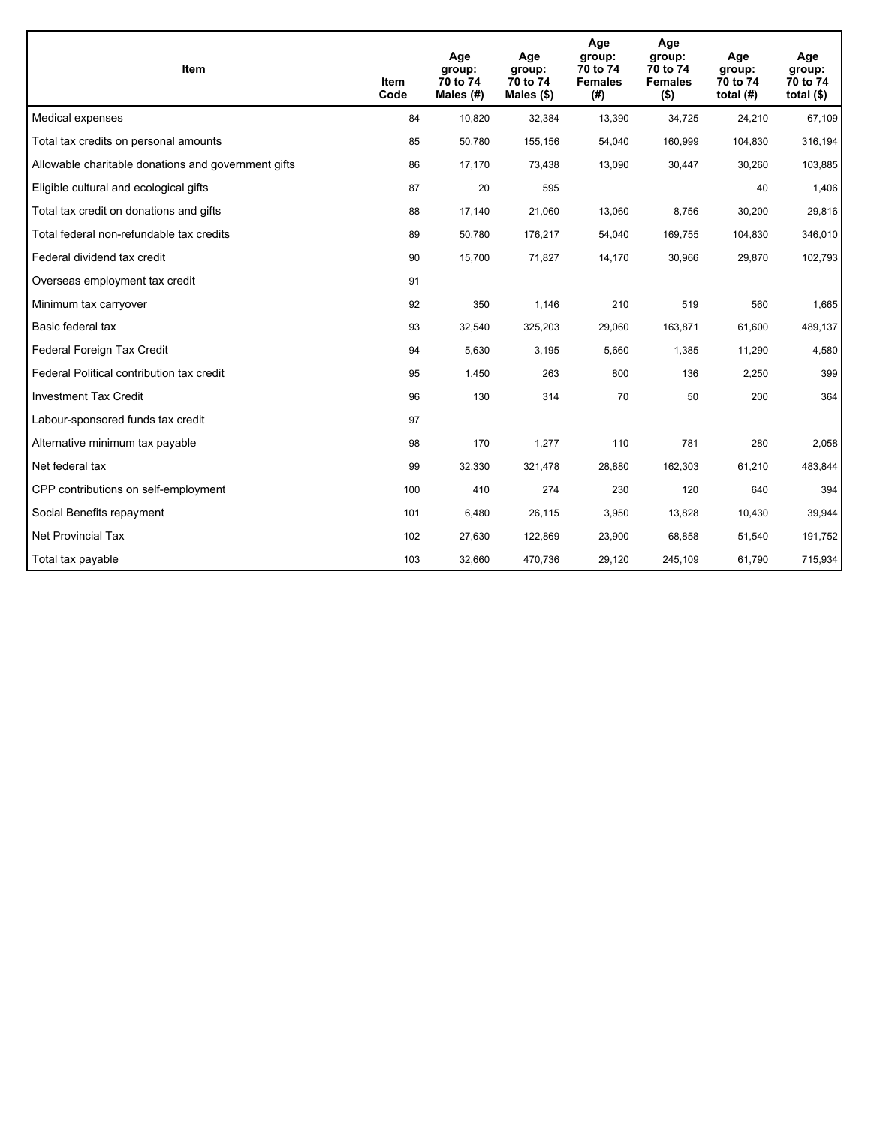| Item                                                | Item<br>Code | Age<br>group:<br>70 to 74<br>Males (#) | Age<br>group:<br>70 to 74<br>Males (\$) | Age<br>group:<br>70 to 74<br><b>Females</b><br>(#) | Age<br>group:<br>70 to 74<br><b>Females</b><br>$($ \$) | Age<br>group:<br>70 to 74<br>total $(H)$ | Age<br>group:<br>70 to 74<br>total $($)$ |
|-----------------------------------------------------|--------------|----------------------------------------|-----------------------------------------|----------------------------------------------------|--------------------------------------------------------|------------------------------------------|------------------------------------------|
| Medical expenses                                    | 84           | 10,820                                 | 32,384                                  | 13,390                                             | 34,725                                                 | 24,210                                   | 67,109                                   |
| Total tax credits on personal amounts               | 85           | 50,780                                 | 155,156                                 | 54,040                                             | 160,999                                                | 104,830                                  | 316,194                                  |
| Allowable charitable donations and government gifts | 86           | 17,170                                 | 73,438                                  | 13,090                                             | 30,447                                                 | 30,260                                   | 103,885                                  |
| Eligible cultural and ecological gifts              | 87           | 20                                     | 595                                     |                                                    |                                                        | 40                                       | 1,406                                    |
| Total tax credit on donations and gifts             | 88           | 17,140                                 | 21,060                                  | 13,060                                             | 8,756                                                  | 30,200                                   | 29,816                                   |
| Total federal non-refundable tax credits            | 89           | 50,780                                 | 176,217                                 | 54,040                                             | 169,755                                                | 104,830                                  | 346,010                                  |
| Federal dividend tax credit                         | 90           | 15,700                                 | 71,827                                  | 14,170                                             | 30,966                                                 | 29,870                                   | 102,793                                  |
| Overseas employment tax credit                      | 91           |                                        |                                         |                                                    |                                                        |                                          |                                          |
| Minimum tax carryover                               | 92           | 350                                    | 1,146                                   | 210                                                | 519                                                    | 560                                      | 1,665                                    |
| Basic federal tax                                   | 93           | 32,540                                 | 325,203                                 | 29,060                                             | 163,871                                                | 61,600                                   | 489,137                                  |
| Federal Foreign Tax Credit                          | 94           | 5,630                                  | 3,195                                   | 5,660                                              | 1,385                                                  | 11,290                                   | 4,580                                    |
| Federal Political contribution tax credit           | 95           | 1,450                                  | 263                                     | 800                                                | 136                                                    | 2,250                                    | 399                                      |
| <b>Investment Tax Credit</b>                        | 96           | 130                                    | 314                                     | 70                                                 | 50                                                     | 200                                      | 364                                      |
| Labour-sponsored funds tax credit                   | 97           |                                        |                                         |                                                    |                                                        |                                          |                                          |
| Alternative minimum tax payable                     | 98           | 170                                    | 1,277                                   | 110                                                | 781                                                    | 280                                      | 2,058                                    |
| Net federal tax                                     | 99           | 32,330                                 | 321,478                                 | 28,880                                             | 162,303                                                | 61,210                                   | 483,844                                  |
| CPP contributions on self-employment                | 100          | 410                                    | 274                                     | 230                                                | 120                                                    | 640                                      | 394                                      |
| Social Benefits repayment                           | 101          | 6,480                                  | 26,115                                  | 3,950                                              | 13,828                                                 | 10,430                                   | 39,944                                   |
| Net Provincial Tax                                  | 102          | 27,630                                 | 122,869                                 | 23,900                                             | 68,858                                                 | 51,540                                   | 191,752                                  |
| Total tax payable                                   | 103          | 32,660                                 | 470,736                                 | 29,120                                             | 245,109                                                | 61,790                                   | 715,934                                  |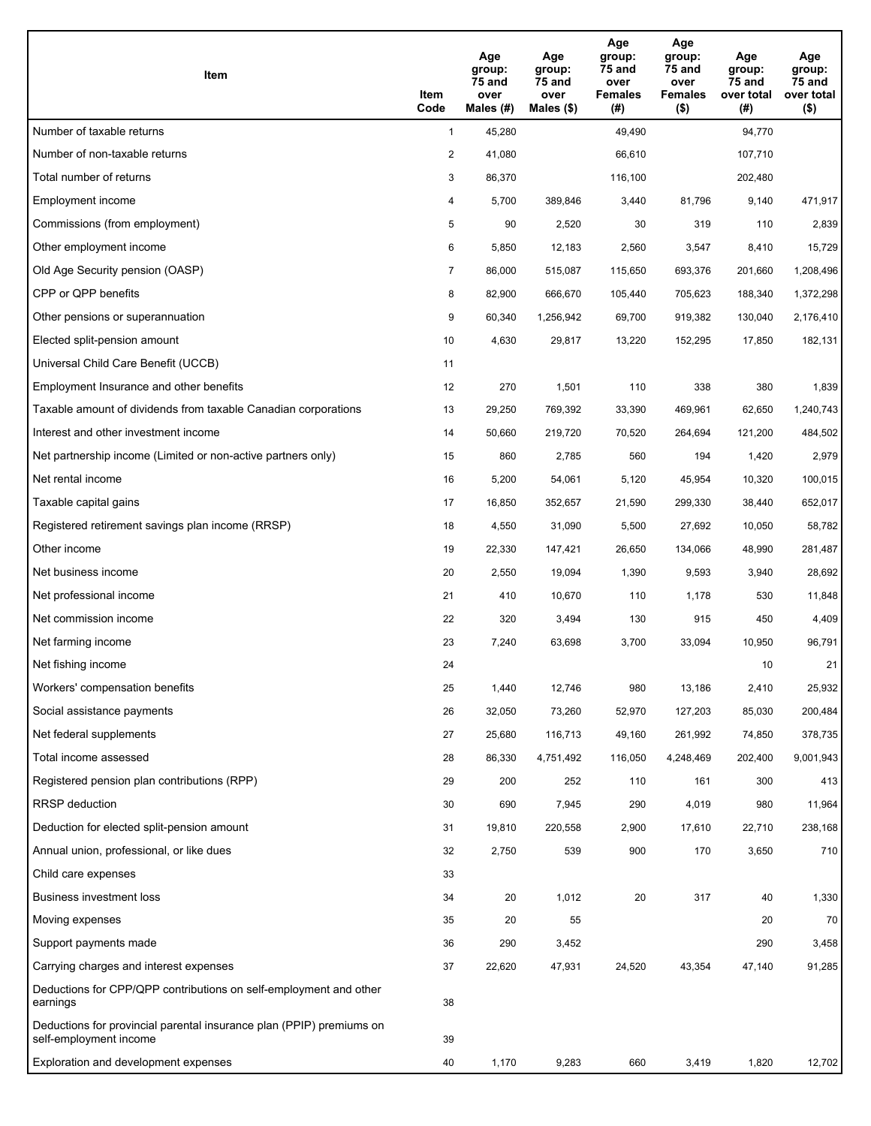| Item                                                                                           | Item<br>Code   | Age<br>group:<br>75 and<br>over<br>Males $(H)$ | Age<br>group:<br>75 and<br>over<br>Males $(\$)$ | Age<br>group:<br>75 and<br>over<br><b>Females</b><br>(# ) | Age<br>group:<br>75 and<br>over<br><b>Females</b><br>$($ \$) | Age<br>group:<br>75 and<br>over total<br>(#) | Age<br>group:<br>75 and<br>over total<br>$($ \$) |
|------------------------------------------------------------------------------------------------|----------------|------------------------------------------------|-------------------------------------------------|-----------------------------------------------------------|--------------------------------------------------------------|----------------------------------------------|--------------------------------------------------|
| Number of taxable returns                                                                      | $\mathbf{1}$   | 45,280                                         |                                                 | 49,490                                                    |                                                              | 94,770                                       |                                                  |
| Number of non-taxable returns                                                                  | 2              | 41,080                                         |                                                 | 66,610                                                    |                                                              | 107,710                                      |                                                  |
| Total number of returns                                                                        | 3              | 86,370                                         |                                                 | 116,100                                                   |                                                              | 202,480                                      |                                                  |
| Employment income                                                                              | 4              | 5,700                                          | 389,846                                         | 3,440                                                     | 81,796                                                       | 9,140                                        | 471,917                                          |
| Commissions (from employment)                                                                  | 5              | 90                                             | 2,520                                           | 30                                                        | 319                                                          | 110                                          | 2,839                                            |
| Other employment income                                                                        | 6              | 5,850                                          | 12,183                                          | 2,560                                                     | 3,547                                                        | 8,410                                        | 15,729                                           |
| Old Age Security pension (OASP)                                                                | $\overline{7}$ | 86,000                                         | 515,087                                         | 115,650                                                   | 693,376                                                      | 201,660                                      | 1,208,496                                        |
| CPP or QPP benefits                                                                            | 8              | 82,900                                         | 666,670                                         | 105,440                                                   | 705,623                                                      | 188,340                                      | 1,372,298                                        |
| Other pensions or superannuation                                                               | 9              | 60,340                                         | 1,256,942                                       | 69,700                                                    | 919,382                                                      | 130,040                                      | 2,176,410                                        |
| Elected split-pension amount                                                                   | 10             | 4,630                                          | 29,817                                          | 13,220                                                    | 152,295                                                      | 17,850                                       | 182,131                                          |
| Universal Child Care Benefit (UCCB)                                                            | 11             |                                                |                                                 |                                                           |                                                              |                                              |                                                  |
| Employment Insurance and other benefits                                                        | 12             | 270                                            | 1,501                                           | 110                                                       | 338                                                          | 380                                          | 1,839                                            |
| Taxable amount of dividends from taxable Canadian corporations                                 | 13             | 29,250                                         | 769,392                                         | 33,390                                                    | 469,961                                                      | 62,650                                       | 1,240,743                                        |
| Interest and other investment income                                                           | 14             | 50,660                                         | 219,720                                         | 70,520                                                    | 264,694                                                      | 121,200                                      | 484,502                                          |
| Net partnership income (Limited or non-active partners only)                                   | 15             | 860                                            | 2,785                                           | 560                                                       | 194                                                          | 1,420                                        | 2,979                                            |
| Net rental income                                                                              | 16             | 5,200                                          | 54,061                                          | 5,120                                                     | 45,954                                                       | 10,320                                       | 100,015                                          |
| Taxable capital gains                                                                          | 17             | 16,850                                         | 352,657                                         | 21,590                                                    | 299,330                                                      | 38,440                                       | 652,017                                          |
| Registered retirement savings plan income (RRSP)                                               | 18             | 4,550                                          | 31,090                                          | 5,500                                                     | 27,692                                                       | 10,050                                       | 58,782                                           |
| Other income                                                                                   | 19             | 22,330                                         | 147,421                                         | 26,650                                                    | 134,066                                                      | 48,990                                       | 281,487                                          |
| Net business income                                                                            | 20             | 2,550                                          | 19,094                                          | 1,390                                                     | 9,593                                                        | 3,940                                        | 28,692                                           |
| Net professional income                                                                        | 21             | 410                                            | 10,670                                          | 110                                                       | 1,178                                                        | 530                                          | 11,848                                           |
| Net commission income                                                                          | 22             | 320                                            | 3,494                                           | 130                                                       | 915                                                          | 450                                          | 4,409                                            |
| Net farming income                                                                             | 23             | 7,240                                          | 63,698                                          | 3,700                                                     | 33,094                                                       | 10,950                                       | 96,791                                           |
| Net fishing income                                                                             | 24             |                                                |                                                 |                                                           |                                                              | 10                                           | 21                                               |
| Workers' compensation benefits                                                                 | 25             | 1,440                                          | 12,746                                          | 980                                                       | 13,186                                                       | 2,410                                        | 25,932                                           |
| Social assistance payments                                                                     | 26             | 32,050                                         | 73,260                                          | 52,970                                                    | 127,203                                                      | 85,030                                       | 200,484                                          |
| Net federal supplements                                                                        | 27             | 25,680                                         | 116,713                                         | 49,160                                                    | 261,992                                                      | 74,850                                       | 378,735                                          |
| Total income assessed                                                                          | 28             | 86,330                                         | 4,751,492                                       | 116,050                                                   | 4,248,469                                                    | 202,400                                      | 9,001,943                                        |
| Registered pension plan contributions (RPP)                                                    | 29             | 200                                            | 252                                             | 110                                                       | 161                                                          | 300                                          | 413                                              |
| <b>RRSP</b> deduction                                                                          | 30             | 690                                            | 7,945                                           | 290                                                       | 4,019                                                        | 980                                          | 11,964                                           |
| Deduction for elected split-pension amount                                                     | 31             | 19,810                                         | 220,558                                         | 2,900                                                     | 17,610                                                       | 22,710                                       | 238,168                                          |
| Annual union, professional, or like dues                                                       | 32             | 2,750                                          | 539                                             | 900                                                       | 170                                                          | 3,650                                        | 710                                              |
| Child care expenses                                                                            | 33             |                                                |                                                 |                                                           |                                                              |                                              |                                                  |
| <b>Business investment loss</b>                                                                | 34             | 20                                             | 1,012                                           | 20                                                        | 317                                                          | 40                                           | 1,330                                            |
| Moving expenses                                                                                | 35             | 20                                             | 55                                              |                                                           |                                                              | 20                                           | 70                                               |
| Support payments made                                                                          | 36             | 290                                            | 3,452                                           |                                                           |                                                              | 290                                          | 3,458                                            |
| Carrying charges and interest expenses                                                         | 37             | 22,620                                         | 47,931                                          | 24,520                                                    | 43,354                                                       | 47,140                                       | 91,285                                           |
| Deductions for CPP/QPP contributions on self-employment and other<br>earnings                  | 38             |                                                |                                                 |                                                           |                                                              |                                              |                                                  |
| Deductions for provincial parental insurance plan (PPIP) premiums on<br>self-employment income | 39             |                                                |                                                 |                                                           |                                                              |                                              |                                                  |
| Exploration and development expenses                                                           | 40             | 1,170                                          | 9,283                                           | 660                                                       | 3,419                                                        | 1,820                                        | 12,702                                           |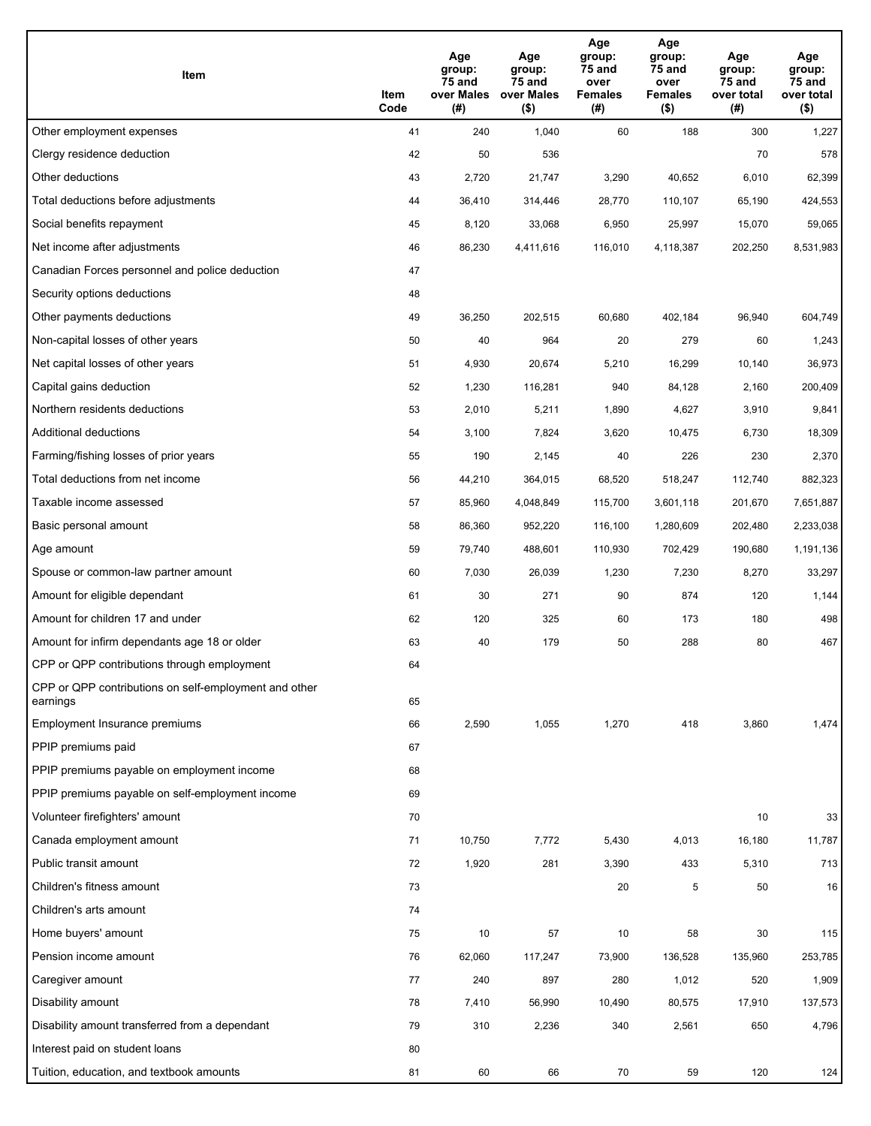| Item                                                              | Item<br>Code | Age<br>group:<br>75 and<br>over Males<br>(# ) | Age<br>group:<br>75 and<br>over Males<br>$($ \$) | Age<br>group:<br>75 and<br>over<br><b>Females</b><br>(#) | Age<br>group:<br>75 and<br>over<br><b>Females</b><br>$($ \$) | Age<br>group:<br>75 and<br>over total<br>(#) | Age<br>group:<br>75 and<br>over total<br>$($ \$) |
|-------------------------------------------------------------------|--------------|-----------------------------------------------|--------------------------------------------------|----------------------------------------------------------|--------------------------------------------------------------|----------------------------------------------|--------------------------------------------------|
| Other employment expenses                                         | 41           | 240                                           | 1,040                                            | 60                                                       | 188                                                          | 300                                          | 1,227                                            |
| Clergy residence deduction                                        | 42           | 50                                            | 536                                              |                                                          |                                                              | 70                                           | 578                                              |
| Other deductions                                                  | 43           | 2,720                                         | 21,747                                           | 3,290                                                    | 40,652                                                       | 6,010                                        | 62,399                                           |
| Total deductions before adjustments                               | 44           | 36,410                                        | 314,446                                          | 28,770                                                   | 110,107                                                      | 65,190                                       | 424,553                                          |
| Social benefits repayment                                         | 45           | 8,120                                         | 33,068                                           | 6,950                                                    | 25,997                                                       | 15,070                                       | 59,065                                           |
| Net income after adjustments                                      | 46           | 86,230                                        | 4,411,616                                        | 116,010                                                  | 4,118,387                                                    | 202,250                                      | 8,531,983                                        |
| Canadian Forces personnel and police deduction                    | 47           |                                               |                                                  |                                                          |                                                              |                                              |                                                  |
| Security options deductions                                       | 48           |                                               |                                                  |                                                          |                                                              |                                              |                                                  |
| Other payments deductions                                         | 49           | 36,250                                        | 202,515                                          | 60,680                                                   | 402,184                                                      | 96,940                                       | 604,749                                          |
| Non-capital losses of other years                                 | 50           | 40                                            | 964                                              | 20                                                       | 279                                                          | 60                                           | 1,243                                            |
| Net capital losses of other years                                 | 51           | 4,930                                         | 20,674                                           | 5,210                                                    | 16,299                                                       | 10,140                                       | 36,973                                           |
| Capital gains deduction                                           | 52           | 1,230                                         | 116,281                                          | 940                                                      | 84,128                                                       | 2,160                                        | 200,409                                          |
| Northern residents deductions                                     | 53           | 2,010                                         | 5,211                                            | 1,890                                                    | 4,627                                                        | 3,910                                        | 9,841                                            |
| Additional deductions                                             | 54           | 3,100                                         | 7,824                                            | 3,620                                                    | 10,475                                                       | 6,730                                        | 18,309                                           |
| Farming/fishing losses of prior years                             | 55           | 190                                           | 2,145                                            | 40                                                       | 226                                                          | 230                                          | 2,370                                            |
| Total deductions from net income                                  | 56           | 44,210                                        | 364,015                                          | 68,520                                                   | 518,247                                                      | 112,740                                      | 882,323                                          |
| Taxable income assessed                                           | 57           | 85,960                                        | 4,048,849                                        | 115,700                                                  | 3,601,118                                                    | 201,670                                      | 7,651,887                                        |
| Basic personal amount                                             | 58           | 86,360                                        | 952,220                                          | 116,100                                                  | 1,280,609                                                    | 202,480                                      | 2,233,038                                        |
| Age amount                                                        | 59           | 79,740                                        | 488,601                                          | 110,930                                                  | 702,429                                                      | 190,680                                      | 1,191,136                                        |
| Spouse or common-law partner amount                               | 60           | 7,030                                         | 26,039                                           | 1,230                                                    | 7,230                                                        | 8,270                                        | 33,297                                           |
| Amount for eligible dependant                                     | 61           | 30                                            | 271                                              | 90                                                       | 874                                                          | 120                                          | 1,144                                            |
| Amount for children 17 and under                                  | 62           | 120                                           | 325                                              | 60                                                       | 173                                                          | 180                                          | 498                                              |
| Amount for infirm dependants age 18 or older                      | 63           | 40                                            | 179                                              | 50                                                       | 288                                                          | 80                                           | 467                                              |
| CPP or QPP contributions through employment                       | 64           |                                               |                                                  |                                                          |                                                              |                                              |                                                  |
| CPP or QPP contributions on self-employment and other<br>earnings | 65           |                                               |                                                  |                                                          |                                                              |                                              |                                                  |
| Employment Insurance premiums                                     | 66           | 2,590                                         | 1,055                                            | 1,270                                                    | 418                                                          | 3,860                                        | 1,474                                            |
| PPIP premiums paid                                                | 67           |                                               |                                                  |                                                          |                                                              |                                              |                                                  |
| PPIP premiums payable on employment income                        | 68           |                                               |                                                  |                                                          |                                                              |                                              |                                                  |
| PPIP premiums payable on self-employment income                   | 69           |                                               |                                                  |                                                          |                                                              |                                              |                                                  |
| Volunteer firefighters' amount                                    | 70           |                                               |                                                  |                                                          |                                                              | 10                                           | 33                                               |
| Canada employment amount                                          | 71           | 10,750                                        | 7,772                                            | 5,430                                                    | 4,013                                                        | 16,180                                       | 11,787                                           |
| Public transit amount                                             | 72           | 1,920                                         | 281                                              | 3,390                                                    | 433                                                          | 5,310                                        | 713                                              |
| Children's fitness amount                                         | 73           |                                               |                                                  | 20                                                       | 5                                                            | 50                                           | 16                                               |
| Children's arts amount                                            | 74           |                                               |                                                  |                                                          |                                                              |                                              |                                                  |
| Home buyers' amount                                               | 75           | 10                                            | 57                                               | 10                                                       | 58                                                           | 30                                           | 115                                              |
| Pension income amount                                             | 76           | 62,060                                        | 117,247                                          | 73,900                                                   | 136,528                                                      | 135,960                                      | 253,785                                          |
| Caregiver amount                                                  | 77           | 240                                           | 897                                              | 280                                                      | 1,012                                                        | 520                                          | 1,909                                            |
| Disability amount                                                 | 78           | 7,410                                         | 56,990                                           | 10,490                                                   | 80,575                                                       | 17,910                                       | 137,573                                          |
| Disability amount transferred from a dependant                    | 79           | 310                                           | 2,236                                            | 340                                                      | 2,561                                                        | 650                                          | 4,796                                            |
| Interest paid on student loans                                    | 80           |                                               |                                                  |                                                          |                                                              |                                              |                                                  |
| Tuition, education, and textbook amounts                          | 81           | 60                                            | 66                                               | 70                                                       | 59                                                           | 120                                          | 124                                              |